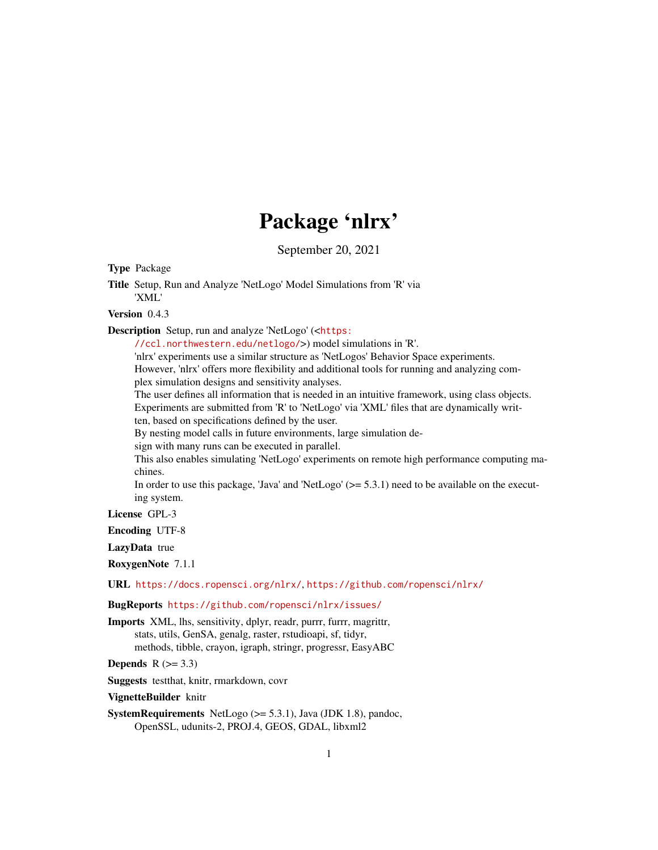# Package 'nlrx'

September 20, 2021

<span id="page-0-0"></span>Type Package

Title Setup, Run and Analyze 'NetLogo' Model Simulations from 'R' via 'XML'

Version 0.4.3

Description Setup, run and analyze 'NetLogo' (<[https:](https://ccl.northwestern.edu/netlogo/)

[//ccl.northwestern.edu/netlogo/](https://ccl.northwestern.edu/netlogo/)>) model simulations in 'R'. 'nlrx' experiments use a similar structure as 'NetLogos' Behavior Space experiments. However, 'nlrx' offers more flexibility and additional tools for running and analyzing complex simulation designs and sensitivity analyses.

The user defines all information that is needed in an intuitive framework, using class objects. Experiments are submitted from 'R' to 'NetLogo' via 'XML' files that are dynamically written, based on specifications defined by the user.

By nesting model calls in future environments, large simulation de-

sign with many runs can be executed in parallel.

This also enables simulating 'NetLogo' experiments on remote high performance computing machines.

In order to use this package, 'Java' and 'NetLogo'  $(>= 5.3.1)$  need to be available on the executing system.

License GPL-3

Encoding UTF-8

LazyData true

RoxygenNote 7.1.1

URL <https://docs.ropensci.org/nlrx/>, <https://github.com/ropensci/nlrx/>

BugReports <https://github.com/ropensci/nlrx/issues/>

Imports XML, lhs, sensitivity, dplyr, readr, purrr, furrr, magrittr, stats, utils, GenSA, genalg, raster, rstudioapi, sf, tidyr, methods, tibble, crayon, igraph, stringr, progressr, EasyABC

Depends  $R$  ( $> = 3.3$ )

Suggests testthat, knitr, rmarkdown, covr

VignetteBuilder knitr

**SystemRequirements** NetLogo  $(>= 5.3.1)$ , Java (JDK 1.8), pandoc, OpenSSL, udunits-2, PROJ.4, GEOS, GDAL, libxml2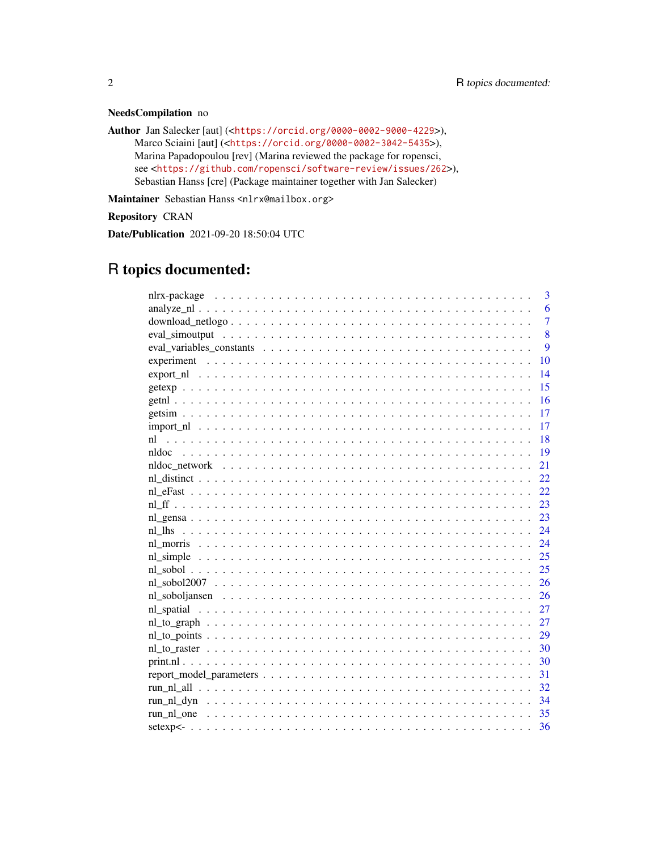# NeedsCompilation no

Author Jan Salecker [aut] (<<https://orcid.org/0000-0002-9000-4229>>), Marco Sciaini [aut] (<<https://orcid.org/0000-0002-3042-5435>>), Marina Papadopoulou [rev] (Marina reviewed the package for ropensci, see <<https://github.com/ropensci/software-review/issues/262>>), Sebastian Hanss [cre] (Package maintainer together with Jan Salecker)

Maintainer Sebastian Hanss <nlrx@mailbox.org>

Repository CRAN

Date/Publication 2021-09-20 18:50:04 UTC

# R topics documented:

| 3                                                                                                                         |
|---------------------------------------------------------------------------------------------------------------------------|
| 6                                                                                                                         |
| $\overline{7}$<br>$download\_netlogo \ldots \ldots \ldots \ldots \ldots \ldots \ldots \ldots \ldots \ldots \ldots \ldots$ |
| 8                                                                                                                         |
| $\mathbf Q$                                                                                                               |
| 10                                                                                                                        |
| 14                                                                                                                        |
| 15                                                                                                                        |
| 16                                                                                                                        |
| 17                                                                                                                        |
| 17                                                                                                                        |
| <sup>18</sup><br>n1                                                                                                       |
| -19                                                                                                                       |
| 21                                                                                                                        |
| 22                                                                                                                        |
| 22                                                                                                                        |
| 23                                                                                                                        |
| 23                                                                                                                        |
| 24<br>nl lhs                                                                                                              |
| 24                                                                                                                        |
| 25                                                                                                                        |
| 25                                                                                                                        |
|                                                                                                                           |
| 26<br>nl soboljansen $\ldots \ldots \ldots \ldots \ldots \ldots \ldots \ldots \ldots \ldots \ldots \ldots \ldots$         |
| 27                                                                                                                        |
|                                                                                                                           |
|                                                                                                                           |
|                                                                                                                           |
|                                                                                                                           |
| 31                                                                                                                        |
| 32                                                                                                                        |
| - 34                                                                                                                      |
|                                                                                                                           |
| 36                                                                                                                        |
|                                                                                                                           |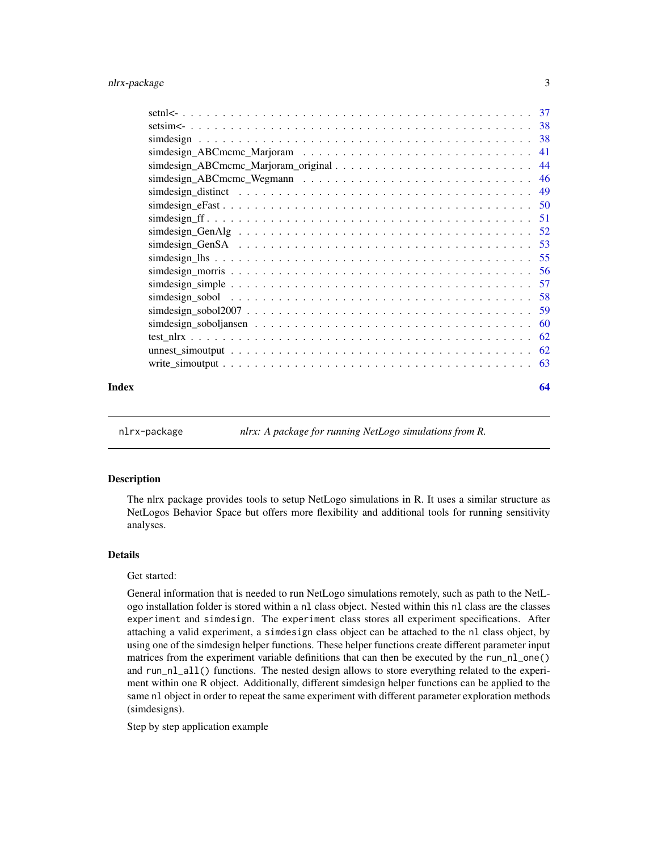<span id="page-2-0"></span>

| Index | 64 |
|-------|----|

nlrx-package *nlrx: A package for running NetLogo simulations from R.*

# Description

The nlrx package provides tools to setup NetLogo simulations in R. It uses a similar structure as NetLogos Behavior Space but offers more flexibility and additional tools for running sensitivity analyses.

#### Details

#### Get started:

General information that is needed to run NetLogo simulations remotely, such as path to the NetLogo installation folder is stored within a nl class object. Nested within this nl class are the classes experiment and simdesign. The experiment class stores all experiment specifications. After attaching a valid experiment, a simdesign class object can be attached to the nl class object, by using one of the simdesign helper functions. These helper functions create different parameter input matrices from the experiment variable definitions that can then be executed by the run\_nl\_one() and run\_nl\_all() functions. The nested design allows to store everything related to the experiment within one R object. Additionally, different simdesign helper functions can be applied to the same nl object in order to repeat the same experiment with different parameter exploration methods (simdesigns).

Step by step application example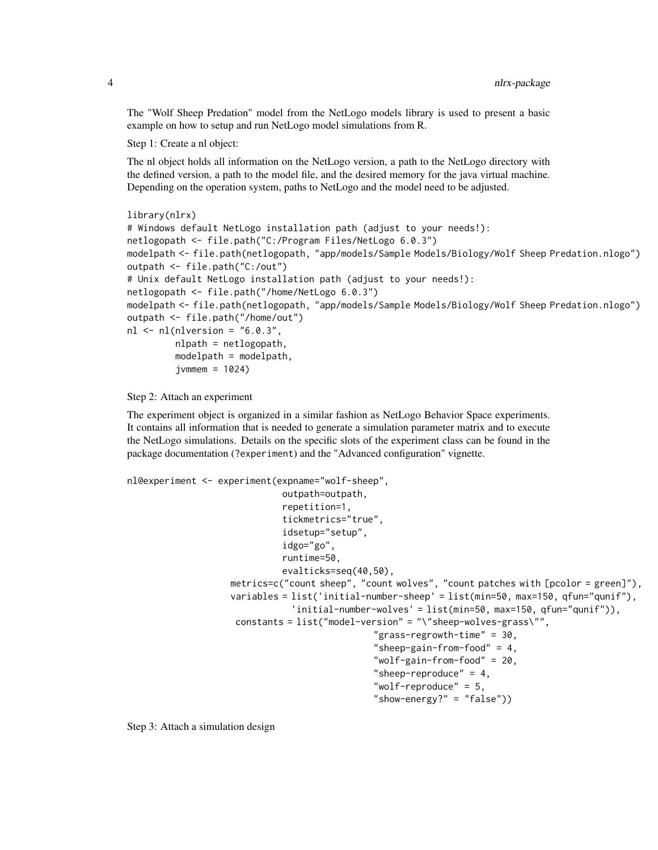The "Wolf Sheep Predation" model from the NetLogo models library is used to present a basic example on how to setup and run NetLogo model simulations from R.

Step 1: Create a nl object:

The nl object holds all information on the NetLogo version, a path to the NetLogo directory with the defined version, a path to the model file, and the desired memory for the java virtual machine. Depending on the operation system, paths to NetLogo and the model need to be adjusted.

```
library(nlrx)
# Windows default NetLogo installation path (adjust to your needs!):
netlogopath <- file.path("C:/Program Files/NetLogo 6.0.3")
modelpath <- file.path(netlogopath, "app/models/Sample Models/Biology/Wolf Sheep Predation.nlogo")
outpath <- file.path("C:/out")
# Unix default NetLogo installation path (adjust to your needs!):
netlogopath <- file.path("/home/NetLogo 6.0.3")
modelpath <- file.path(netlogopath, "app/models/Sample Models/Biology/Wolf Sheep Predation.nlogo")
outpath <- file.path("/home/out")
nl \leq nl(nlversion = "6.0.3",nlpath = netlogopath,
         modelpath = modelpath,
         jvmmem = 1024
```
Step 2: Attach an experiment

The experiment object is organized in a similar fashion as NetLogo Behavior Space experiments. It contains all information that is needed to generate a simulation parameter matrix and to execute the NetLogo simulations. Details on the specific slots of the experiment class can be found in the package documentation (?experiment) and the "Advanced configuration" vignette.

```
nl@experiment <- experiment(expname="wolf-sheep",
                             outpath=outpath,
                              repetition=1,
                              tickmetrics="true",
                              idsetup="setup",
                              idgo="go",
                              runtime=50,
                              evalticks=seq(40,50),
                   metrics=c("count sheep", "count wolves", "count patches with [pcolor = green]"),
                   variables = list('initial-number-sheep' = list(min=50, max=150, qfun="qunif"),
                               'initial-number-wolves' = list(min=50, max=150, qfun="qunif")),
                    constants = list("model-version" = "\"sheep-wolves-grass\"",
                                               "grass-regrowth-time" = 30,
                                               "sheep-gain-from-food" = 4,
                                               "wolf-gain-from-food" = 20,
                                               "sheep-reproduce" = 4,
                                               "wolf-reproduce" = 5,
                                               "show-energy?" = "false"))
```
Step 3: Attach a simulation design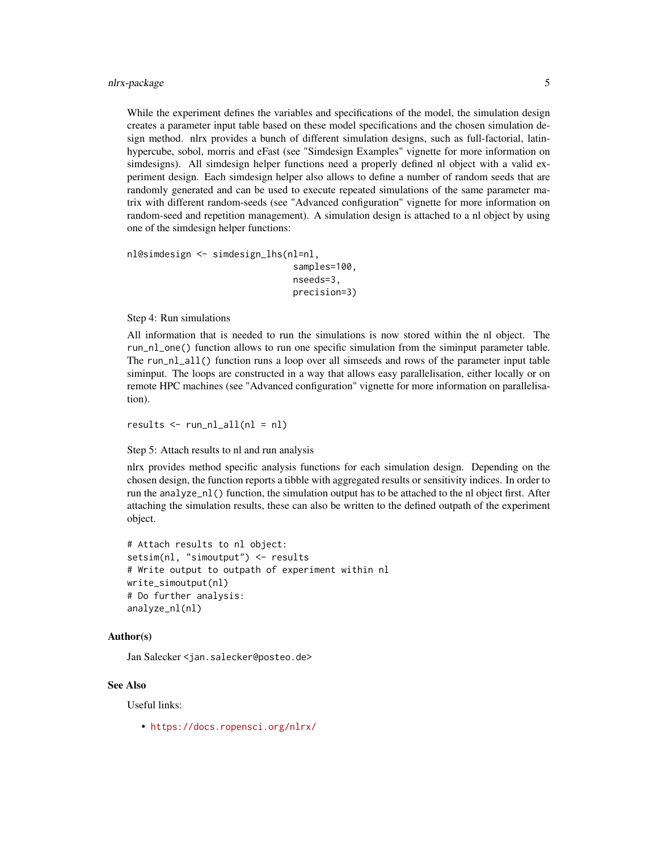While the experiment defines the variables and specifications of the model, the simulation design creates a parameter input table based on these model specifications and the chosen simulation design method. nlrx provides a bunch of different simulation designs, such as full-factorial, latinhypercube, sobol, morris and eFast (see "Simdesign Examples" vignette for more information on simdesigns). All simdesign helper functions need a properly defined nl object with a valid experiment design. Each simdesign helper also allows to define a number of random seeds that are randomly generated and can be used to execute repeated simulations of the same parameter matrix with different random-seeds (see "Advanced configuration" vignette for more information on random-seed and repetition management). A simulation design is attached to a nl object by using one of the simdesign helper functions:

```
nl@simdesign <- simdesign_lhs(nl=nl,
                                samples=100,
                                nseeds=3,
                                precision=3)
```
#### Step 4: Run simulations

All information that is needed to run the simulations is now stored within the nl object. The run\_nl\_one() function allows to run one specific simulation from the siminput parameter table. The run\_nl\_all() function runs a loop over all simseeds and rows of the parameter input table siminput. The loops are constructed in a way that allows easy parallelisation, either locally or on remote HPC machines (see "Advanced configuration" vignette for more information on parallelisation).

 $results < - run_n1_all(nl = n!)$ 

#### Step 5: Attach results to nl and run analysis

nlrx provides method specific analysis functions for each simulation design. Depending on the chosen design, the function reports a tibble with aggregated results or sensitivity indices. In order to run the analyze\_nl() function, the simulation output has to be attached to the nl object first. After attaching the simulation results, these can also be written to the defined outpath of the experiment object.

```
# Attach results to nl object:
setsim(nl, "simoutput") <- results
# Write output to outpath of experiment within nl
write_simoutput(nl)
# Do further analysis:
analyze_nl(nl)
```
## Author(s)

Jan Salecker <jan.salecker@posteo.de>

#### See Also

Useful links:

• <https://docs.ropensci.org/nlrx/>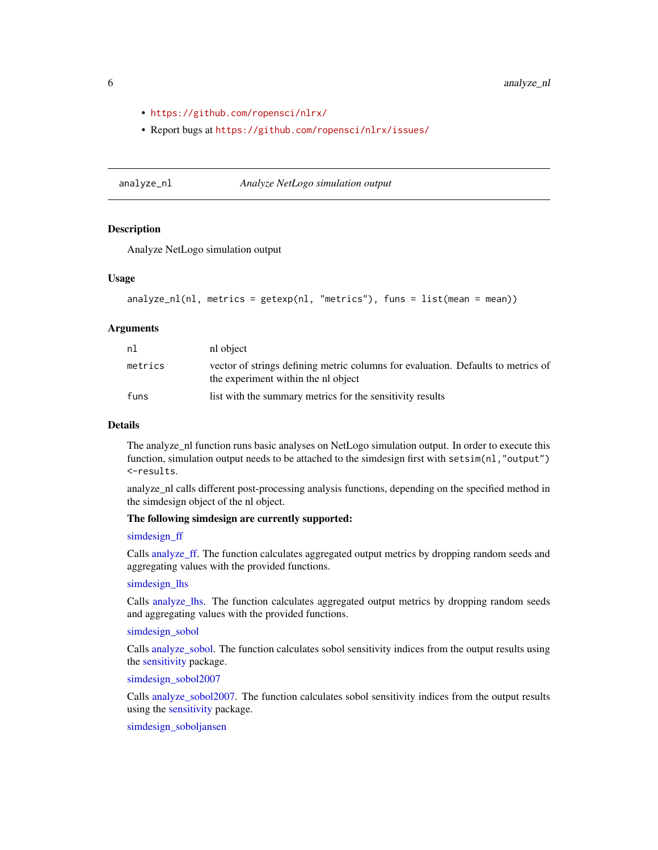- <span id="page-5-0"></span>• <https://github.com/ropensci/nlrx/>
- Report bugs at <https://github.com/ropensci/nlrx/issues/>

<span id="page-5-1"></span>analyze\_nl *Analyze NetLogo simulation output*

#### Description

Analyze NetLogo simulation output

#### Usage

```
analyze_nl(nl, metrics = getexp(nl, "metrics"), funs = list(mean = mean))
```
#### Arguments

| nl      | nl object                                                                                                               |
|---------|-------------------------------------------------------------------------------------------------------------------------|
| metrics | vector of strings defining metric columns for evaluation. Defaults to metrics of<br>the experiment within the nl object |
| funs    | list with the summary metrics for the sensitivity results                                                               |

# Details

The analyze\_nl function runs basic analyses on NetLogo simulation output. In order to execute this function, simulation output needs to be attached to the simdesign first with setsim(nl,"output") <-results.

analyze\_nl calls different post-processing analysis functions, depending on the specified method in the simdesign object of the nl object.

# The following simdesign are currently supported:

#### [simdesign\\_ff](#page-50-1)

Calls [analyze\\_ff.](#page-0-0) The function calculates aggregated output metrics by dropping random seeds and aggregating values with the provided functions.

#### [simdesign\\_lhs](#page-54-1)

Calls [analyze\\_lhs.](#page-0-0) The function calculates aggregated output metrics by dropping random seeds and aggregating values with the provided functions.

#### [simdesign\\_sobol](#page-57-1)

Calls [analyze\\_sobol.](#page-0-0) The function calculates sobol sensitivity indices from the output results using the [sensitivity](#page-0-0) package.

[simdesign\\_sobol2007](#page-58-1)

Calls [analyze\\_sobol2007.](#page-0-0) The function calculates sobol sensitivity indices from the output results using the [sensitivity](#page-0-0) package.

# [simdesign\\_soboljansen](#page-59-1)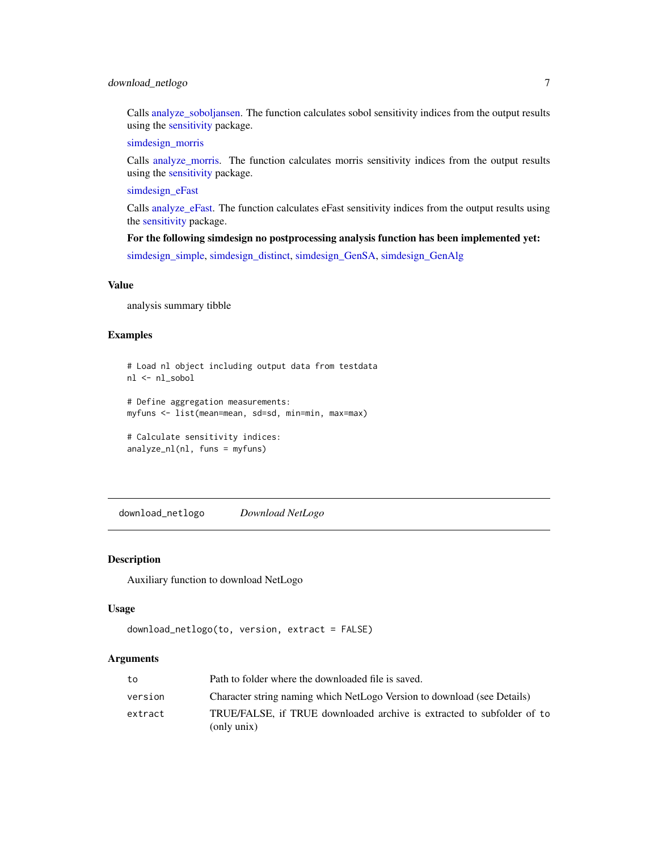# <span id="page-6-0"></span>download\_netlogo 7

Calls [analyze\\_soboljansen.](#page-0-0) The function calculates sobol sensitivity indices from the output results using the [sensitivity](#page-0-0) package.

[simdesign\\_morris](#page-55-1)

Calls [analyze\\_morris.](#page-0-0) The function calculates morris sensitivity indices from the output results using the [sensitivity](#page-0-0) package.

[simdesign\\_eFast](#page-49-1)

Calls [analyze\\_eFast.](#page-0-0) The function calculates eFast sensitivity indices from the output results using the [sensitivity](#page-0-0) package.

#### For the following simdesign no postprocessing analysis function has been implemented yet:

[simdesign\\_simple,](#page-56-1) [simdesign\\_distinct,](#page-48-1) [simdesign\\_GenSA,](#page-52-1) [simdesign\\_GenAlg](#page-51-1)

#### Value

analysis summary tibble

#### Examples

```
# Load nl object including output data from testdata
nl <- nl_sobol
```

```
# Define aggregation measurements:
myfuns <- list(mean=mean, sd=sd, min=min, max=max)
```

```
# Calculate sensitivity indices:
analyze_nl(nl, funs = myfuns)
```
download\_netlogo *Download NetLogo*

#### Description

Auxiliary function to download NetLogo

#### Usage

```
download_netlogo(to, version, extract = FALSE)
```

| to      | Path to folder where the downloaded file is saved.                                    |
|---------|---------------------------------------------------------------------------------------|
| version | Character string naming which NetLogo Version to download (see Details)               |
| extract | TRUE/FALSE, if TRUE downloaded archive is extracted to subfolder of to<br>(only unix) |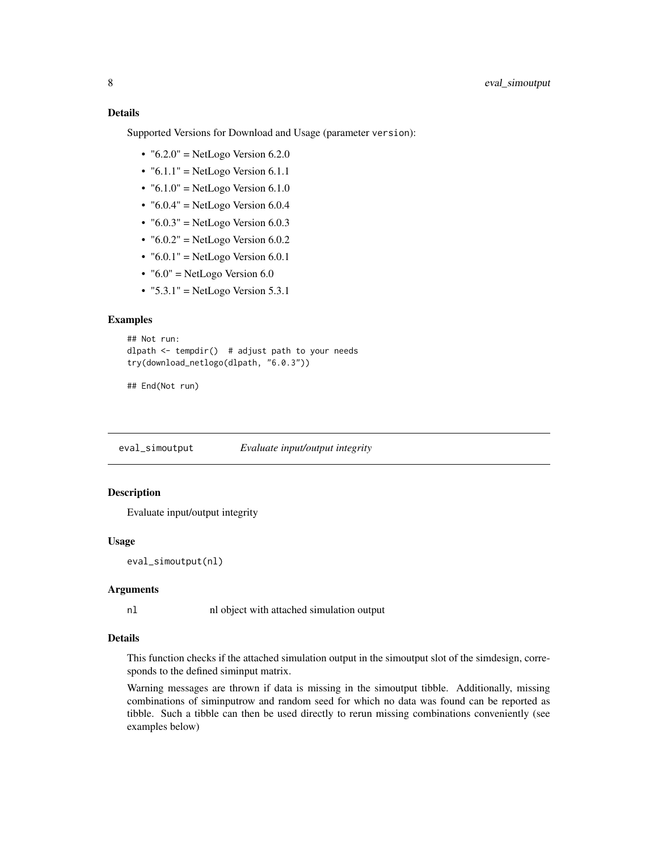<span id="page-7-0"></span>Supported Versions for Download and Usage (parameter version):

- " $6.2.0$ " = NetLogo Version  $6.2.0$
- " $6.1.1$ " = NetLogo Version  $6.1.1$
- " $6.1.0$ " = NetLogo Version  $6.1.0$
- " $6.0.4$ " = NetLogo Version  $6.0.4$
- " $6.0.3$ " = NetLogo Version  $6.0.3$
- " $6.0.2$ " = NetLogo Version  $6.0.2$
- " $6.0.1$ " = NetLogo Version  $6.0.1$
- $\cdot$  "6.0" = NetLogo Version 6.0
- " $5.3.1$ " = NetLogo Version  $5.3.1$

#### Examples

```
## Not run:
dlpath \leq tempdir() # adjust path to your needs
try(download_netlogo(dlpath, "6.0.3"))
```
## End(Not run)

eval\_simoutput *Evaluate input/output integrity*

#### **Description**

Evaluate input/output integrity

#### Usage

eval\_simoutput(nl)

# Arguments

nl nl object with attached simulation output

#### Details

This function checks if the attached simulation output in the simoutput slot of the simdesign, corresponds to the defined siminput matrix.

Warning messages are thrown if data is missing in the simoutput tibble. Additionally, missing combinations of siminputrow and random seed for which no data was found can be reported as tibble. Such a tibble can then be used directly to rerun missing combinations conveniently (see examples below)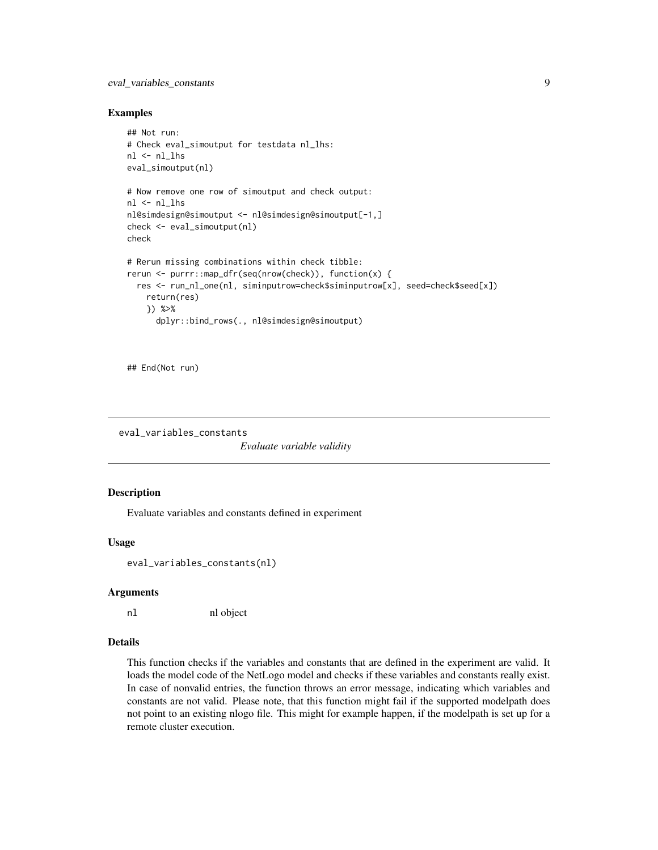# <span id="page-8-0"></span>eval\_variables\_constants 9

#### Examples

```
## Not run:
# Check eval_simoutput for testdata nl_lhs:
nl < nlhs
eval_simoutput(nl)
# Now remove one row of simoutput and check output:
nl <- nl_lhs
nl@simdesign@simoutput <- nl@simdesign@simoutput[-1,]
check <- eval_simoutput(nl)
check
# Rerun missing combinations within check tibble:
rerun <- purrr::map_dfr(seq(nrow(check)), function(x) {
  res <- run_nl_one(nl, siminputrow=check$siminputrow[x], seed=check$seed[x])
    return(res)
    }) %>%
      dplyr::bind_rows(., nl@simdesign@simoutput)
```
## End(Not run)

```
eval_variables_constants
```
*Evaluate variable validity*

#### **Description**

Evaluate variables and constants defined in experiment

#### Usage

eval\_variables\_constants(nl)

#### Arguments

nl nl object

#### Details

This function checks if the variables and constants that are defined in the experiment are valid. It loads the model code of the NetLogo model and checks if these variables and constants really exist. In case of nonvalid entries, the function throws an error message, indicating which variables and constants are not valid. Please note, that this function might fail if the supported modelpath does not point to an existing nlogo file. This might for example happen, if the modelpath is set up for a remote cluster execution.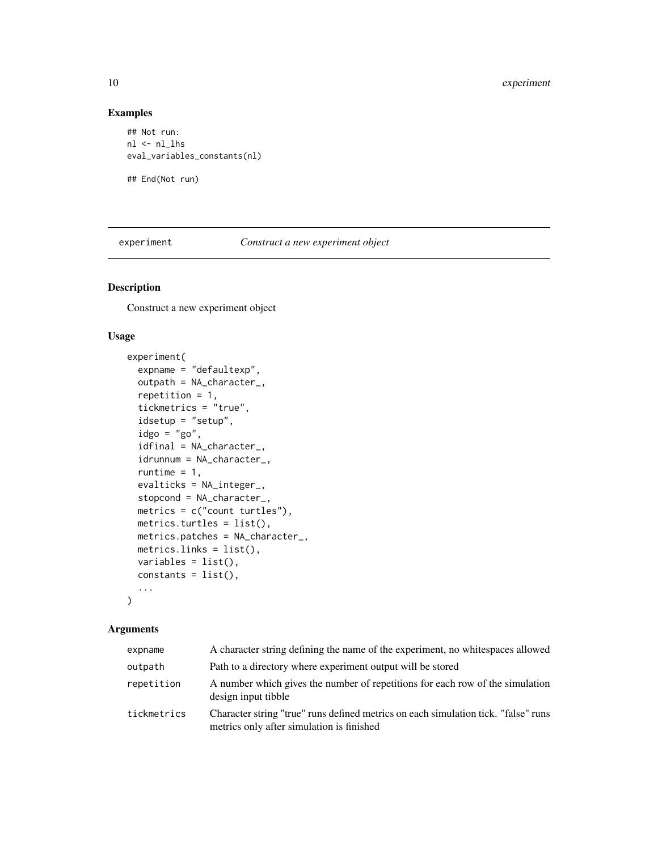# Examples

```
## Not run:
nl <- nl_lhs
eval_variables_constants(nl)
```
## End(Not run)

<span id="page-9-1"></span>experiment *Construct a new experiment object*

# Description

Construct a new experiment object

# Usage

```
experiment(
  expname = "defaultexp",
  outpath = NA_character_,
  repetition = 1,
  tickmetrics = "true",
  idsetup = "setup",
  idgo = "go",idfinal = NA_character_,
  idrunnum = NA_character_,
  runtime = 1,
  evalticks = NA_integer_,
  stopcond = NA_character_,
 metrics = c("count turtles"),
 metrics.turtles = list(),
 metrics.patches = NA_character_,
 metrics.links = list(),
 variables = list(),
  constants = list(),
  ...
)
```

| expname     | A character string defining the name of the experiment, no white spaces allowed                                                 |
|-------------|---------------------------------------------------------------------------------------------------------------------------------|
| outpath     | Path to a directory where experiment output will be stored                                                                      |
| repetition  | A number which gives the number of repetitions for each row of the simulation<br>design input tibble                            |
| tickmetrics | Character string "true" runs defined metrics on each simulation tick. "false" runs<br>metrics only after simulation is finished |

<span id="page-9-0"></span>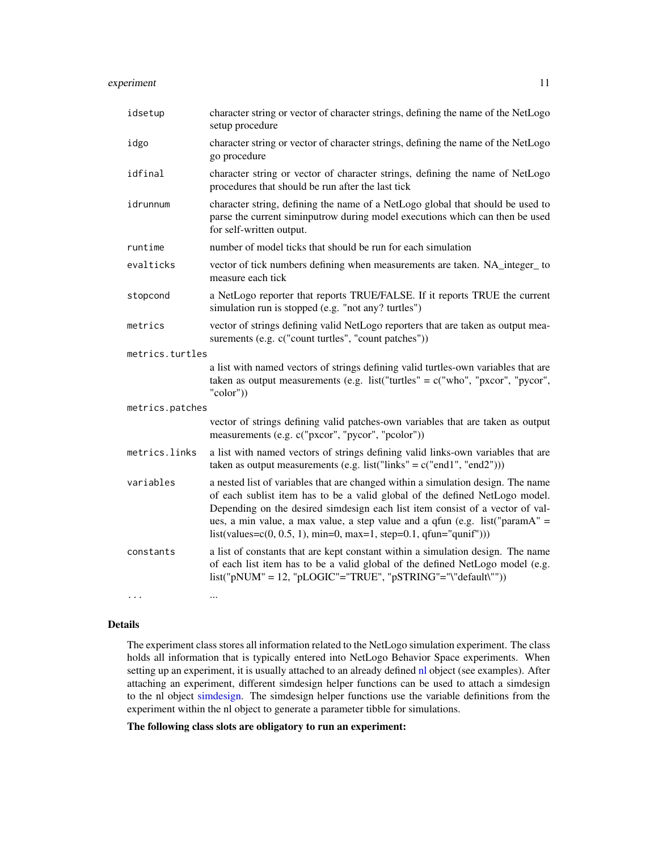# <span id="page-10-0"></span>experiment 11

| idsetup         | character string or vector of character strings, defining the name of the NetLogo<br>setup procedure                                                                                                                                                                                                                                                                                                    |
|-----------------|---------------------------------------------------------------------------------------------------------------------------------------------------------------------------------------------------------------------------------------------------------------------------------------------------------------------------------------------------------------------------------------------------------|
| idgo            | character string or vector of character strings, defining the name of the NetLogo<br>go procedure                                                                                                                                                                                                                                                                                                       |
| idfinal         | character string or vector of character strings, defining the name of NetLogo<br>procedures that should be run after the last tick                                                                                                                                                                                                                                                                      |
| idrunnum        | character string, defining the name of a NetLogo global that should be used to<br>parse the current siminputrow during model executions which can then be used<br>for self-written output.                                                                                                                                                                                                              |
| runtime         | number of model ticks that should be run for each simulation                                                                                                                                                                                                                                                                                                                                            |
| evalticks       | vector of tick numbers defining when measurements are taken. NA_integer_ to<br>measure each tick                                                                                                                                                                                                                                                                                                        |
| stopcond        | a NetLogo reporter that reports TRUE/FALSE. If it reports TRUE the current<br>simulation run is stopped (e.g. "not any? turtles")                                                                                                                                                                                                                                                                       |
| metrics         | vector of strings defining valid NetLogo reporters that are taken as output mea-<br>surements (e.g. c("count turtles", "count patches"))                                                                                                                                                                                                                                                                |
| metrics.turtles |                                                                                                                                                                                                                                                                                                                                                                                                         |
|                 | a list with named vectors of strings defining valid turtles-own variables that are<br>taken as output measurements (e.g. list("turtles" = $c$ ("who", "pxcor", "pycor",<br>"color"))                                                                                                                                                                                                                    |
| metrics.patches |                                                                                                                                                                                                                                                                                                                                                                                                         |
|                 | vector of strings defining valid patches-own variables that are taken as output<br>measurements (e.g. c("pxcor", "pycor", "pcolor"))                                                                                                                                                                                                                                                                    |
| metrics.links   | a list with named vectors of strings defining valid links-own variables that are<br>taken as output measurements (e.g. list("links" = $c("end1", "end2"))$ )                                                                                                                                                                                                                                            |
| variables       | a nested list of variables that are changed within a simulation design. The name<br>of each sublist item has to be a valid global of the defined NetLogo model.<br>Depending on the desired simdesign each list item consist of a vector of val-<br>ues, a min value, a max value, a step value and a qfun (e.g. list("paramA" =<br>$list(value = c(0, 0.5, 1), min=0, max=1, step=0.1, qfun='qunif'))$ |
| constants       | a list of constants that are kept constant within a simulation design. The name<br>of each list item has to be a valid global of the defined NetLogo model (e.g.<br>$list("pNUM" = 12, "pLOGIC" = "TRUE", "pSTRING" = "\"default("")$                                                                                                                                                                   |
| $\cdots$        | $\cdots$                                                                                                                                                                                                                                                                                                                                                                                                |

# Details

The experiment class stores all information related to the NetLogo simulation experiment. The class holds all information that is typically entered into NetLogo Behavior Space experiments. When setting up an experiment, it is usually attached to an already defined [nl](#page-17-1) object (see examples). After attaching an experiment, different simdesign helper functions can be used to attach a simdesign to the nl object [simdesign.](#page-37-1) The simdesign helper functions use the variable definitions from the experiment within the nl object to generate a parameter tibble for simulations.

The following class slots are obligatory to run an experiment: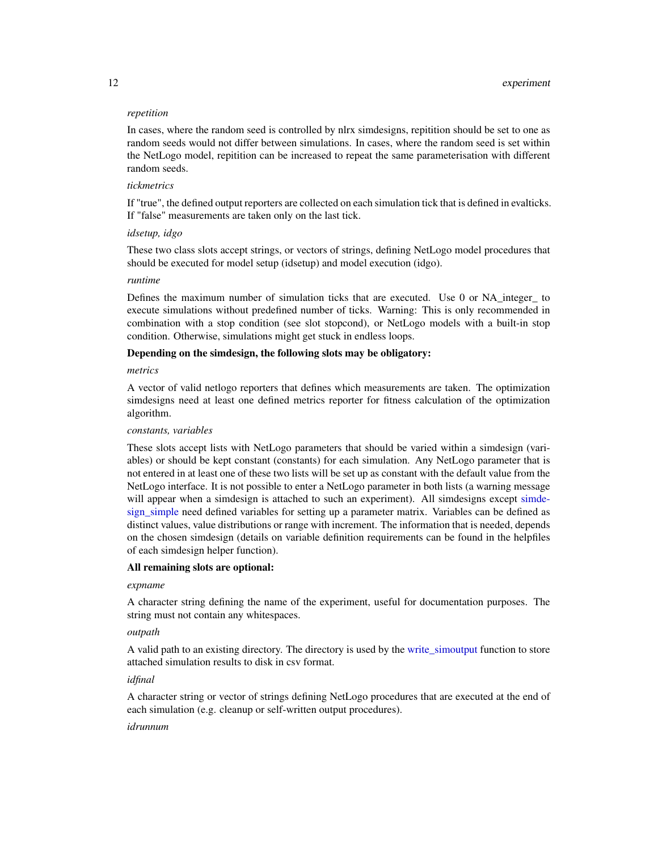#### <span id="page-11-0"></span>*repetition*

In cases, where the random seed is controlled by nlrx simdesigns, repitition should be set to one as random seeds would not differ between simulations. In cases, where the random seed is set within the NetLogo model, repitition can be increased to repeat the same parameterisation with different random seeds.

# *tickmetrics*

If "true", the defined output reporters are collected on each simulation tick that is defined in evalticks. If "false" measurements are taken only on the last tick.

#### *idsetup, idgo*

These two class slots accept strings, or vectors of strings, defining NetLogo model procedures that should be executed for model setup (idsetup) and model execution (idgo).

#### *runtime*

Defines the maximum number of simulation ticks that are executed. Use 0 or NA\_integer\_ to execute simulations without predefined number of ticks. Warning: This is only recommended in combination with a stop condition (see slot stopcond), or NetLogo models with a built-in stop condition. Otherwise, simulations might get stuck in endless loops.

# Depending on the simdesign, the following slots may be obligatory:

#### *metrics*

A vector of valid netlogo reporters that defines which measurements are taken. The optimization simdesigns need at least one defined metrics reporter for fitness calculation of the optimization algorithm.

#### *constants, variables*

These slots accept lists with NetLogo parameters that should be varied within a simdesign (variables) or should be kept constant (constants) for each simulation. Any NetLogo parameter that is not entered in at least one of these two lists will be set up as constant with the default value from the NetLogo interface. It is not possible to enter a NetLogo parameter in both lists (a warning message will appear when a simdesign is attached to such an experiment). All simdesigns except [simde](#page-56-1)[sign\\_simple](#page-56-1) need defined variables for setting up a parameter matrix. Variables can be defined as distinct values, value distributions or range with increment. The information that is needed, depends on the chosen simdesign (details on variable definition requirements can be found in the helpfiles of each simdesign helper function).

#### All remaining slots are optional:

# *expname*

A character string defining the name of the experiment, useful for documentation purposes. The string must not contain any whitespaces.

#### *outpath*

A valid path to an existing directory. The directory is used by the [write\\_simoutput](#page-62-1) function to store attached simulation results to disk in csv format.

#### *idfinal*

A character string or vector of strings defining NetLogo procedures that are executed at the end of each simulation (e.g. cleanup or self-written output procedures).

#### *idrunnum*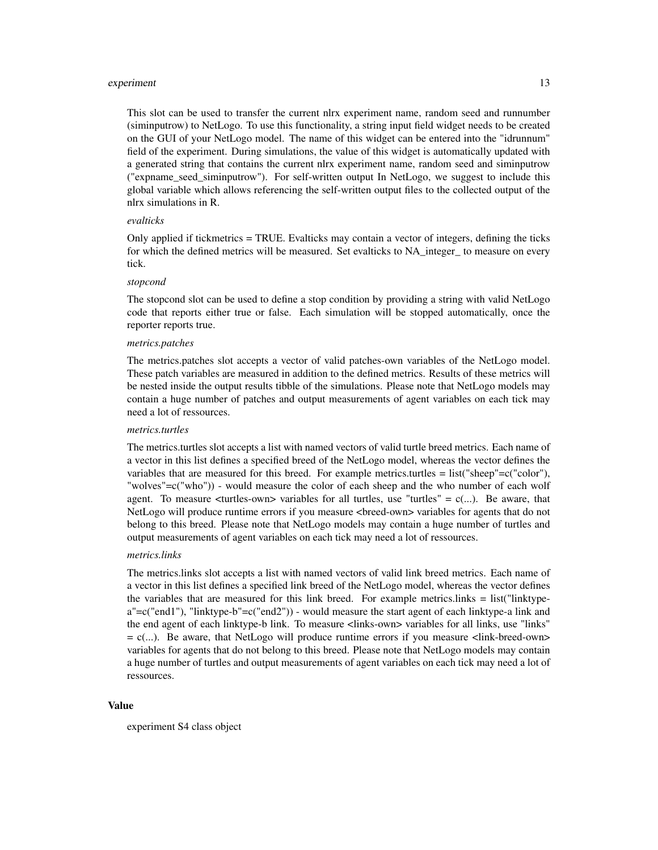#### experiment 13

This slot can be used to transfer the current nlrx experiment name, random seed and runnumber (siminputrow) to NetLogo. To use this functionality, a string input field widget needs to be created on the GUI of your NetLogo model. The name of this widget can be entered into the "idrunnum" field of the experiment. During simulations, the value of this widget is automatically updated with a generated string that contains the current nlrx experiment name, random seed and siminputrow ("expname\_seed\_siminputrow"). For self-written output In NetLogo, we suggest to include this global variable which allows referencing the self-written output files to the collected output of the nlrx simulations in R.

#### *evalticks*

Only applied if tickmetrics = TRUE. Evalticks may contain a vector of integers, defining the ticks for which the defined metrics will be measured. Set evalticks to NA\_integer\_ to measure on every tick.

#### *stopcond*

The stopcond slot can be used to define a stop condition by providing a string with valid NetLogo code that reports either true or false. Each simulation will be stopped automatically, once the reporter reports true.

#### *metrics.patches*

The metrics.patches slot accepts a vector of valid patches-own variables of the NetLogo model. These patch variables are measured in addition to the defined metrics. Results of these metrics will be nested inside the output results tibble of the simulations. Please note that NetLogo models may contain a huge number of patches and output measurements of agent variables on each tick may need a lot of ressources.

#### *metrics.turtles*

The metrics.turtles slot accepts a list with named vectors of valid turtle breed metrics. Each name of a vector in this list defines a specified breed of the NetLogo model, whereas the vector defines the variables that are measured for this breed. For example metrics.turtles = list("sheep"=c("color"), "wolves"=c("who")) - would measure the color of each sheep and the who number of each wolf agent. To measure  $\lt$ turtles-own> variables for all turtles, use "turtles" =  $c(...)$ . Be aware, that NetLogo will produce runtime errors if you measure <br/>breed-own> variables for agents that do not belong to this breed. Please note that NetLogo models may contain a huge number of turtles and output measurements of agent variables on each tick may need a lot of ressources.

#### *metrics.links*

The metrics.links slot accepts a list with named vectors of valid link breed metrics. Each name of a vector in this list defines a specified link breed of the NetLogo model, whereas the vector defines the variables that are measured for this link breed. For example metrics.links = list("linktypea"=c("end1"), "linktype-b"=c("end2")) - would measure the start agent of each linktype-a link and the end agent of each linktype-b link. To measure <links-own> variables for all links, use "links"  $= c(...)$ . Be aware, that NetLogo will produce runtime errors if you measure  $\langle$ link-breed-own> variables for agents that do not belong to this breed. Please note that NetLogo models may contain a huge number of turtles and output measurements of agent variables on each tick may need a lot of ressources.

#### Value

experiment S4 class object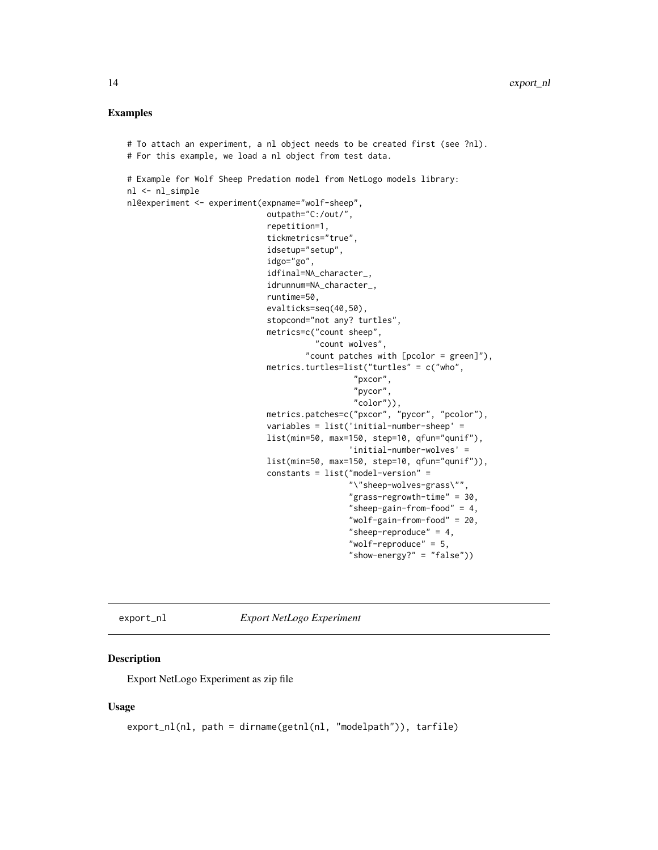#### <span id="page-13-0"></span>Examples

```
# To attach an experiment, a nl object needs to be created first (see ?nl).
# For this example, we load a nl object from test data.
# Example for Wolf Sheep Predation model from NetLogo models library:
nl <- nl_simple
nl@experiment <- experiment(expname="wolf-sheep",
                             outpath="C:/out/",
                             repetition=1,
                             tickmetrics="true",
                             idsetup="setup",
                             idgo="go",
                             idfinal=NA_character_,
                             idrunnum=NA_character_,
                             runtime=50,
                             evalticks=seq(40,50),
                             stopcond="not any? turtles",
                             metrics=c("count sheep",
                                       "count wolves",
                                     "count patches with [pcolor = green]"),
                             metrics.turtles=list("turtles" = c("who",
                                                "pxcor",
                                                "pycor",
                                                "color")),
                             metrics.patches=c("pxcor", "pycor", "pcolor"),
                             variables = list('initial-number-sheep' =
                             list(min=50, max=150, step=10, qfun="qunif"),
                                               'initial-number-wolves' =
                             list(min=50, max=150, step=10, qfun="qunif")),
                             constants = list("model-version" =
                                               "\"sheep-wolves-grass\"",
                                               "grass-regrowth-time" = 30,
                                               "sheep-gain-from-food" = 4,
                                               "wolf-gain-from-food" = 20,
                                               "sheep-reproduce" = 4,
                                               "wolf-reproduce" = 5,
                                               "show-energy?" = "false"))
```
export\_nl *Export NetLogo Experiment*

# Description

Export NetLogo Experiment as zip file

#### Usage

```
export_nl(nl, path = dirname(getnl(nl, "modelpath")), tarfile)
```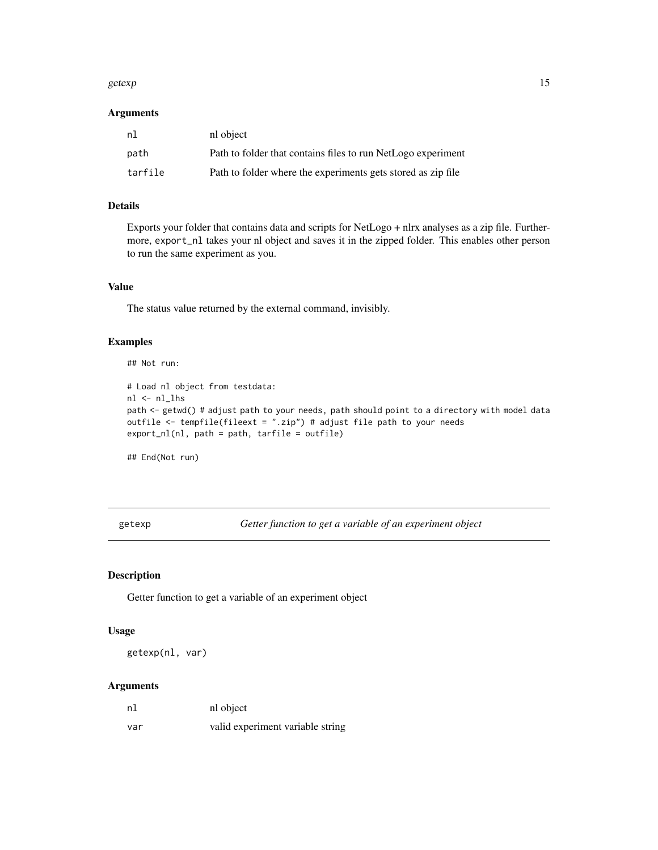#### <span id="page-14-0"></span>getexp and the set of the set of the set of the set of the set of the set of the set of the set of the set of the set of the set of the set of the set of the set of the set of the set of the set of the set of the set of th

# Arguments

| nl      | nl object                                                    |
|---------|--------------------------------------------------------------|
| path    | Path to folder that contains files to run NetLogo experiment |
| tarfile | Path to folder where the experiments gets stored as zip file |

# Details

Exports your folder that contains data and scripts for NetLogo + nlrx analyses as a zip file. Furthermore, export\_nl takes your nl object and saves it in the zipped folder. This enables other person to run the same experiment as you.

# Value

The status value returned by the external command, invisibly.

# Examples

## Not run:

```
# Load nl object from testdata:
nl <- nl_lhs
path <- getwd() # adjust path to your needs, path should point to a directory with model data
outfile <- tempfile(fileext = ".zip") # adjust file path to your needs
export_nl(nl, path = path, tarfile = outfile)
```
## End(Not run)

getexp *Getter function to get a variable of an experiment object*

# Description

Getter function to get a variable of an experiment object

# Usage

getexp(nl, var)

| nl  | nl object                        |
|-----|----------------------------------|
| var | valid experiment variable string |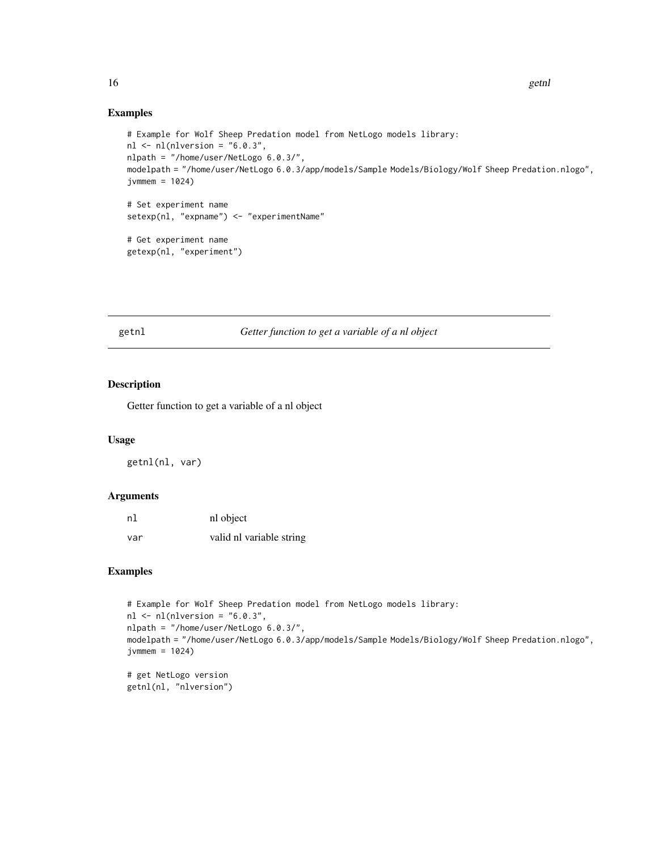# Examples

```
# Example for Wolf Sheep Predation model from NetLogo models library:
nl <- nl(nlversion = "6.0.3",
nlpath = "/home/user/NetLogo 6.0.3/",
modelpath = "/home/user/NetLogo 6.0.3/app/models/Sample Models/Biology/Wolf Sheep Predation.nlogo",
jvmmem = 1024# Set experiment name
setexp(nl, "expname") <- "experimentName"
# Get experiment name
getexp(nl, "experiment")
```
getnl *Getter function to get a variable of a nl object*

# Description

Getter function to get a variable of a nl object

#### Usage

getnl(nl, var)

# Arguments

| nl  | nl object                |
|-----|--------------------------|
| var | valid nl variable string |

#### Examples

```
# Example for Wolf Sheep Predation model from NetLogo models library:
nl <- nl(nlversion = "6.0.3",
nlpath = "/home/user/NetLogo 6.0.3/",
modelpath = "/home/user/NetLogo 6.0.3/app/models/Sample Models/Biology/Wolf Sheep Predation.nlogo",
jvmmem = 1024
```
# get NetLogo version getnl(nl, "nlversion")

<span id="page-15-0"></span>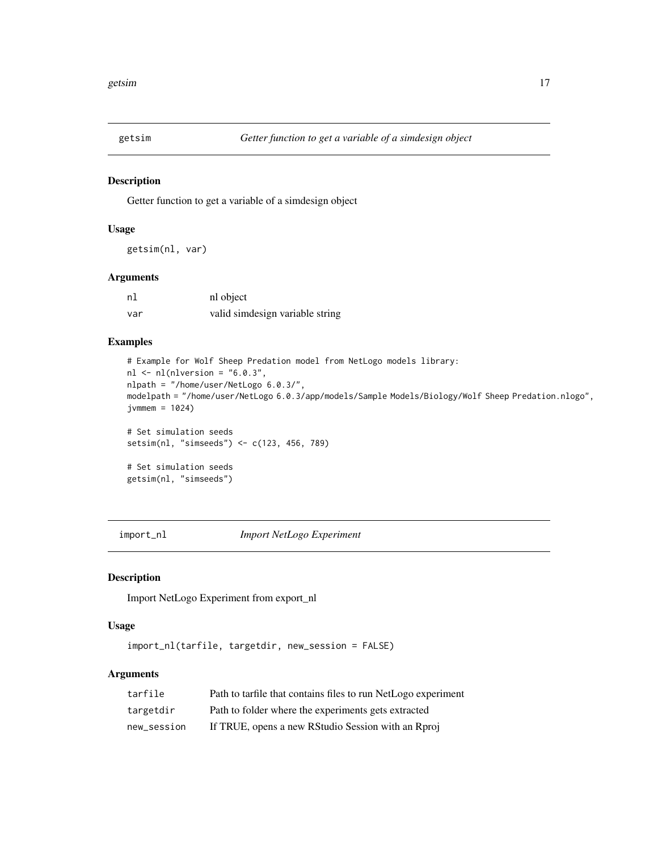<span id="page-16-0"></span>

Getter function to get a variable of a simdesign object

# Usage

getsim(nl, var)

# Arguments

| n1  | nl object                       |
|-----|---------------------------------|
| var | valid simdesign variable string |

# Examples

```
# Example for Wolf Sheep Predation model from NetLogo models library:
nl \leftarrow nl(nlversion = "6.0.3",nlpath = "/home/user/NetLogo 6.0.3/",
modelpath = "/home/user/NetLogo 6.0.3/app/models/Sample Models/Biology/Wolf Sheep Predation.nlogo",
jvmmem = 1024)
# Set simulation seeds
setsim(nl, "simseeds") <- c(123, 456, 789)
# Set simulation seeds
getsim(nl, "simseeds")
```
import\_nl *Import NetLogo Experiment*

# Description

Import NetLogo Experiment from export\_nl

#### Usage

import\_nl(tarfile, targetdir, new\_session = FALSE)

| tarfile     | Path to tarfile that contains files to run NetLogo experiment |
|-------------|---------------------------------------------------------------|
| targetdir   | Path to folder where the experiments gets extracted           |
| new_session | If TRUE, opens a new RStudio Session with an Rproj            |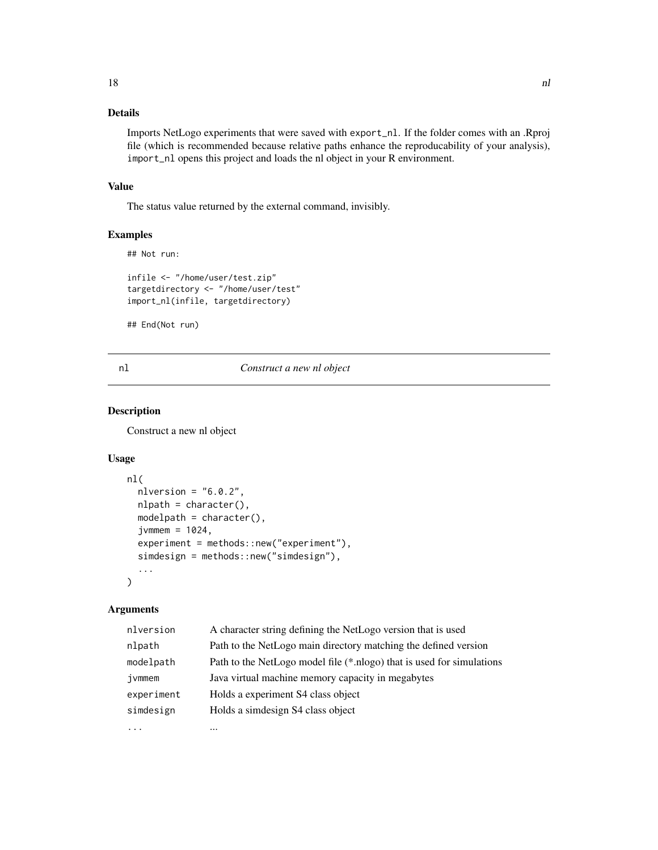<span id="page-17-0"></span>Imports NetLogo experiments that were saved with export\_nl. If the folder comes with an .Rproj file (which is recommended because relative paths enhance the reproducability of your analysis), import\_nl opens this project and loads the nl object in your R environment.

# Value

The status value returned by the external command, invisibly.

#### Examples

```
## Not run:
infile <- "/home/user/test.zip"
targetdirectory <- "/home/user/test"
import_nl(infile, targetdirectory)
```
## End(Not run)

#### nl *Construct a new nl object*

#### Description

Construct a new nl object

#### Usage

```
nl(
  nlversion = "6.0.2",nlpath = character(),
  modelpath = character(),
  jvmmem = 1024,
  experiment = methods::new("experiment"),
  simdesign = methods::new("simdesign"),
  ...
\mathcal{L}
```

| nlversion  | A character string defining the NetLogo version that is used          |
|------------|-----------------------------------------------------------------------|
| nlpath     | Path to the NetLogo main directory matching the defined version       |
| modelpath  | Path to the NetLogo model file (*.nlogo) that is used for simulations |
| ivmmem     | Java virtual machine memory capacity in megabytes                     |
| experiment | Holds a experiment S4 class object                                    |
| simdesign  | Holds a simdesign S4 class object                                     |
|            |                                                                       |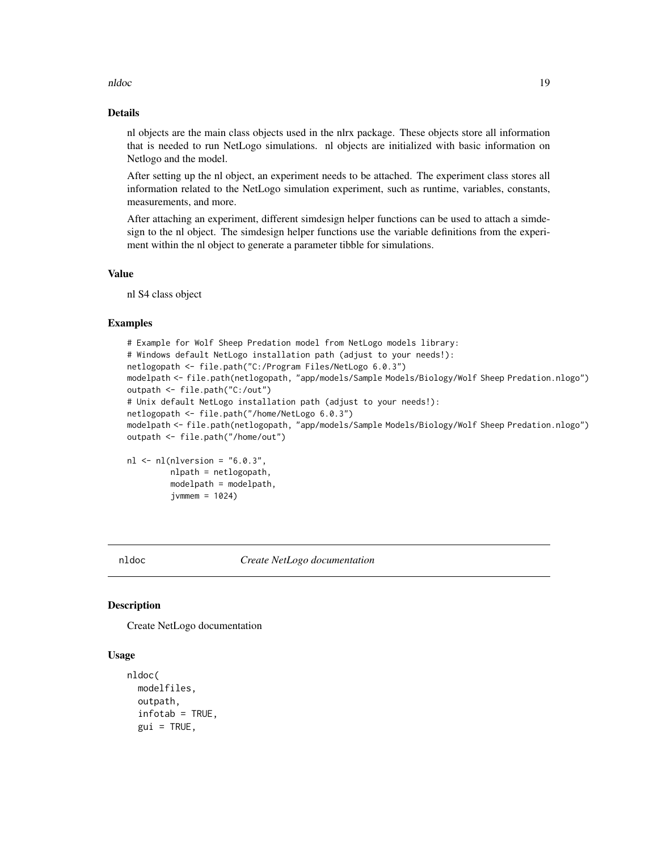<span id="page-18-0"></span>nldoc and the contract of the contract of the contract of the contract of the contract of the contract of the contract of the contract of the contract of the contract of the contract of the contract of the contract of the

# Details

nl objects are the main class objects used in the nlrx package. These objects store all information that is needed to run NetLogo simulations. nl objects are initialized with basic information on Netlogo and the model.

After setting up the nl object, an experiment needs to be attached. The experiment class stores all information related to the NetLogo simulation experiment, such as runtime, variables, constants, measurements, and more.

After attaching an experiment, different simdesign helper functions can be used to attach a simdesign to the nl object. The simdesign helper functions use the variable definitions from the experiment within the nl object to generate a parameter tibble for simulations.

#### Value

nl S4 class object

### Examples

```
# Example for Wolf Sheep Predation model from NetLogo models library:
# Windows default NetLogo installation path (adjust to your needs!):
netlogopath <- file.path("C:/Program Files/NetLogo 6.0.3")
modelpath <- file.path(netlogopath, "app/models/Sample Models/Biology/Wolf Sheep Predation.nlogo")
outpath <- file.path("C:/out")
# Unix default NetLogo installation path (adjust to your needs!):
netlogopath <- file.path("/home/NetLogo 6.0.3")
modelpath <- file.path(netlogopath, "app/models/Sample Models/Biology/Wolf Sheep Predation.nlogo")
outpath <- file.path("/home/out")
nl \leftarrow nl(nlversion = "6.0.3",
```

```
nlpath = netlogopath,
modelpath = modelpath,
jvmmem = 1024
```
nldoc *Create NetLogo documentation*

# Description

Create NetLogo documentation

#### Usage

```
nldoc(
 modelfiles,
  outpath,
  infotab = TRUE,gui = TRUE,
```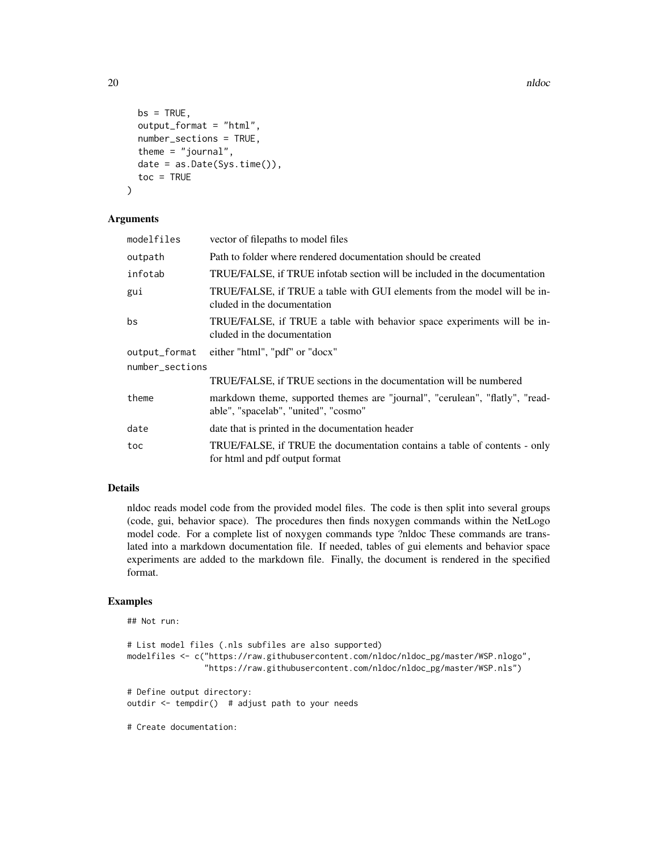```
bs = TRUE,output_format = "html",
 number_sections = TRUE,
 theme = "journal",date = as.Date(Sys.time()),
 toc = TRUE
)
```
# Arguments

| modelfiles      | vector of filepaths to model files                                                                                   |
|-----------------|----------------------------------------------------------------------------------------------------------------------|
| outpath         | Path to folder where rendered documentation should be created                                                        |
| infotab         | TRUE/FALSE, if TRUE infotab section will be included in the documentation                                            |
| gui             | TRUE/FALSE, if TRUE a table with GUI elements from the model will be in-<br>cluded in the documentation              |
| bs              | TRUE/FALSE, if TRUE a table with behavior space experiments will be in-<br>cluded in the documentation               |
| output_format   | either "html", "pdf" or "docx"                                                                                       |
| number_sections |                                                                                                                      |
|                 | TRUE/FALSE, if TRUE sections in the documentation will be numbered                                                   |
| theme           | markdown theme, supported themes are "journal", "cerulean", "flatly", "read-<br>able", "spacelab", "united", "cosmo" |
| date            | date that is printed in the documentation header                                                                     |
| toc             | TRUE/FALSE, if TRUE the documentation contains a table of contents - only<br>for html and pdf output format          |

#### Details

nldoc reads model code from the provided model files. The code is then split into several groups (code, gui, behavior space). The procedures then finds noxygen commands within the NetLogo model code. For a complete list of noxygen commands type ?nldoc These commands are translated into a markdown documentation file. If needed, tables of gui elements and behavior space experiments are added to the markdown file. Finally, the document is rendered in the specified format.

# Examples

```
## Not run:
# List model files (.nls subfiles are also supported)
modelfiles <- c("https://raw.githubusercontent.com/nldoc/nldoc_pg/master/WSP.nlogo",
                "https://raw.githubusercontent.com/nldoc/nldoc_pg/master/WSP.nls")
# Define output directory:
outdir <- tempdir() # adjust path to your needs
# Create documentation:
```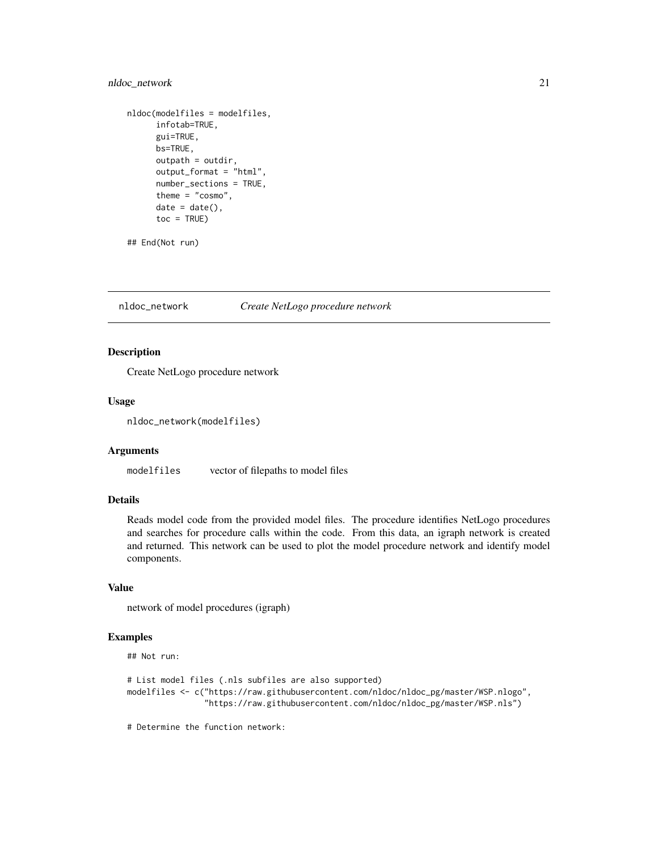# <span id="page-20-0"></span>nldoc\_network 21

```
nldoc(modelfiles = modelfiles,
     infotab=TRUE,
     gui=TRUE,
     bs=TRUE,
     outpath = outdir,
     output_format = "html",
     number_sections = TRUE,
     theme = "cosmo",date = date(),toc = TRUE)
```
## End(Not run)

nldoc\_network *Create NetLogo procedure network*

# Description

Create NetLogo procedure network

#### Usage

```
nldoc_network(modelfiles)
```
#### Arguments

modelfiles vector of filepaths to model files

# Details

Reads model code from the provided model files. The procedure identifies NetLogo procedures and searches for procedure calls within the code. From this data, an igraph network is created and returned. This network can be used to plot the model procedure network and identify model components.

# Value

network of model procedures (igraph)

# Examples

## Not run:

```
# List model files (.nls subfiles are also supported)
modelfiles <- c("https://raw.githubusercontent.com/nldoc/nldoc_pg/master/WSP.nlogo",
                "https://raw.githubusercontent.com/nldoc/nldoc_pg/master/WSP.nls")
```
# Determine the function network: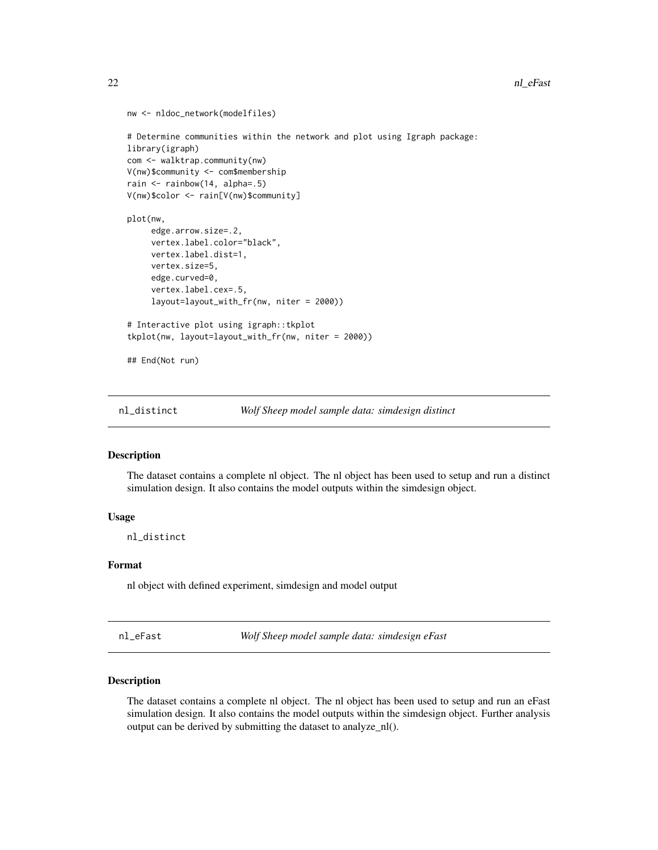```
nw <- nldoc_network(modelfiles)
# Determine communities within the network and plot using Igraph package:
library(igraph)
com <- walktrap.community(nw)
V(nw)$community <- com$membership
rain <- rainbow(14, alpha=.5)
V(nw)$color <- rain[V(nw)$community]
plot(nw,
     edge.arrow.size=.2,
     vertex.label.color="black",
     vertex.label.dist=1,
     vertex.size=5,
     edge.curved=0,
     vertex.label.cex=.5,
     layout=layout_with_fr(nw, niter = 2000))
# Interactive plot using igraph::tkplot
tkplot(nw, layout=layout_with_fr(nw, niter = 2000))
## End(Not run)
```
nl\_distinct *Wolf Sheep model sample data: simdesign distinct*

# **Description**

The dataset contains a complete nl object. The nl object has been used to setup and run a distinct simulation design. It also contains the model outputs within the simdesign object.

#### Usage

nl\_distinct

# Format

nl object with defined experiment, simdesign and model output

nl\_eFast *Wolf Sheep model sample data: simdesign eFast*

# Description

The dataset contains a complete nl object. The nl object has been used to setup and run an eFast simulation design. It also contains the model outputs within the simdesign object. Further analysis output can be derived by submitting the dataset to analyze\_nl().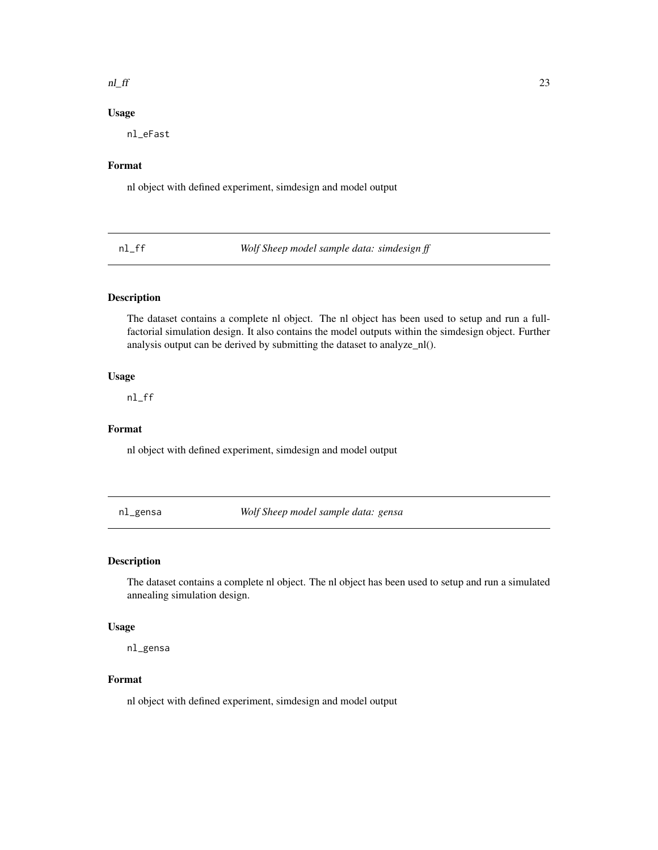#### <span id="page-22-0"></span> $n$  and  $n$  23

# Usage

nl\_eFast

# Format

nl object with defined experiment, simdesign and model output

nl\_ff *Wolf Sheep model sample data: simdesign ff*

#### Description

The dataset contains a complete nl object. The nl object has been used to setup and run a fullfactorial simulation design. It also contains the model outputs within the simdesign object. Further analysis output can be derived by submitting the dataset to analyze\_nl().

### Usage

nl\_ff

# Format

nl object with defined experiment, simdesign and model output

nl\_gensa *Wolf Sheep model sample data: gensa*

# Description

The dataset contains a complete nl object. The nl object has been used to setup and run a simulated annealing simulation design.

# Usage

nl\_gensa

# Format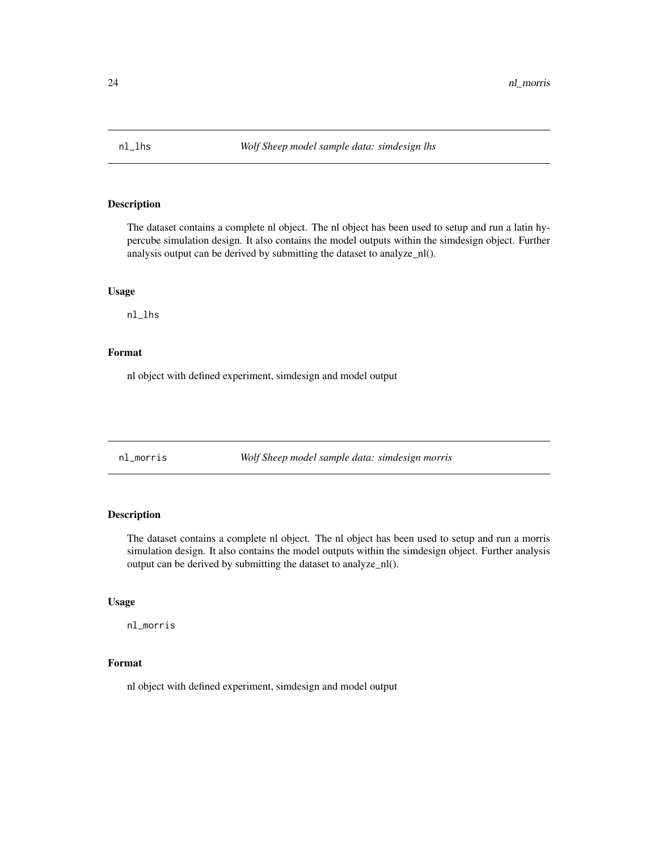<span id="page-23-0"></span>

The dataset contains a complete nl object. The nl object has been used to setup and run a latin hypercube simulation design. It also contains the model outputs within the simdesign object. Further analysis output can be derived by submitting the dataset to analyze\_nl().

#### Usage

nl\_lhs

# Format

nl object with defined experiment, simdesign and model output

nl\_morris *Wolf Sheep model sample data: simdesign morris*

# Description

The dataset contains a complete nl object. The nl object has been used to setup and run a morris simulation design. It also contains the model outputs within the simdesign object. Further analysis output can be derived by submitting the dataset to analyze\_nl().

# Usage

nl\_morris

# Format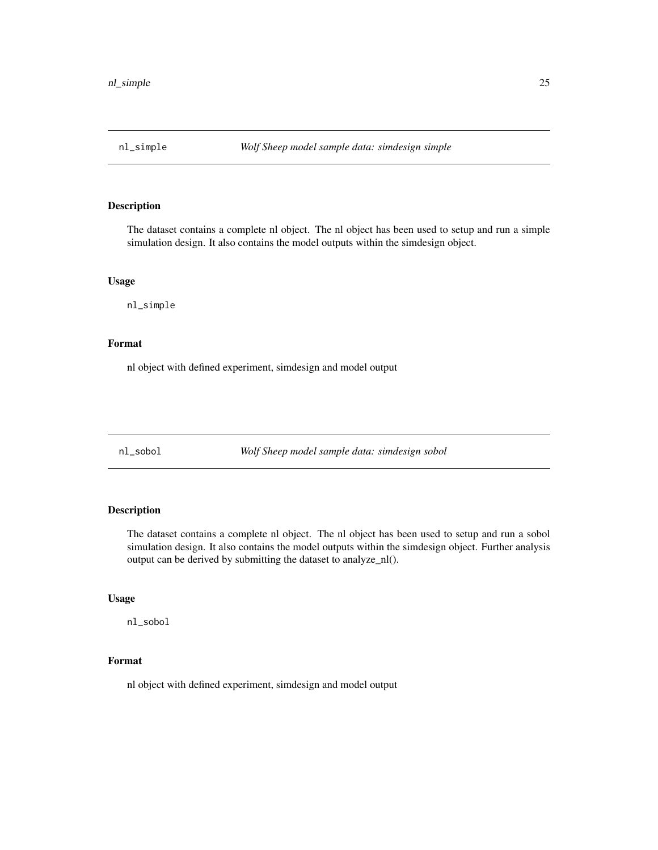<span id="page-24-0"></span>

The dataset contains a complete nl object. The nl object has been used to setup and run a simple simulation design. It also contains the model outputs within the simdesign object.

# Usage

nl\_simple

# Format

nl object with defined experiment, simdesign and model output

nl\_sobol *Wolf Sheep model sample data: simdesign sobol*

# Description

The dataset contains a complete nl object. The nl object has been used to setup and run a sobol simulation design. It also contains the model outputs within the simdesign object. Further analysis output can be derived by submitting the dataset to analyze\_nl().

# Usage

nl\_sobol

# Format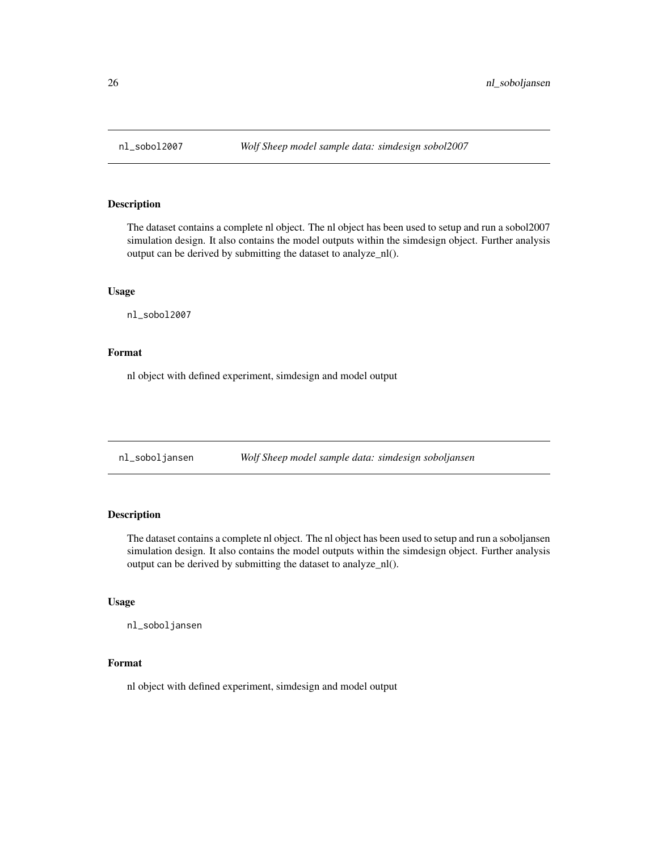<span id="page-25-0"></span>

The dataset contains a complete nl object. The nl object has been used to setup and run a sobol2007 simulation design. It also contains the model outputs within the simdesign object. Further analysis output can be derived by submitting the dataset to analyze\_nl().

#### Usage

nl\_sobol2007

# Format

nl object with defined experiment, simdesign and model output

nl\_soboljansen *Wolf Sheep model sample data: simdesign soboljansen*

# Description

The dataset contains a complete nl object. The nl object has been used to setup and run a soboljansen simulation design. It also contains the model outputs within the simdesign object. Further analysis output can be derived by submitting the dataset to analyze\_nl().

# Usage

nl\_soboljansen

# Format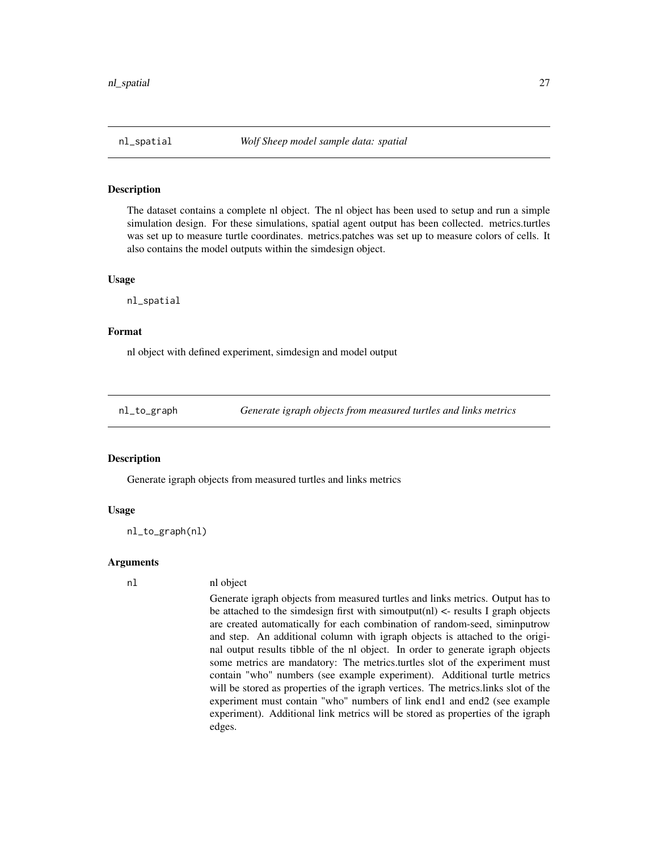<span id="page-26-0"></span>The dataset contains a complete nl object. The nl object has been used to setup and run a simple simulation design. For these simulations, spatial agent output has been collected. metrics.turtles was set up to measure turtle coordinates. metrics.patches was set up to measure colors of cells. It also contains the model outputs within the simdesign object.

#### Usage

nl\_spatial

# Format

nl object with defined experiment, simdesign and model output

nl\_to\_graph *Generate igraph objects from measured turtles and links metrics*

#### Description

Generate igraph objects from measured turtles and links metrics

#### Usage

nl\_to\_graph(nl)

#### Arguments

## nl nl object

Generate igraph objects from measured turtles and links metrics. Output has to be attached to the simdesign first with simoutput(nl)  $\lt$ - results I graph objects are created automatically for each combination of random-seed, siminputrow and step. An additional column with igraph objects is attached to the original output results tibble of the nl object. In order to generate igraph objects some metrics are mandatory: The metrics.turtles slot of the experiment must contain "who" numbers (see example experiment). Additional turtle metrics will be stored as properties of the igraph vertices. The metrics.links slot of the experiment must contain "who" numbers of link end1 and end2 (see example experiment). Additional link metrics will be stored as properties of the igraph edges.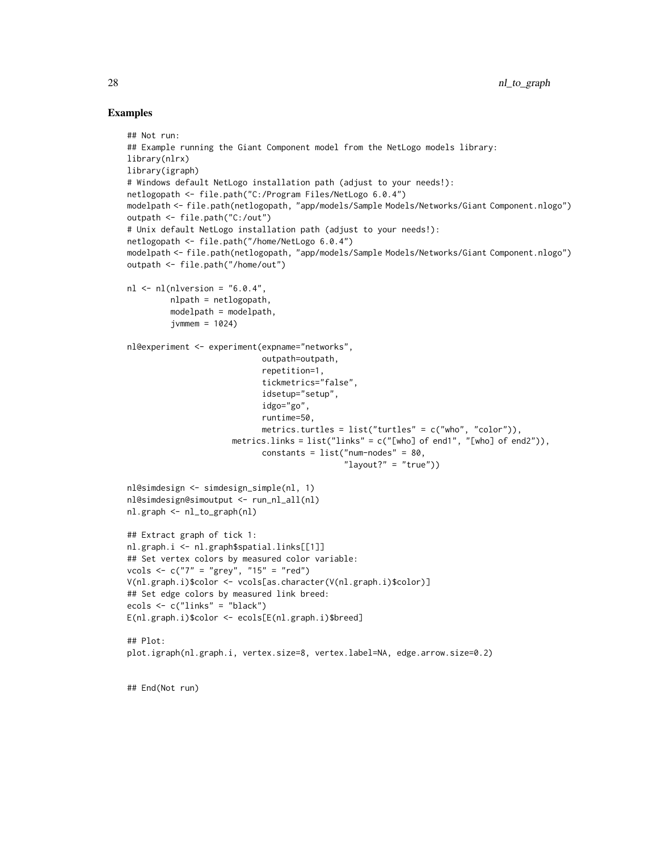#### Examples

```
## Not run:
## Example running the Giant Component model from the NetLogo models library:
library(nlrx)
library(igraph)
# Windows default NetLogo installation path (adjust to your needs!):
netlogopath <- file.path("C:/Program Files/NetLogo 6.0.4")
modelpath <- file.path(netlogopath, "app/models/Sample Models/Networks/Giant Component.nlogo")
outpath <- file.path("C:/out")
# Unix default NetLogo installation path (adjust to your needs!):
netlogopath <- file.path("/home/NetLogo 6.0.4")
modelpath <- file.path(netlogopath, "app/models/Sample Models/Networks/Giant Component.nlogo")
outpath <- file.path("/home/out")
nl < -nl(nlversion = "6.0.4",nlpath = netlogopath,
         modelpath = modelpath,
         jvmmem = 1024nl@experiment <- experiment(expname="networks",
                            outpath=outpath,
                            repetition=1,
                            tickmetrics="false",
                            idsetup="setup",
                            idgo="go",
                            runtime=50,
                            metrics.turtles = list("turtles" = c("who", "color")),
                      metrics.links = list("links" = c("[who] of end1", "[who] of end2")),
                            constants = list("num-nodes" = 80,
                                             "layout?" = "true")nl@simdesign <- simdesign_simple(nl, 1)
nl@simdesign@simoutput <- run_nl_all(nl)
nl.graph <- nl_to_graph(nl)
## Extract graph of tick 1:
nl.graph.i <- nl.graph$spatial.links[[1]]
## Set vertex colors by measured color variable:
vcols <- c("7" = "grey", "15" = "red")
V(nl.graph.i)$color <- vcols[as.character(V(nl.graph.i)$color)]
## Set edge colors by measured link breed:
ecols <- c("links" = "black")
E(nl.graph.i)$color <- ecols[E(nl.graph.i)$breed]
## Plot:
plot.igraph(nl.graph.i, vertex.size=8, vertex.label=NA, edge.arrow.size=0.2)
## End(Not run)
```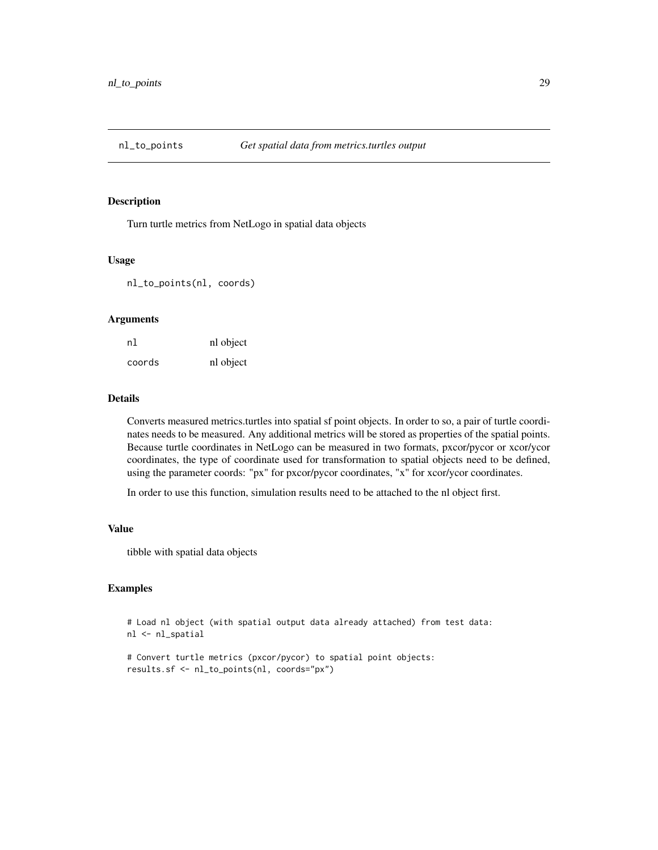<span id="page-28-0"></span>

Turn turtle metrics from NetLogo in spatial data objects

# Usage

nl\_to\_points(nl, coords)

#### Arguments

| nl     | nl object |
|--------|-----------|
| coords | nl object |

#### Details

Converts measured metrics.turtles into spatial sf point objects. In order to so, a pair of turtle coordinates needs to be measured. Any additional metrics will be stored as properties of the spatial points. Because turtle coordinates in NetLogo can be measured in two formats, pxcor/pycor or xcor/ycor coordinates, the type of coordinate used for transformation to spatial objects need to be defined, using the parameter coords: "px" for pxcor/pycor coordinates, "x" for xcor/ycor coordinates.

In order to use this function, simulation results need to be attached to the nl object first.

#### Value

tibble with spatial data objects

# Examples

```
# Load nl object (with spatial output data already attached) from test data:
nl <- nl_spatial
```

```
# Convert turtle metrics (pxcor/pycor) to spatial point objects:
results.sf <- nl_to_points(nl, coords="px")
```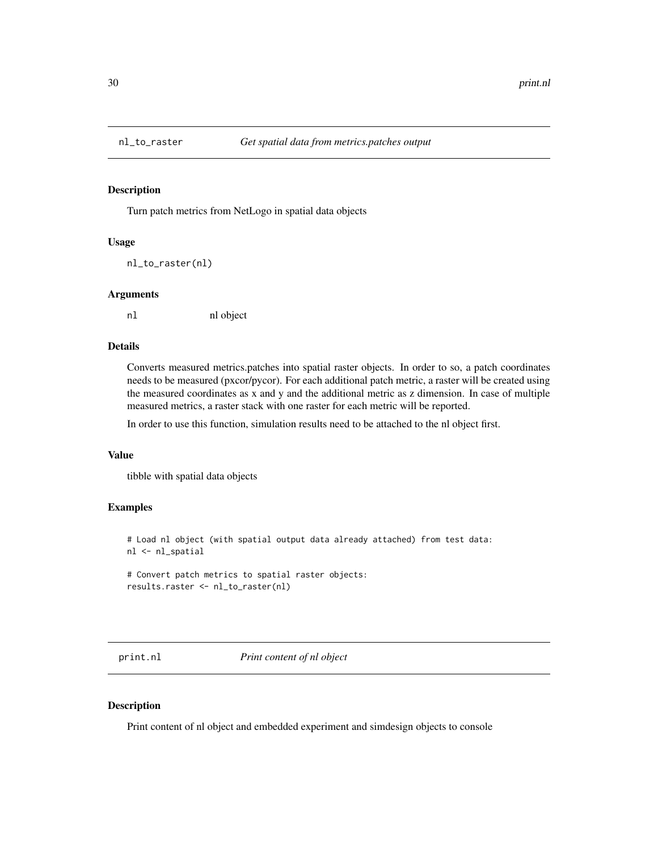<span id="page-29-0"></span>

Turn patch metrics from NetLogo in spatial data objects

# Usage

nl\_to\_raster(nl)

#### Arguments

nl nl object

# Details

Converts measured metrics.patches into spatial raster objects. In order to so, a patch coordinates needs to be measured (pxcor/pycor). For each additional patch metric, a raster will be created using the measured coordinates as x and y and the additional metric as z dimension. In case of multiple measured metrics, a raster stack with one raster for each metric will be reported.

In order to use this function, simulation results need to be attached to the nl object first.

# Value

tibble with spatial data objects

# Examples

# Load nl object (with spatial output data already attached) from test data: nl <- nl\_spatial

```
# Convert patch metrics to spatial raster objects:
results.raster <- nl_to_raster(nl)
```
print.nl *Print content of nl object*

# Description

Print content of nl object and embedded experiment and simdesign objects to console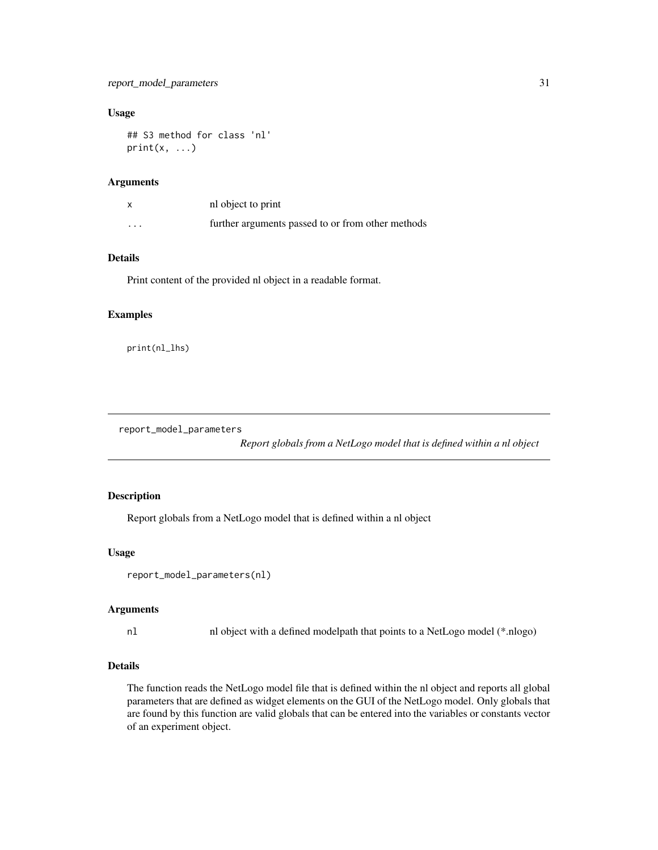# <span id="page-30-0"></span>report\_model\_parameters 31

# Usage

```
## S3 method for class 'nl'
print(x, \ldots)
```
# Arguments

|          | nl object to print                                |
|----------|---------------------------------------------------|
| $\cdots$ | further arguments passed to or from other methods |

#### Details

Print content of the provided nl object in a readable format.

#### Examples

print(nl\_lhs)

report\_model\_parameters

*Report globals from a NetLogo model that is defined within a nl object*

# Description

Report globals from a NetLogo model that is defined within a nl object

#### Usage

```
report_model_parameters(nl)
```
#### Arguments

nl nl object with a defined modelpath that points to a NetLogo model (\*.nlogo)

# Details

The function reads the NetLogo model file that is defined within the nl object and reports all global parameters that are defined as widget elements on the GUI of the NetLogo model. Only globals that are found by this function are valid globals that can be entered into the variables or constants vector of an experiment object.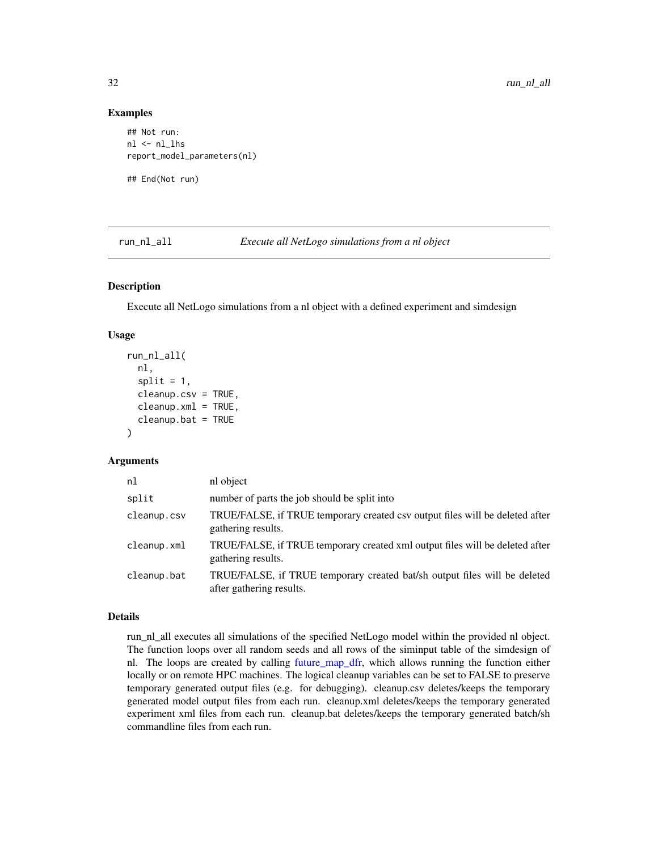#### Examples

```
## Not run:
nl <- nl_lhs
report_model_parameters(nl)
```
## End(Not run)

<span id="page-31-1"></span>run\_nl\_all *Execute all NetLogo simulations from a nl object*

# Description

Execute all NetLogo simulations from a nl object with a defined experiment and simdesign

#### Usage

```
run_nl_all(
  nl,
  split = 1,cleanup.csv = TRUE,
  cleanup.xml = TRUE,
  cleanup.bat = TRUE)
```
#### Arguments

| nl          | nl object                                                                                             |
|-------------|-------------------------------------------------------------------------------------------------------|
| split       | number of parts the job should be split into                                                          |
| cleanup.csv | TRUE/FALSE, if TRUE temporary created csv output files will be deleted after<br>gathering results.    |
| cleanup.xml | TRUE/FALSE, if TRUE temporary created xml output files will be deleted after<br>gathering results.    |
| cleanup.bat | TRUE/FALSE, if TRUE temporary created bat/sh output files will be deleted<br>after gathering results. |

#### Details

run\_nl\_all executes all simulations of the specified NetLogo model within the provided nl object. The function loops over all random seeds and all rows of the siminput table of the simdesign of nl. The loops are created by calling [future\\_map\\_dfr,](#page-0-0) which allows running the function either locally or on remote HPC machines. The logical cleanup variables can be set to FALSE to preserve temporary generated output files (e.g. for debugging). cleanup.csv deletes/keeps the temporary generated model output files from each run. cleanup.xml deletes/keeps the temporary generated experiment xml files from each run. cleanup.bat deletes/keeps the temporary generated batch/sh commandline files from each run.

<span id="page-31-0"></span>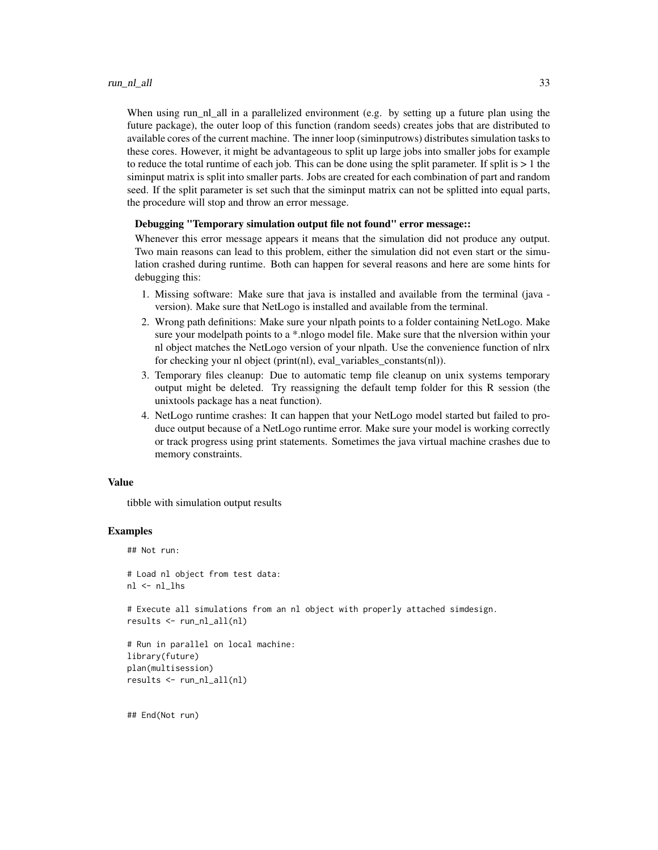When using run\_nl\_all in a parallelized environment (e.g. by setting up a future plan using the future package), the outer loop of this function (random seeds) creates jobs that are distributed to available cores of the current machine. The inner loop (siminputrows) distributes simulation tasks to these cores. However, it might be advantageous to split up large jobs into smaller jobs for example to reduce the total runtime of each job. This can be done using the split parameter. If split is  $> 1$  the siminput matrix is split into smaller parts. Jobs are created for each combination of part and random seed. If the split parameter is set such that the siminput matrix can not be splitted into equal parts, the procedure will stop and throw an error message.

#### Debugging "Temporary simulation output file not found" error message::

Whenever this error message appears it means that the simulation did not produce any output. Two main reasons can lead to this problem, either the simulation did not even start or the simulation crashed during runtime. Both can happen for several reasons and here are some hints for debugging this:

- 1. Missing software: Make sure that java is installed and available from the terminal (java version). Make sure that NetLogo is installed and available from the terminal.
- 2. Wrong path definitions: Make sure your nlpath points to a folder containing NetLogo. Make sure your modelpath points to a \*.nlogo model file. Make sure that the nlversion within your nl object matches the NetLogo version of your nlpath. Use the convenience function of nlrx for checking your nl object (print(nl), eval\_variables\_constants(nl)).
- 3. Temporary files cleanup: Due to automatic temp file cleanup on unix systems temporary output might be deleted. Try reassigning the default temp folder for this R session (the unixtools package has a neat function).
- 4. NetLogo runtime crashes: It can happen that your NetLogo model started but failed to produce output because of a NetLogo runtime error. Make sure your model is working correctly or track progress using print statements. Sometimes the java virtual machine crashes due to memory constraints.

#### Value

tibble with simulation output results

#### Examples

```
## Not run:
```

```
# Load nl object from test data:
nl <- nl_lhs
```
# Execute all simulations from an nl object with properly attached simdesign. results <- run\_nl\_all(nl)

```
# Run in parallel on local machine:
library(future)
plan(multisession)
results <- run_nl_all(nl)
```
## End(Not run)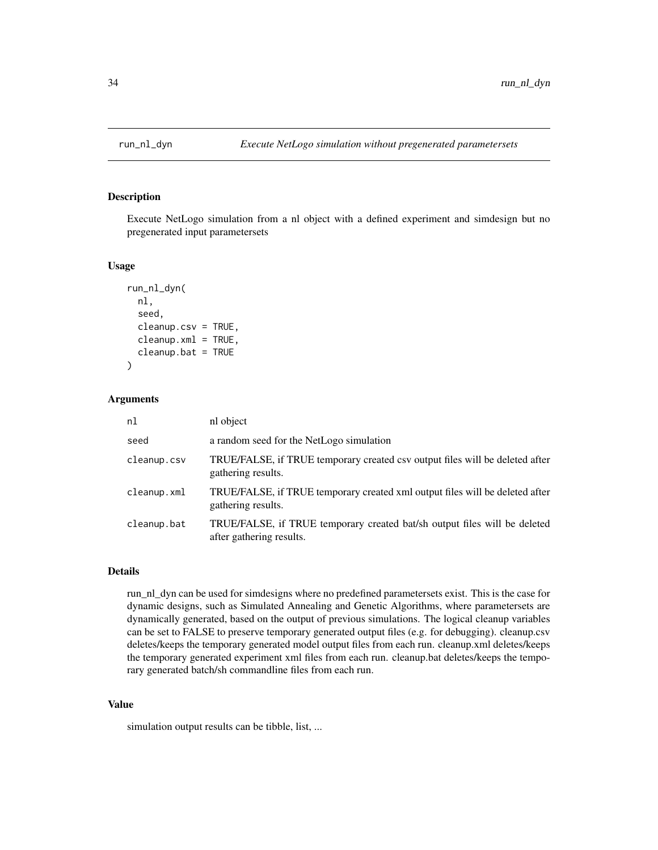<span id="page-33-1"></span><span id="page-33-0"></span>

Execute NetLogo simulation from a nl object with a defined experiment and simdesign but no pregenerated input parametersets

#### Usage

```
run_nl_dyn(
  nl,
  seed,
 cleanup.csv = TRUE,
  cleanup.xml = TRUE,
  cleanup.bat = TRUE)
```
#### Arguments

| nl          | nl object                                                                                             |
|-------------|-------------------------------------------------------------------------------------------------------|
| seed        | a random seed for the NetLogo simulation                                                              |
| cleanup.csv | TRUE/FALSE, if TRUE temporary created csv output files will be deleted after<br>gathering results.    |
| cleanup.xml | TRUE/FALSE, if TRUE temporary created xml output files will be deleted after<br>gathering results.    |
| cleanup.bat | TRUE/FALSE, if TRUE temporary created bat/sh output files will be deleted<br>after gathering results. |

# Details

run\_nl\_dyn can be used for simdesigns where no predefined parametersets exist. This is the case for dynamic designs, such as Simulated Annealing and Genetic Algorithms, where parametersets are dynamically generated, based on the output of previous simulations. The logical cleanup variables can be set to FALSE to preserve temporary generated output files (e.g. for debugging). cleanup.csv deletes/keeps the temporary generated model output files from each run. cleanup.xml deletes/keeps the temporary generated experiment xml files from each run. cleanup.bat deletes/keeps the temporary generated batch/sh commandline files from each run.

#### Value

simulation output results can be tibble, list, ...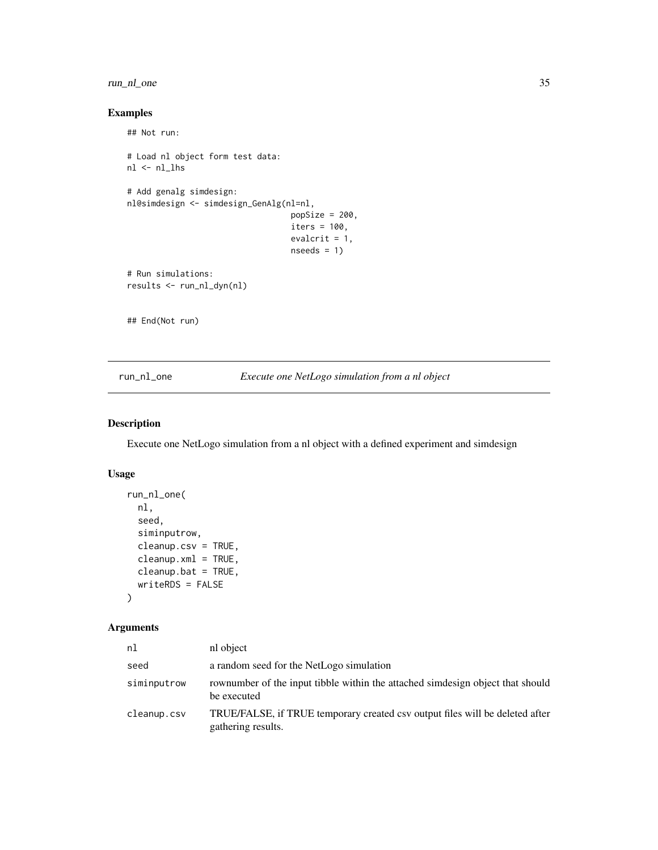# <span id="page-34-0"></span>run\_nl\_one 35

# Examples

```
## Not run:
# Load nl object form test data:
nl <- nl_lhs
# Add genalg simdesign:
nl@simdesign <- simdesign_GenAlg(nl=nl,
                                  popSize = 200,
                                  iters = 100,
                                  evalcrit = 1,
                                  nseeds = 1# Run simulations:
results <- run_nl_dyn(nl)
## End(Not run)
```
<span id="page-34-1"></span>run\_nl\_one *Execute one NetLogo simulation from a nl object*

# Description

Execute one NetLogo simulation from a nl object with a defined experiment and simdesign

# Usage

```
run_nl_one(
 nl,
  seed,
 siminputrow,
 cleanup.csv = TRUE,
 cleanup.xml = TRUE,
 cleanup.bat = TRUE,
 writeRDS = FALSE
)
```

| nl          | nl object                                                                                          |
|-------------|----------------------------------------------------------------------------------------------------|
| seed        | a random seed for the NetLogo simulation                                                           |
| siminputrow | rownumber of the input tibble within the attached simdesign object that should<br>be executed      |
| cleanup.csv | TRUE/FALSE, if TRUE temporary created csy output files will be deleted after<br>gathering results. |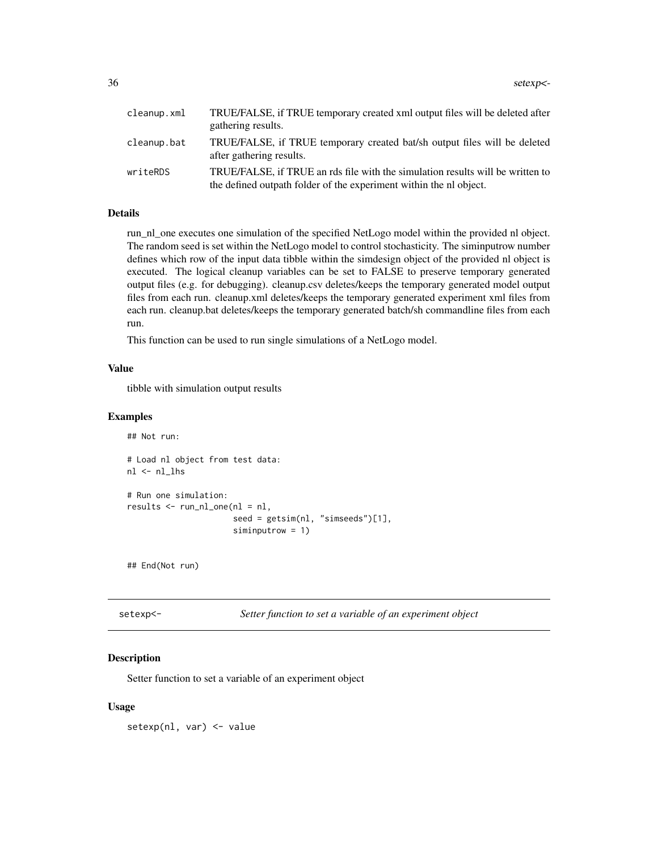<span id="page-35-0"></span>

| cleanup.xml | TRUE/FALSE, if TRUE temporary created xml output files will be deleted after<br>gathering results.                                                   |
|-------------|------------------------------------------------------------------------------------------------------------------------------------------------------|
| cleanup.bat | TRUE/FALSE, if TRUE temporary created bat/sh output files will be deleted<br>after gathering results.                                                |
| writeRDS    | TRUE/FALSE, if TRUE an rds file with the simulation results will be written to<br>the defined outpath folder of the experiment within the nl object. |

run\_nl\_one executes one simulation of the specified NetLogo model within the provided nl object. The random seed is set within the NetLogo model to control stochasticity. The siminputrow number defines which row of the input data tibble within the simdesign object of the provided nl object is executed. The logical cleanup variables can be set to FALSE to preserve temporary generated output files (e.g. for debugging). cleanup.csv deletes/keeps the temporary generated model output files from each run. cleanup.xml deletes/keeps the temporary generated experiment xml files from each run. cleanup.bat deletes/keeps the temporary generated batch/sh commandline files from each run.

This function can be used to run single simulations of a NetLogo model.

#### Value

tibble with simulation output results

#### Examples

```
## Not run:
```

```
# Load nl object from test data:
nl <- nl_lhs
# Run one simulation:
results <- run_nl_one(nl = nl,
                      seed = getsim(nl, "simseeds")[1],
                      siminputrow = 1)
```
## End(Not run)

setexp<sup><-</sup> Setter function to set a variable of an experiment object

# Description

Setter function to set a variable of an experiment object

#### Usage

setexp(nl, var) <- value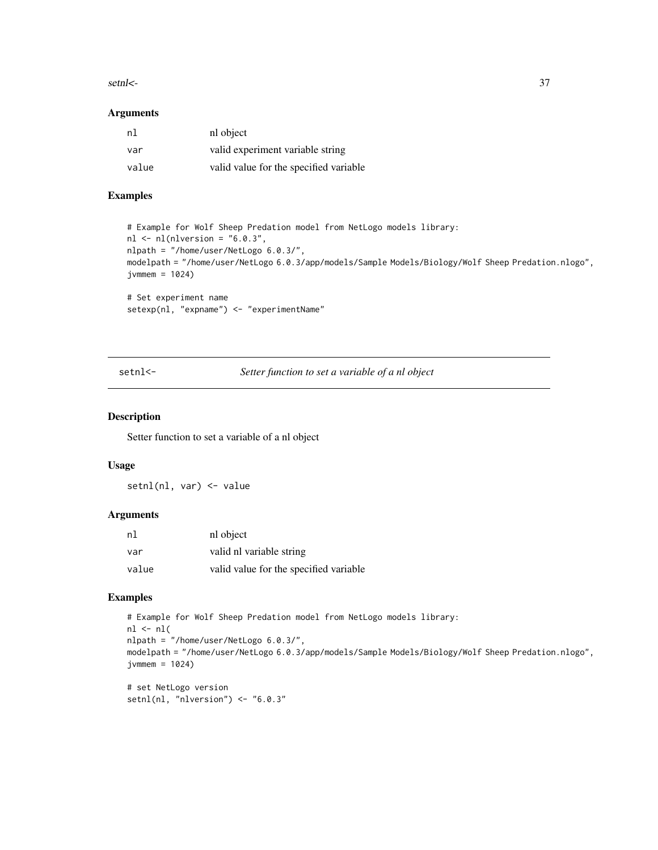#### <span id="page-36-0"></span>setnl<- 37

#### Arguments

| nl    | nl object                              |
|-------|----------------------------------------|
| var   | valid experiment variable string       |
| value | valid value for the specified variable |

# Examples

```
# Example for Wolf Sheep Predation model from NetLogo models library:
nl <- nl(nlversion = "6.0.3",nlpath = "/home/user/NetLogo 6.0.3/",
modelpath = "/home/user/NetLogo 6.0.3/app/models/Sample Models/Biology/Wolf Sheep Predation.nlogo",
jvmmem = 1024)
# Set experiment name
setexp(nl, "expname") <- "experimentName"
```
setnl<- *Setter function to set a variable of a nl object*

#### Description

Setter function to set a variable of a nl object

#### Usage

setnl(nl, var) <- value

# Arguments

| nl    | nl object                              |
|-------|----------------------------------------|
| var   | valid nl variable string               |
| value | valid value for the specified variable |

# Examples

```
# Example for Wolf Sheep Predation model from NetLogo models library:
nl \leftarrow nl(nlpath = "/home/user/NetLogo 6.0.3/",
modelpath = "/home/user/NetLogo 6.0.3/app/models/Sample Models/Biology/Wolf Sheep Predation.nlogo",
jvmmem = 1024)
```

```
# set NetLogo version
setnl(nl, "nlversion") <- "6.0.3"
```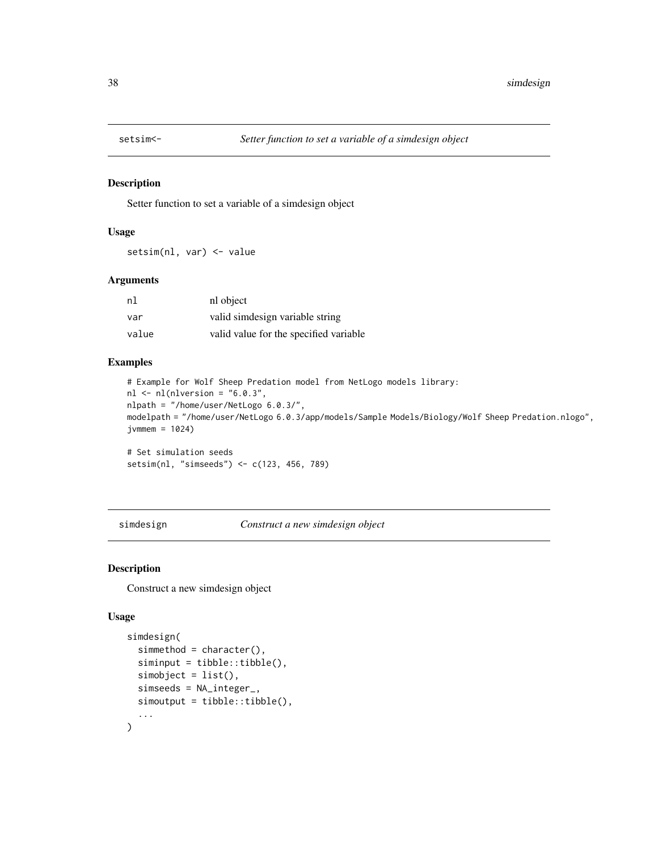<span id="page-37-0"></span>

Setter function to set a variable of a simdesign object

#### Usage

setsim(nl, var) <- value

#### Arguments

| nl    | nl object                              |
|-------|----------------------------------------|
| var   | valid simdesign variable string        |
| value | valid value for the specified variable |

#### Examples

```
# Example for Wolf Sheep Predation model from NetLogo models library:
nl \leftarrow nl(nlversion = "6.0.3",nlpath = "/home/user/NetLogo 6.0.3/",
modelpath = "/home/user/NetLogo 6.0.3/app/models/Sample Models/Biology/Wolf Sheep Predation.nlogo",
jvmmem = 1024)
# Set simulation seeds
```

```
setsim(nl, "simseeds") <- c(123, 456, 789)
```
<span id="page-37-1"></span>simdesign *Construct a new simdesign object*

#### Description

Construct a new simdesign object

#### Usage

```
simdesign(
  simmethod = character(),
  siminput = tibble::tibble(),
  simobject = list(),
  simseeds = NA_integer_,
  simoutput = tibble::tibble(),
  ...
\mathcal{L}
```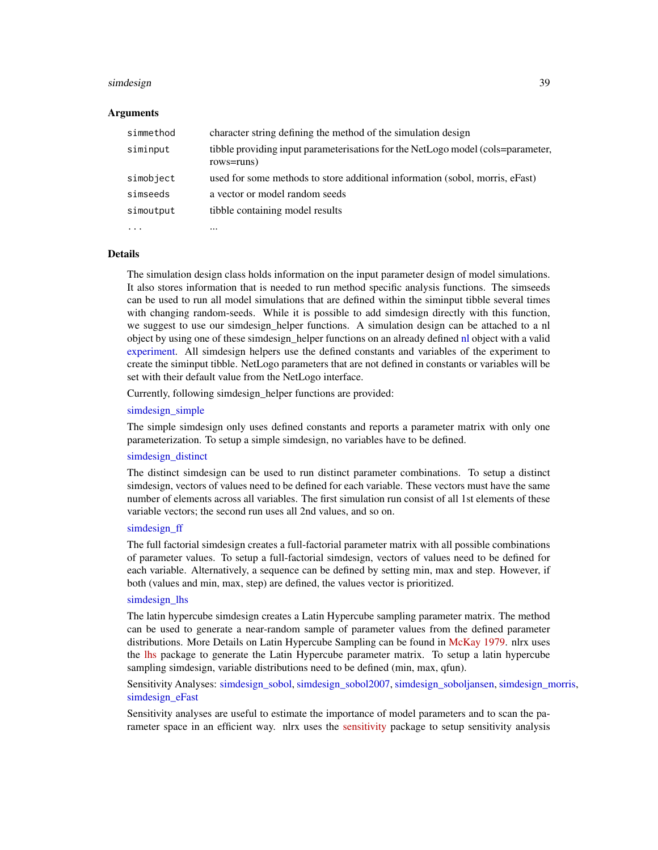#### <span id="page-38-0"></span>simdesign 39

#### Arguments

| simmethod | character string defining the method of the simulation design                                 |
|-----------|-----------------------------------------------------------------------------------------------|
| siminput  | tibble providing input parameterisations for the NetLogo model (cols=parameter,<br>rows=runs) |
| simobject | used for some methods to store additional information (sobol, morris, eFast)                  |
| simseeds  | a vector or model random seeds                                                                |
| simoutput | tibble containing model results                                                               |
|           | $\ddotsc$                                                                                     |

#### Details

The simulation design class holds information on the input parameter design of model simulations. It also stores information that is needed to run method specific analysis functions. The simseeds can be used to run all model simulations that are defined within the siminput tibble several times with changing random-seeds. While it is possible to add simdesign directly with this function, we suggest to use our simdesign helper functions. A simulation design can be attached to a nl object by using one of these simdesign helper functions on an already defined [nl](#page-17-1) object with a valid [experiment.](#page-9-1) All simdesign helpers use the defined constants and variables of the experiment to create the siminput tibble. NetLogo parameters that are not defined in constants or variables will be set with their default value from the NetLogo interface.

Currently, following simdesign\_helper functions are provided:

#### [simdesign\\_simple](#page-56-1)

The simple simdesign only uses defined constants and reports a parameter matrix with only one parameterization. To setup a simple simdesign, no variables have to be defined.

#### [simdesign\\_distinct](#page-48-1)

The distinct simdesign can be used to run distinct parameter combinations. To setup a distinct simdesign, vectors of values need to be defined for each variable. These vectors must have the same number of elements across all variables. The first simulation run consist of all 1st elements of these variable vectors; the second run uses all 2nd values, and so on.

#### simdesign ff

The full factorial simdesign creates a full-factorial parameter matrix with all possible combinations of parameter values. To setup a full-factorial simdesign, vectors of values need to be defined for each variable. Alternatively, a sequence can be defined by setting min, max and step. However, if both (values and min, max, step) are defined, the values vector is prioritized.

#### [simdesign\\_lhs](#page-54-1)

The latin hypercube simdesign creates a Latin Hypercube sampling parameter matrix. The method can be used to generate a near-random sample of parameter values from the defined parameter distributions. More Details on Latin Hypercube Sampling can be found in [McKay 1979.](https://www.tandfonline.com/doi/abs/10.1080/00401706.1979.10489755) nlrx uses the [lhs](https://CRAN.R-project.org/package=lhs/index.html) package to generate the Latin Hypercube parameter matrix. To setup a latin hypercube sampling simdesign, variable distributions need to be defined (min, max, qfun).

# Sensitivity Analyses: [simdesign\\_sobol,](#page-57-1) [simdesign\\_sobol2007,](#page-58-1) [simdesign\\_soboljansen,](#page-59-1) [simdesign\\_morris,](#page-55-1) [simdesign\\_eFast](#page-49-1)

Sensitivity analyses are useful to estimate the importance of model parameters and to scan the parameter space in an efficient way. nlrx uses the [sensitivity](https://CRAN.R-project.org/package=sensitivity/index.html) package to setup sensitivity analysis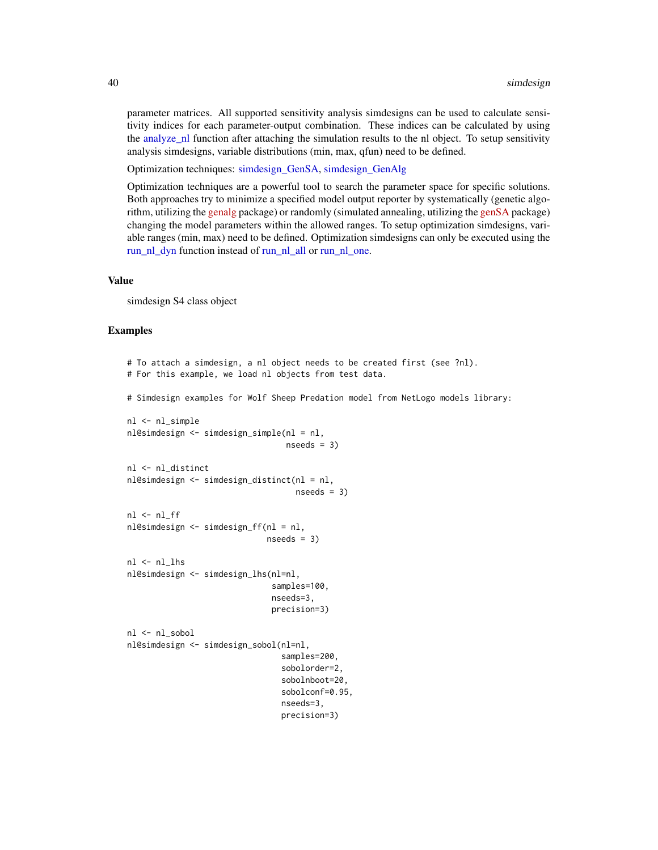<span id="page-39-0"></span>parameter matrices. All supported sensitivity analysis simdesigns can be used to calculate sensitivity indices for each parameter-output combination. These indices can be calculated by using the analyze nl function after attaching the simulation results to the nl object. To setup sensitivity analysis simdesigns, variable distributions (min, max, qfun) need to be defined.

Optimization techniques: [simdesign\\_GenSA,](#page-52-1) [simdesign\\_GenAlg](#page-51-1)

Optimization techniques are a powerful tool to search the parameter space for specific solutions. Both approaches try to minimize a specified model output reporter by systematically (genetic algorithm, utilizing the [genalg](https://CRAN.R-project.org/package=genalg/index.html) package) or randomly (simulated annealing, utilizing the [genSA](https://CRAN.R-project.org/package=GenSA/index.html) package) changing the model parameters within the allowed ranges. To setup optimization simdesigns, variable ranges (min, max) need to be defined. Optimization simdesigns can only be executed using the [run\\_nl\\_dyn](#page-33-1) function instead of [run\\_nl\\_all](#page-31-1) or [run\\_nl\\_one.](#page-34-1)

#### Value

simdesign S4 class object

#### Examples

```
# To attach a simdesign, a nl object needs to be created first (see ?nl).
# For this example, we load nl objects from test data.
# Simdesign examples for Wolf Sheep Predation model from NetLogo models library:
```

```
nl <- nl_simple
nl@simdesign <- simdesign_simple(nl = nl,
                                 nseeds = 3nl <- nl_distinct
nl@simdesign <- simdesign_distinct(nl = nl,
                                   nseeds = 3nl <- nl_ff
nl@simdesign <- simdesign_ff(nl = nl,
                             nseeds = 3nl <- nl_lhs
nl@simdesign <- simdesign_lhs(nl=nl,
                              samples=100,
                              nseeds=3,
                              precision=3)
nl <- nl_sobol
nl@simdesign <- simdesign_sobol(nl=nl,
                                samples=200,
                                sobolorder=2,
                                sobolnboot=20,
                                sobolconf=0.95,
```

```
nseeds=3,
precision=3)
```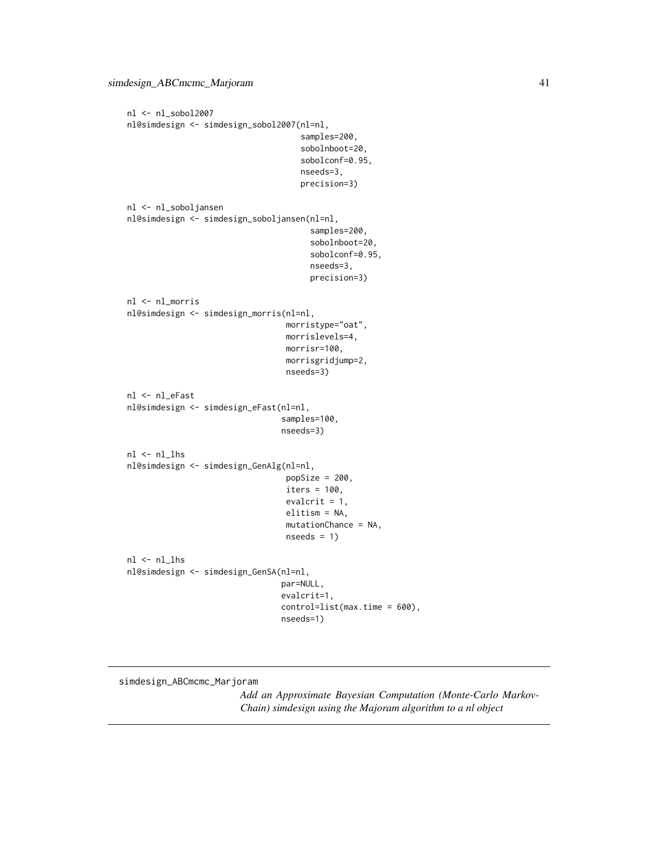```
nl <- nl_sobol2007
nl@simdesign <- simdesign_sobol2007(nl=nl,
                                     samples=200,
                                     sobolnboot=20,
                                     sobolconf=0.95,
                                     nseeds=3,
                                     precision=3)
nl <- nl_soboljansen
nl@simdesign <- simdesign_soboljansen(nl=nl,
                                       samples=200,
                                       sobolnboot=20,
                                       sobolconf=0.95,
                                       nseeds=3,
                                       precision=3)
nl <- nl_morris
nl@simdesign <- simdesign_morris(nl=nl,
                                 morristype="oat",
                                 morrislevels=4,
                                 morrisr=100,
                                 morrisgridjump=2,
                                 nseeds=3)
nl <- nl_eFast
nl@simdesign <- simdesign_eFast(nl=nl,
                                 samples=100,
                                nseeds=3)
nl <- nl_lhs
nl@simdesign <- simdesign_GenAlg(nl=nl,
                                 popSize = 200,
                                 iters = 100,
                                 evalcrit = 1,
                                 elitism = NA,
                                 mutationChance = NA,
                                 nseeds = 1)
nl <- nl_lhs
nl@simdesign <- simdesign_GenSA(nl=nl,
                                par=NULL,
                                 evalcrit=1,
                                control=list(max.time = 600),
                                nseeds=1)
```
simdesign\_ABCmcmc\_Marjoram

*Add an Approximate Bayesian Computation (Monte-Carlo Markov-Chain) simdesign using the Majoram algorithm to a nl object*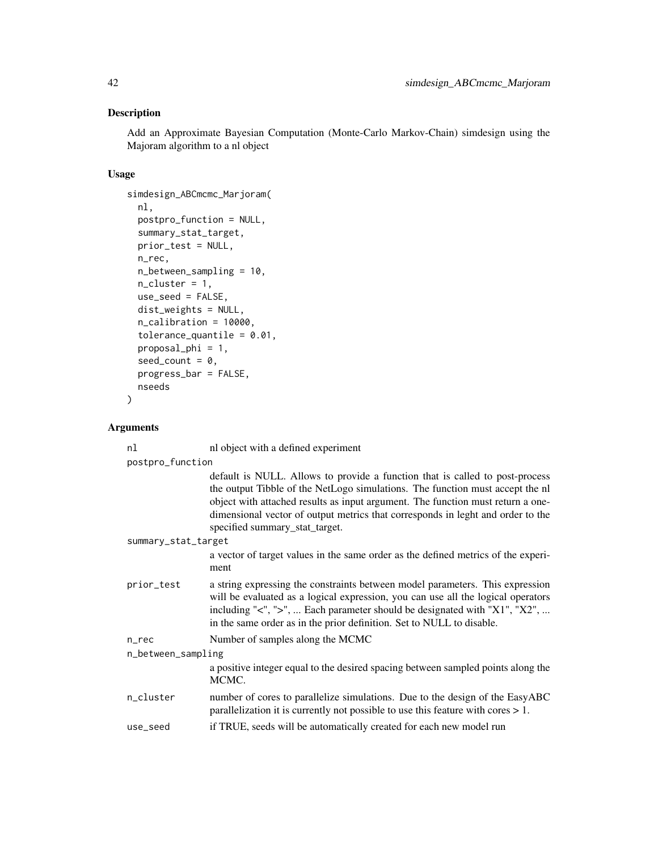Add an Approximate Bayesian Computation (Monte-Carlo Markov-Chain) simdesign using the Majoram algorithm to a nl object

# Usage

```
simdesign_ABCmcmc_Marjoram(
 nl,
 postpro_function = NULL,
  summary_stat_target,
 prior_test = NULL,
 n_rec,
 n_between_sampling = 10,
 n<sup>-</sup>cluster = 1,
 use_seed = FALSE,
 dist_weights = NULL,
 n_calibration = 10000,
  tolerance_quantile = 0.01,
 proposal_phi = 1,
 seed_count = 0,
 progress_bar = FALSE,
 nseeds
\mathcal{L}
```

| nl                  | nl object with a defined experiment                                                                                                                                                                                                                                                                                                                                   |  |
|---------------------|-----------------------------------------------------------------------------------------------------------------------------------------------------------------------------------------------------------------------------------------------------------------------------------------------------------------------------------------------------------------------|--|
| postpro_function    |                                                                                                                                                                                                                                                                                                                                                                       |  |
|                     | default is NULL. Allows to provide a function that is called to post-process<br>the output Tibble of the NetLogo simulations. The function must accept the nl<br>object with attached results as input argument. The function must return a one-<br>dimensional vector of output metrics that corresponds in leght and order to the<br>specified summary_stat_target. |  |
| summary_stat_target |                                                                                                                                                                                                                                                                                                                                                                       |  |
|                     | a vector of target values in the same order as the defined metrics of the experi-<br>ment                                                                                                                                                                                                                                                                             |  |
| prior_test          | a string expressing the constraints between model parameters. This expression<br>will be evaluated as a logical expression, you can use all the logical operators<br>including "<", ">",  Each parameter should be designated with "X1", "X2",<br>in the same order as in the prior definition. Set to NULL to disable.                                               |  |
| $n$ _ $rec$         | Number of samples along the MCMC                                                                                                                                                                                                                                                                                                                                      |  |
| n_between_sampling  |                                                                                                                                                                                                                                                                                                                                                                       |  |
|                     | a positive integer equal to the desired spacing between sampled points along the<br>MCMC.                                                                                                                                                                                                                                                                             |  |
| n_cluster           | number of cores to parallelize simulations. Due to the design of the EasyABC<br>parallelization it is currently not possible to use this feature with cores $> 1$ .                                                                                                                                                                                                   |  |
| use_seed            | if TRUE, seeds will be automatically created for each new model run                                                                                                                                                                                                                                                                                                   |  |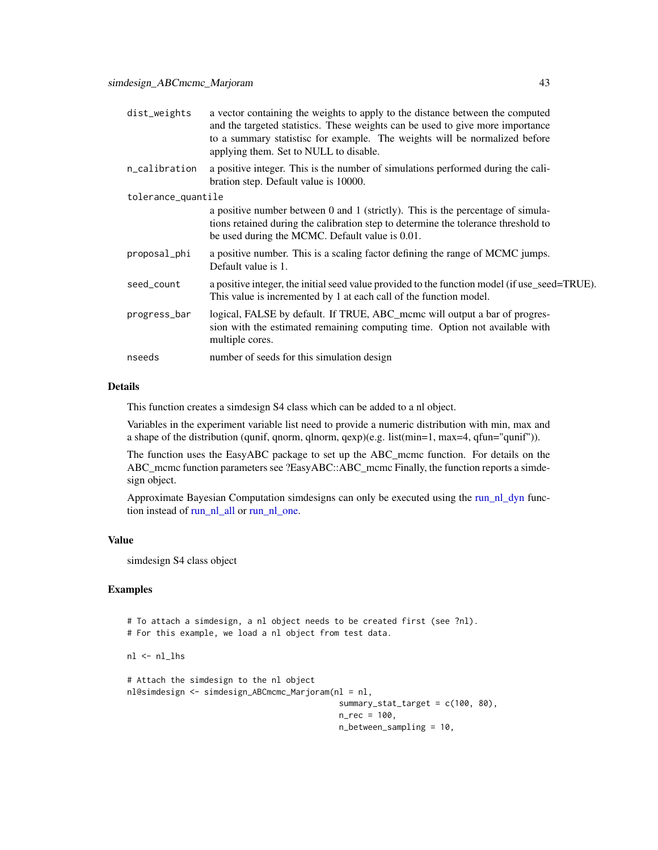<span id="page-42-0"></span>

| dist_weights       | a vector containing the weights to apply to the distance between the computed<br>and the targeted statistics. These weights can be used to give more importance<br>to a summary statistisc for example. The weights will be normalized before<br>applying them. Set to NULL to disable. |
|--------------------|-----------------------------------------------------------------------------------------------------------------------------------------------------------------------------------------------------------------------------------------------------------------------------------------|
| n_calibration      | a positive integer. This is the number of simulations performed during the cali-<br>bration step. Default value is 10000.                                                                                                                                                               |
| tolerance_quantile |                                                                                                                                                                                                                                                                                         |
|                    | a positive number between 0 and 1 (strictly). This is the percentage of simula-<br>tions retained during the calibration step to determine the tolerance threshold to<br>be used during the MCMC. Default value is 0.01.                                                                |
| proposal_phi       | a positive number. This is a scaling factor defining the range of MCMC jumps.<br>Default value is 1.                                                                                                                                                                                    |
| seed_count         | a positive integer, the initial seed value provided to the function model (if use_seed=TRUE).<br>This value is incremented by 1 at each call of the function model.                                                                                                                     |
| progress_bar       | logical, FALSE by default. If TRUE, ABC_mcmc will output a bar of progres-<br>sion with the estimated remaining computing time. Option not available with<br>multiple cores.                                                                                                            |
| nseeds             | number of seeds for this simulation design                                                                                                                                                                                                                                              |
|                    |                                                                                                                                                                                                                                                                                         |

This function creates a simdesign S4 class which can be added to a nl object.

Variables in the experiment variable list need to provide a numeric distribution with min, max and a shape of the distribution (qunif, qnorm, qlnorm, qexp)(e.g. list(min=1, max=4, qfun="qunif")).

The function uses the EasyABC package to set up the ABC\_mcmc function. For details on the ABC\_mcmc function parameters see ?EasyABC::ABC\_mcmc Finally, the function reports a simdesign object.

Approximate Bayesian Computation simdesigns can only be executed using the [run\\_nl\\_dyn](#page-33-1) function instead of [run\\_nl\\_all](#page-31-1) or [run\\_nl\\_one.](#page-34-1)

# Value

simdesign S4 class object

# Examples

```
# To attach a simdesign, a nl object needs to be created first (see ?nl).
# For this example, we load a nl object from test data.
nl <- nl_lhs
# Attach the simdesign to the nl object
nl@simdesign <- simdesign_ABCmcmc_Marjoram(nl = nl,
                                            summary_stat_target = c(100, 80),
                                            n_{rec} = 100,n_between_sampling = 10,
```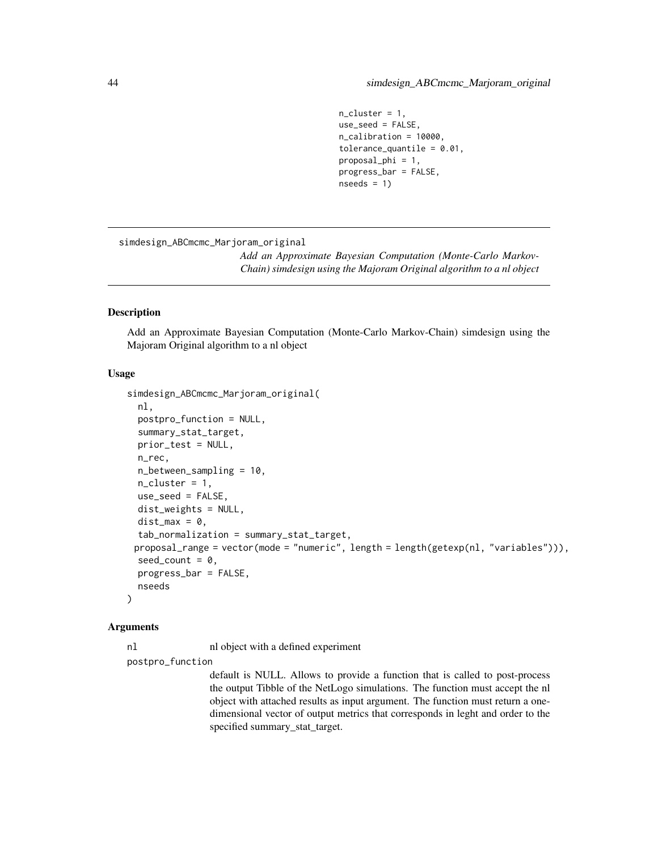```
n_cluster = 1,
use_seed = FALSE,
n_calibration = 10000,
tolerance_quantile = 0.01,
proposal_phi = 1,
progress_bar = FALSE,
nseeds = 1
```
<span id="page-43-0"></span>simdesign\_ABCmcmc\_Marjoram\_original

*Add an Approximate Bayesian Computation (Monte-Carlo Markov-Chain) simdesign using the Majoram Original algorithm to a nl object*

# **Description**

Add an Approximate Bayesian Computation (Monte-Carlo Markov-Chain) simdesign using the Majoram Original algorithm to a nl object

# Usage

```
simdesign_ABCmcmc_Marjoram_original(
  nl,
  postpro_function = NULL,
  summary_stat_target,
 prior_test = NULL,
  n_rec,
  n_between_sampling = 10,
  n_cluster = 1,
 use_seed = FALSE,
  dist_weights = NULL,
 dist_max = 0,
  tab_normalization = summary_stat_target,
 proposal_range = vector(mode = "numeric", length = length(getexp(nl, "variables"))),
  seed_count = 0,
 progress_bar = FALSE,
 nseeds
)
```
#### Arguments

nl nl object with a defined experiment

postpro\_function

default is NULL. Allows to provide a function that is called to post-process the output Tibble of the NetLogo simulations. The function must accept the nl object with attached results as input argument. The function must return a onedimensional vector of output metrics that corresponds in leght and order to the specified summary\_stat\_target.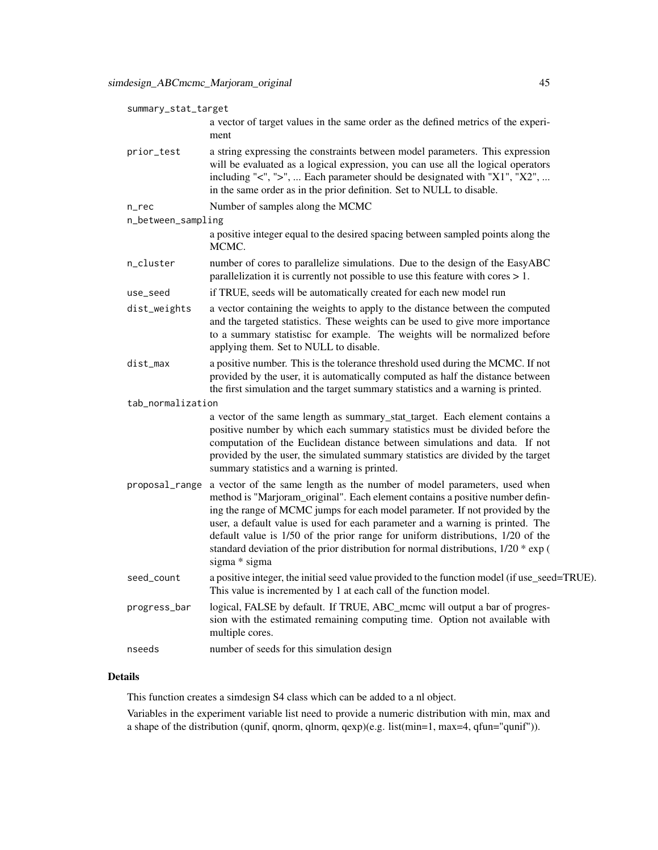| summary_stat_target |                                                                                                                                                                                                                                                                                                                                                                                                                                                                                                                        |
|---------------------|------------------------------------------------------------------------------------------------------------------------------------------------------------------------------------------------------------------------------------------------------------------------------------------------------------------------------------------------------------------------------------------------------------------------------------------------------------------------------------------------------------------------|
|                     | a vector of target values in the same order as the defined metrics of the experi-<br>ment                                                                                                                                                                                                                                                                                                                                                                                                                              |
| prior_test          | a string expressing the constraints between model parameters. This expression<br>will be evaluated as a logical expression, you can use all the logical operators<br>including "<", ">",  Each parameter should be designated with "X1", "X2",<br>in the same order as in the prior definition. Set to NULL to disable.                                                                                                                                                                                                |
| n_rec               | Number of samples along the MCMC                                                                                                                                                                                                                                                                                                                                                                                                                                                                                       |
| n_between_sampling  |                                                                                                                                                                                                                                                                                                                                                                                                                                                                                                                        |
|                     | a positive integer equal to the desired spacing between sampled points along the<br>MCMC.                                                                                                                                                                                                                                                                                                                                                                                                                              |
| n_cluster           | number of cores to parallelize simulations. Due to the design of the EasyABC<br>parallelization it is currently not possible to use this feature with cores $> 1$ .                                                                                                                                                                                                                                                                                                                                                    |
| use_seed            | if TRUE, seeds will be automatically created for each new model run                                                                                                                                                                                                                                                                                                                                                                                                                                                    |
| dist_weights        | a vector containing the weights to apply to the distance between the computed<br>and the targeted statistics. These weights can be used to give more importance<br>to a summary statistisc for example. The weights will be normalized before<br>applying them. Set to NULL to disable.                                                                                                                                                                                                                                |
| dist_max            | a positive number. This is the tolerance threshold used during the MCMC. If not<br>provided by the user, it is automatically computed as half the distance between<br>the first simulation and the target summary statistics and a warning is printed.                                                                                                                                                                                                                                                                 |
| tab_normalization   |                                                                                                                                                                                                                                                                                                                                                                                                                                                                                                                        |
|                     | a vector of the same length as summary_stat_target. Each element contains a<br>positive number by which each summary statistics must be divided before the<br>computation of the Euclidean distance between simulations and data. If not<br>provided by the user, the simulated summary statistics are divided by the target<br>summary statistics and a warning is printed.                                                                                                                                           |
| proposal_range      | a vector of the same length as the number of model parameters, used when<br>method is "Marjoram_original". Each element contains a positive number defin-<br>ing the range of MCMC jumps for each model parameter. If not provided by the<br>user, a default value is used for each parameter and a warning is printed. The<br>default value is 1/50 of the prior range for uniform distributions, 1/20 of the<br>standard deviation of the prior distribution for normal distributions, 1/20 * exp (<br>sigma * sigma |
| seed_count          | a positive integer, the initial seed value provided to the function model (if use_seed=TRUE).<br>This value is incremented by 1 at each call of the function model.                                                                                                                                                                                                                                                                                                                                                    |
| progress_bar        | logical, FALSE by default. If TRUE, ABC_mcmc will output a bar of progres-<br>sion with the estimated remaining computing time. Option not available with<br>multiple cores.                                                                                                                                                                                                                                                                                                                                           |
| nseeds              | number of seeds for this simulation design                                                                                                                                                                                                                                                                                                                                                                                                                                                                             |
|                     |                                                                                                                                                                                                                                                                                                                                                                                                                                                                                                                        |

This function creates a simdesign S4 class which can be added to a nl object.

Variables in the experiment variable list need to provide a numeric distribution with min, max and a shape of the distribution (qunif, qnorm, qlnorm, qexp)(e.g. list(min=1, max=4, qfun="qunif")).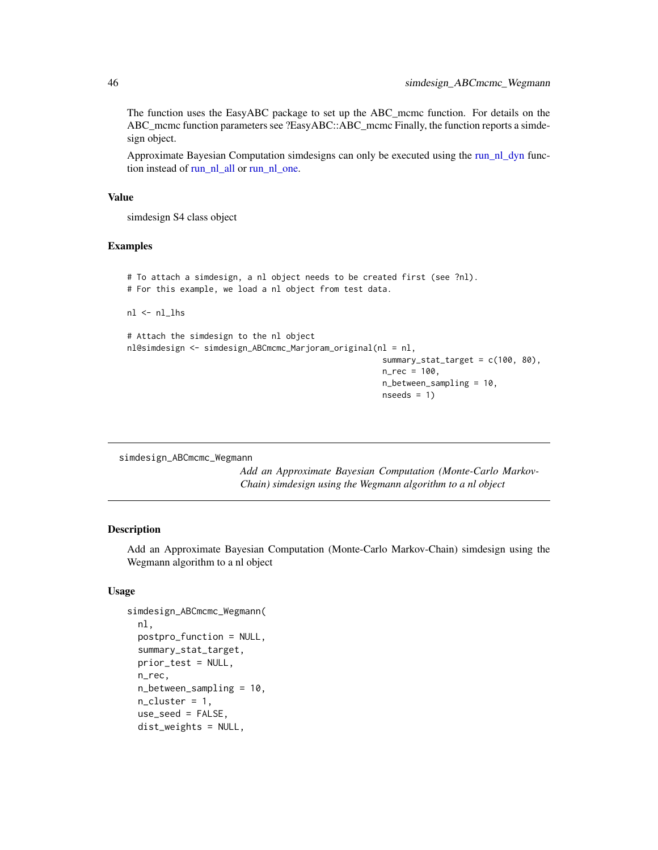<span id="page-45-0"></span>The function uses the EasyABC package to set up the ABC\_mcmc function. For details on the ABC\_mcmc function parameters see ?EasyABC::ABC\_mcmc Finally, the function reports a simdesign object.

Approximate Bayesian Computation simdesigns can only be executed using the [run\\_nl\\_dyn](#page-33-1) function instead of [run\\_nl\\_all](#page-31-1) or [run\\_nl\\_one.](#page-34-1)

#### Value

simdesign S4 class object

# Examples

```
# To attach a simdesign, a nl object needs to be created first (see ?nl).
# For this example, we load a nl object from test data.
nl <- nl_lhs
# Attach the simdesign to the nl object
nl@simdesign <- simdesign_ABCmcmc_Marjoram_original(nl = nl,
                                                     summary_stat_target = c(100, 80),
                                                     n_{rec} = 100,
                                                     n_between_sampling = 10,
                                                     nseeds = 1
```
simdesign\_ABCmcmc\_Wegmann

*Add an Approximate Bayesian Computation (Monte-Carlo Markov-Chain) simdesign using the Wegmann algorithm to a nl object*

## Description

Add an Approximate Bayesian Computation (Monte-Carlo Markov-Chain) simdesign using the Wegmann algorithm to a nl object

# Usage

```
simdesign_ABCmcmc_Wegmann(
  nl,
  postpro_function = NULL,
  summary_stat_target,
  prior_test = NULL,
 n_rec,
  n_between_sampling = 10,
  n-cluster = 1,
  use_seed = FALSE,
  dist_weights = NULL,
```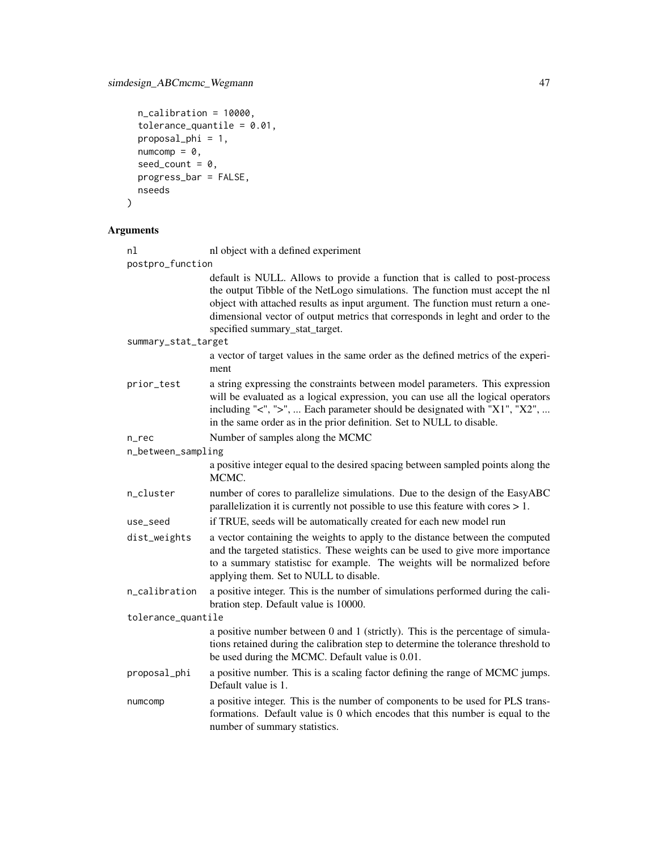# simdesign\_ABCmcmc\_Wegmann 47

```
n_calibration = 10000,
 tolerance_quantile = 0.01,proposal_phi = 1,
 numcomp = 0,seed_count = 0,progress_bar = FALSE,
 nseeds
\mathcal{L}
```

|                    | nl<br>postpro_function | nl object with a defined experiment                                                                                                                                                                                                                                                                                                                                   |
|--------------------|------------------------|-----------------------------------------------------------------------------------------------------------------------------------------------------------------------------------------------------------------------------------------------------------------------------------------------------------------------------------------------------------------------|
|                    |                        | default is NULL. Allows to provide a function that is called to post-process<br>the output Tibble of the NetLogo simulations. The function must accept the nl<br>object with attached results as input argument. The function must return a one-<br>dimensional vector of output metrics that corresponds in leght and order to the<br>specified summary_stat_target. |
|                    | summary_stat_target    |                                                                                                                                                                                                                                                                                                                                                                       |
|                    |                        | a vector of target values in the same order as the defined metrics of the experi-<br>ment                                                                                                                                                                                                                                                                             |
|                    | prior_test             | a string expressing the constraints between model parameters. This expression<br>will be evaluated as a logical expression, you can use all the logical operators<br>including "<", ">",  Each parameter should be designated with "X1", "X2",<br>in the same order as in the prior definition. Set to NULL to disable.                                               |
|                    | $n$ _ $rec$            | Number of samples along the MCMC                                                                                                                                                                                                                                                                                                                                      |
|                    | n_between_sampling     |                                                                                                                                                                                                                                                                                                                                                                       |
|                    |                        | a positive integer equal to the desired spacing between sampled points along the<br>MCMC.                                                                                                                                                                                                                                                                             |
|                    | n_cluster              | number of cores to parallelize simulations. Due to the design of the EasyABC<br>parallelization it is currently not possible to use this feature with cores $> 1$ .                                                                                                                                                                                                   |
|                    | use_seed               | if TRUE, seeds will be automatically created for each new model run                                                                                                                                                                                                                                                                                                   |
|                    | dist_weights           | a vector containing the weights to apply to the distance between the computed<br>and the targeted statistics. These weights can be used to give more importance<br>to a summary statistisc for example. The weights will be normalized before<br>applying them. Set to NULL to disable.                                                                               |
|                    | n_calibration          | a positive integer. This is the number of simulations performed during the cali-<br>bration step. Default value is 10000.                                                                                                                                                                                                                                             |
| tolerance_quantile |                        |                                                                                                                                                                                                                                                                                                                                                                       |
|                    |                        | a positive number between 0 and 1 (strictly). This is the percentage of simula-<br>tions retained during the calibration step to determine the tolerance threshold to<br>be used during the MCMC. Default value is 0.01.                                                                                                                                              |
|                    | proposal_phi           | a positive number. This is a scaling factor defining the range of MCMC jumps.<br>Default value is 1.                                                                                                                                                                                                                                                                  |
|                    | numcomp                | a positive integer. This is the number of components to be used for PLS trans-<br>formations. Default value is 0 which encodes that this number is equal to the<br>number of summary statistics.                                                                                                                                                                      |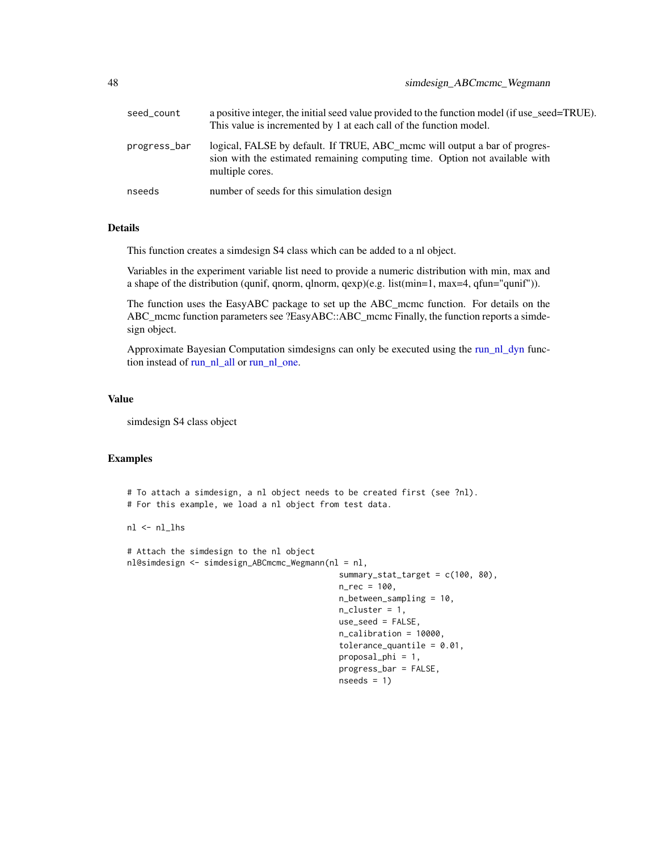<span id="page-47-0"></span>

| seed_count   | a positive integer, the initial seed value provided to the function model (if use_seed=TRUE).<br>This value is incremented by 1 at each call of the function model.          |
|--------------|------------------------------------------------------------------------------------------------------------------------------------------------------------------------------|
| progress_bar | logical, FALSE by default. If TRUE, ABC_mcmc will output a bar of progres-<br>sion with the estimated remaining computing time. Option not available with<br>multiple cores. |
| nseeds       | number of seeds for this simulation design                                                                                                                                   |

This function creates a simdesign S4 class which can be added to a nl object.

Variables in the experiment variable list need to provide a numeric distribution with min, max and a shape of the distribution (qunif, qnorm, qlnorm, qexp)(e.g. list(min=1, max=4, qfun="qunif")).

The function uses the EasyABC package to set up the ABC\_mcmc function. For details on the ABC\_mcmc function parameters see ?EasyABC::ABC\_mcmc Finally, the function reports a simdesign object.

Approximate Bayesian Computation simdesigns can only be executed using the [run\\_nl\\_dyn](#page-33-1) function instead of [run\\_nl\\_all](#page-31-1) or [run\\_nl\\_one.](#page-34-1)

#### Value

simdesign S4 class object

#### Examples

```
# To attach a simdesign, a nl object needs to be created first (see ?nl).
# For this example, we load a nl object from test data.
```
nl <- nl\_lhs

```
# Attach the simdesign to the nl object
nl@simdesign <- simdesign_ABCmcmc_Wegmann(nl = nl,
                                            summary_stat_target = c(100, 80),
                                            n_{rec} = 100,
                                            n_between_sampling = 10,
                                            n_cluster = 1,
                                            use_seed = FALSE,
                                            n_calibration = 10000,
                                            tolerance_quantile = 0.01,
                                            proposal_phi = 1,
                                            progress_bar = FALSE,
                                            nseeds = 1
```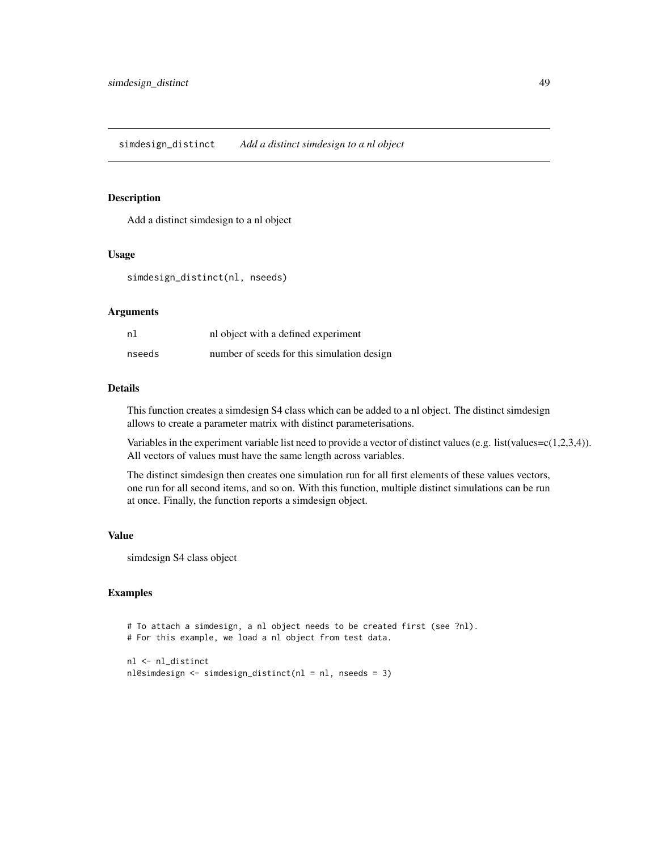<span id="page-48-1"></span><span id="page-48-0"></span>Add a distinct simdesign to a nl object

#### Usage

```
simdesign_distinct(nl, nseeds)
```
# Arguments

| nl     | nl object with a defined experiment        |
|--------|--------------------------------------------|
| nseeds | number of seeds for this simulation design |

# Details

This function creates a simdesign S4 class which can be added to a nl object. The distinct simdesign allows to create a parameter matrix with distinct parameterisations.

Variables in the experiment variable list need to provide a vector of distinct values (e.g. list(values=c(1,2,3,4)). All vectors of values must have the same length across variables.

The distinct simdesign then creates one simulation run for all first elements of these values vectors, one run for all second items, and so on. With this function, multiple distinct simulations can be run at once. Finally, the function reports a simdesign object.

#### Value

simdesign S4 class object

# Examples

```
# To attach a simdesign, a nl object needs to be created first (see ?nl).
# For this example, we load a nl object from test data.
nl <- nl_distinct
```

```
nl@simdesign <- simdesign_distinct(nl = nl, nseeds = 3)
```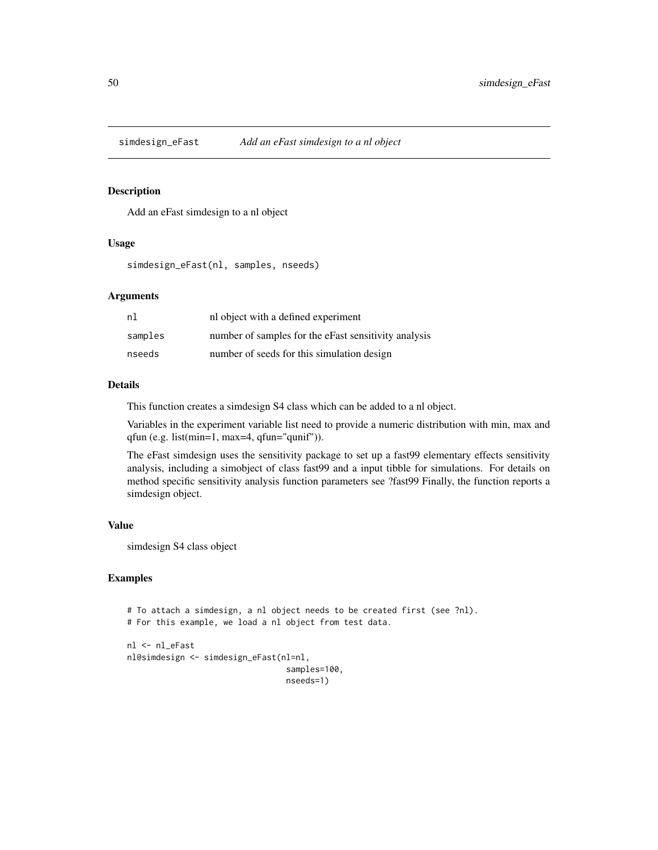<span id="page-49-1"></span><span id="page-49-0"></span>

Add an eFast simdesign to a nl object

#### Usage

simdesign\_eFast(nl, samples, nseeds)

#### Arguments

| nl      | nl object with a defined experiment                  |
|---------|------------------------------------------------------|
| samples | number of samples for the eFast sensitivity analysis |
| nseeds  | number of seeds for this simulation design           |

#### Details

This function creates a simdesign S4 class which can be added to a nl object.

Variables in the experiment variable list need to provide a numeric distribution with min, max and qfun (e.g. list(min=1, max=4, qfun="qunif")).

The eFast simdesign uses the sensitivity package to set up a fast99 elementary effects sensitivity analysis, including a simobject of class fast99 and a input tibble for simulations. For details on method specific sensitivity analysis function parameters see ?fast99 Finally, the function reports a simdesign object.

# Value

simdesign S4 class object

# Examples

```
# To attach a simdesign, a nl object needs to be created first (see ?nl).
# For this example, we load a nl object from test data.
nl <- nl_eFast
nl@simdesign <- simdesign_eFast(nl=nl,
                                 samples=100,
```
nseeds=1)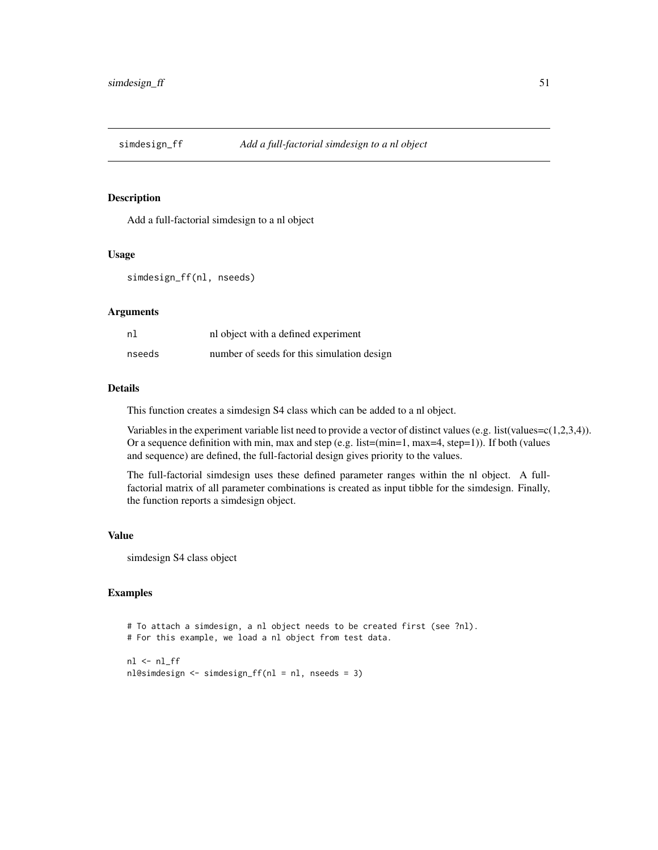<span id="page-50-1"></span><span id="page-50-0"></span>

Add a full-factorial simdesign to a nl object

#### Usage

```
simdesign_ff(nl, nseeds)
```
# Arguments

| nl     | nl object with a defined experiment        |
|--------|--------------------------------------------|
| nseeds | number of seeds for this simulation design |

# Details

This function creates a simdesign S4 class which can be added to a nl object.

Variables in the experiment variable list need to provide a vector of distinct values (e.g. list(values=c(1,2,3,4)). Or a sequence definition with min, max and step (e.g. list=(min=1, max=4, step=1)). If both (values and sequence) are defined, the full-factorial design gives priority to the values.

The full-factorial simdesign uses these defined parameter ranges within the nl object. A fullfactorial matrix of all parameter combinations is created as input tibble for the simdesign. Finally, the function reports a simdesign object.

#### Value

simdesign S4 class object

#### Examples

```
# To attach a simdesign, a nl object needs to be created first (see ?nl).
# For this example, we load a nl object from test data.
nl < nl_fff
nl@simdesign <- simdesign_ff(nl = nl, nseeds = 3)
```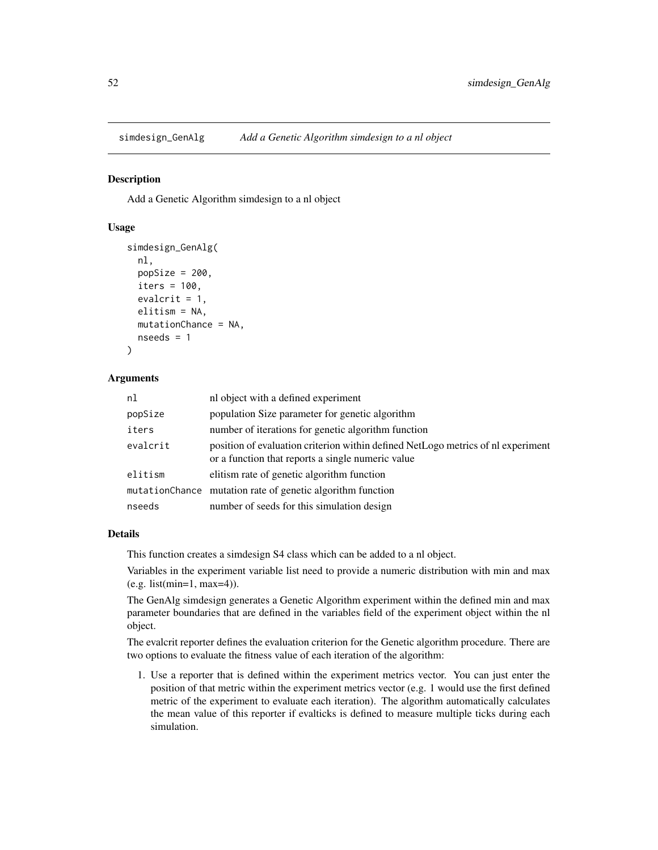<span id="page-51-1"></span><span id="page-51-0"></span>simdesign\_GenAlg *Add a Genetic Algorithm simdesign to a nl object*

#### **Description**

Add a Genetic Algorithm simdesign to a nl object

# Usage

```
simdesign_GenAlg(
  nl,
 popSize = 200,
  iters = 100.
  evalcrit = 1,
  elitism = NA,
 mutationChance = NA,
  nseeds = 1
)
```
# Arguments

| nl       | nl object with a defined experiment                                                                                                   |
|----------|---------------------------------------------------------------------------------------------------------------------------------------|
| popSize  | population Size parameter for genetic algorithm                                                                                       |
| iters    | number of iterations for genetic algorithm function                                                                                   |
| evalcrit | position of evaluation criterion within defined NetLogo metrics of nl experiment<br>or a function that reports a single numeric value |
| elitism  | elitism rate of genetic algorithm function                                                                                            |
|          | mutationChance mutation rate of genetic algorithm function                                                                            |
| nseeds   | number of seeds for this simulation design                                                                                            |

#### Details

This function creates a simdesign S4 class which can be added to a nl object.

Variables in the experiment variable list need to provide a numeric distribution with min and max (e.g. list(min=1, max=4)).

The GenAlg simdesign generates a Genetic Algorithm experiment within the defined min and max parameter boundaries that are defined in the variables field of the experiment object within the nl object.

The evalcrit reporter defines the evaluation criterion for the Genetic algorithm procedure. There are two options to evaluate the fitness value of each iteration of the algorithm:

1. Use a reporter that is defined within the experiment metrics vector. You can just enter the position of that metric within the experiment metrics vector (e.g. 1 would use the first defined metric of the experiment to evaluate each iteration). The algorithm automatically calculates the mean value of this reporter if evalticks is defined to measure multiple ticks during each simulation.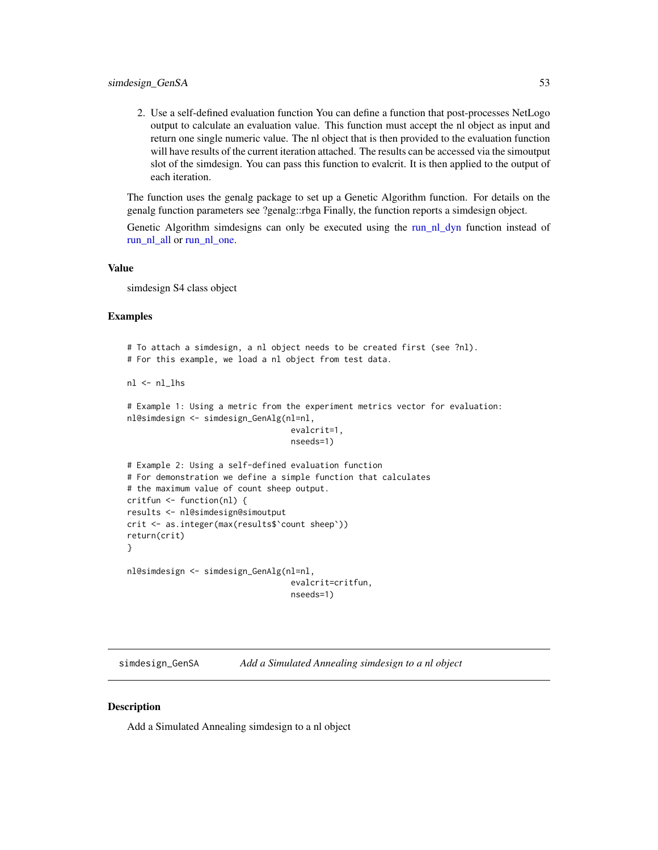<span id="page-52-0"></span>2. Use a self-defined evaluation function You can define a function that post-processes NetLogo output to calculate an evaluation value. This function must accept the nl object as input and return one single numeric value. The nl object that is then provided to the evaluation function will have results of the current iteration attached. The results can be accessed via the simoutput slot of the simdesign. You can pass this function to evalcrit. It is then applied to the output of each iteration.

The function uses the genalg package to set up a Genetic Algorithm function. For details on the genalg function parameters see ?genalg::rbga Finally, the function reports a simdesign object.

Genetic Algorithm simdesigns can only be executed using the [run\\_nl\\_dyn](#page-33-1) function instead of [run\\_nl\\_all](#page-31-1) or [run\\_nl\\_one.](#page-34-1)

#### Value

simdesign S4 class object

#### Examples

```
# To attach a simdesign, a nl object needs to be created first (see ?nl).
# For this example, we load a nl object from test data.
nl <- nl_lhs
# Example 1: Using a metric from the experiment metrics vector for evaluation:
nl@simdesign <- simdesign_GenAlg(nl=nl,
                                  evalcrit=1,
                                  nseeds=1)
# Example 2: Using a self-defined evaluation function
# For demonstration we define a simple function that calculates
# the maximum value of count sheep output.
critfun <- function(nl) {
results <- nl@simdesign@simoutput
crit <- as.integer(max(results$`count sheep`))
return(crit)
}
nl@simdesign <- simdesign_GenAlg(nl=nl,
                                  evalcrit=critfun,
                                  nseeds=1)
```
<span id="page-52-1"></span>simdesign\_GenSA *Add a Simulated Annealing simdesign to a nl object*

#### **Description**

Add a Simulated Annealing simdesign to a nl object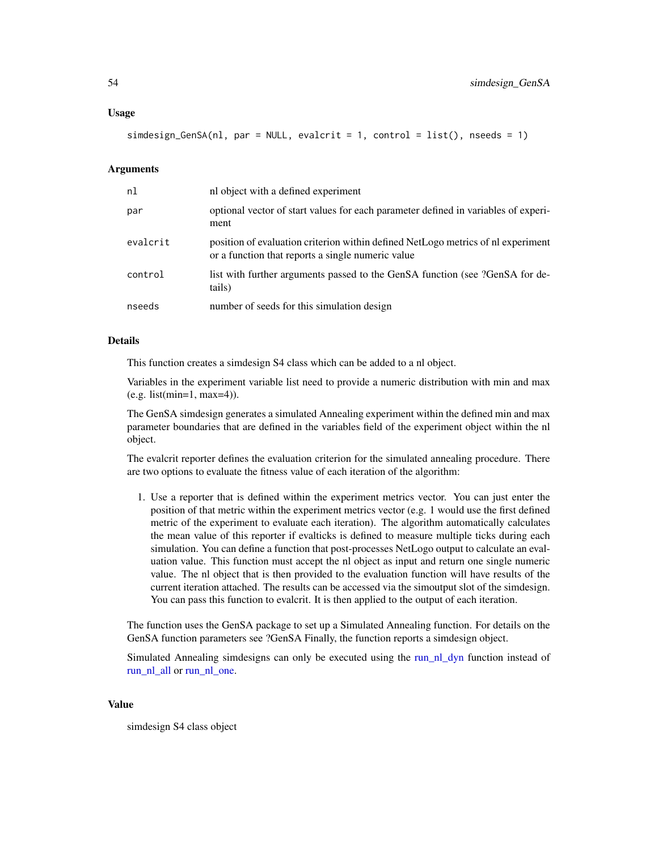#### <span id="page-53-0"></span>Usage

simdesign\_GenSA(nl, par = NULL, evalcrit = 1, control = list(), nseeds = 1)

# **Arguments**

| nl       | nl object with a defined experiment                                                                                                   |
|----------|---------------------------------------------------------------------------------------------------------------------------------------|
| par      | optional vector of start values for each parameter defined in variables of experi-<br>ment                                            |
| evalcrit | position of evaluation criterion within defined NetLogo metrics of nl experiment<br>or a function that reports a single numeric value |
| control  | list with further arguments passed to the GenSA function (see ?GenSA for de-<br>tails)                                                |
| nseeds   | number of seeds for this simulation design                                                                                            |

#### Details

This function creates a simdesign S4 class which can be added to a nl object.

Variables in the experiment variable list need to provide a numeric distribution with min and max (e.g. list(min=1, max=4)).

The GenSA simdesign generates a simulated Annealing experiment within the defined min and max parameter boundaries that are defined in the variables field of the experiment object within the nl object.

The evalcrit reporter defines the evaluation criterion for the simulated annealing procedure. There are two options to evaluate the fitness value of each iteration of the algorithm:

1. Use a reporter that is defined within the experiment metrics vector. You can just enter the position of that metric within the experiment metrics vector (e.g. 1 would use the first defined metric of the experiment to evaluate each iteration). The algorithm automatically calculates the mean value of this reporter if evalticks is defined to measure multiple ticks during each simulation. You can define a function that post-processes NetLogo output to calculate an evaluation value. This function must accept the nl object as input and return one single numeric value. The nl object that is then provided to the evaluation function will have results of the current iteration attached. The results can be accessed via the simoutput slot of the simdesign. You can pass this function to evalcrit. It is then applied to the output of each iteration.

The function uses the GenSA package to set up a Simulated Annealing function. For details on the GenSA function parameters see ?GenSA Finally, the function reports a simdesign object.

Simulated Annealing simdesigns can only be executed using the run nl dyn function instead of [run\\_nl\\_all](#page-31-1) or [run\\_nl\\_one.](#page-34-1)

#### Value

simdesign S4 class object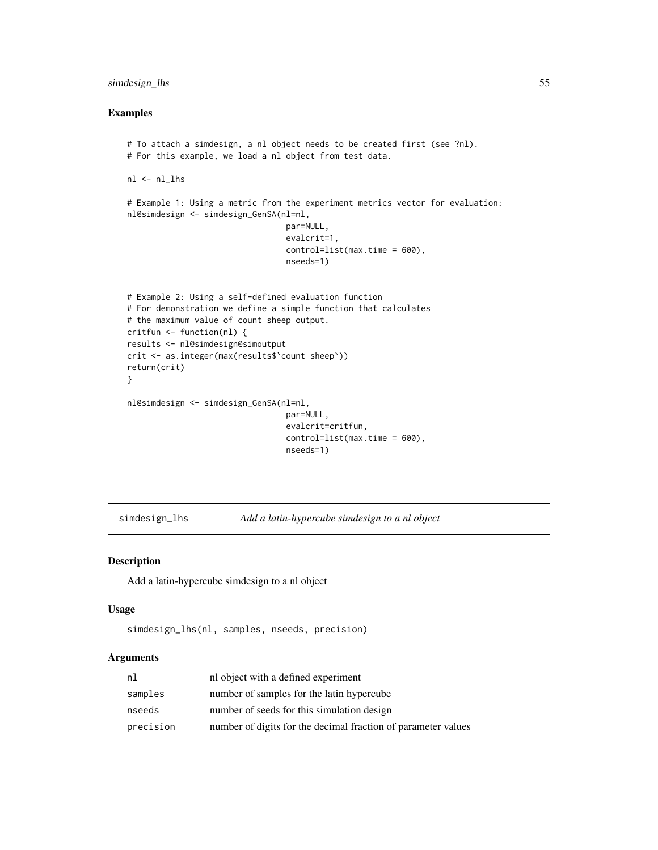# <span id="page-54-0"></span>simdesign\_lhs 55

#### Examples

```
# To attach a simdesign, a nl object needs to be created first (see ?nl).
# For this example, we load a nl object from test data.
nl <- nl_lhs
# Example 1: Using a metric from the experiment metrics vector for evaluation:
nl@simdesign <- simdesign_GenSA(nl=nl,
                                 par=NULL,
                                 evalcrit=1,
                                 control=list(max.time = 600),
                                 nseeds=1)
# Example 2: Using a self-defined evaluation function
# For demonstration we define a simple function that calculates
# the maximum value of count sheep output.
critfun <- function(nl) {
results <- nl@simdesign@simoutput
crit <- as.integer(max(results$`count sheep`))
return(crit)
}
nl@simdesign <- simdesign_GenSA(nl=nl,
                                 par=NULL,
                                 evalcrit=critfun,
                                 control=list(max.time = 600),
                                 nseeds=1)
```
<span id="page-54-1"></span>simdesign\_lhs *Add a latin-hypercube simdesign to a nl object*

# Description

Add a latin-hypercube simdesign to a nl object

#### Usage

```
simdesign_lhs(nl, samples, nseeds, precision)
```

| nl        | nl object with a defined experiment                           |
|-----------|---------------------------------------------------------------|
| samples   | number of samples for the latin hypercube                     |
| nseeds    | number of seeds for this simulation design                    |
| precision | number of digits for the decimal fraction of parameter values |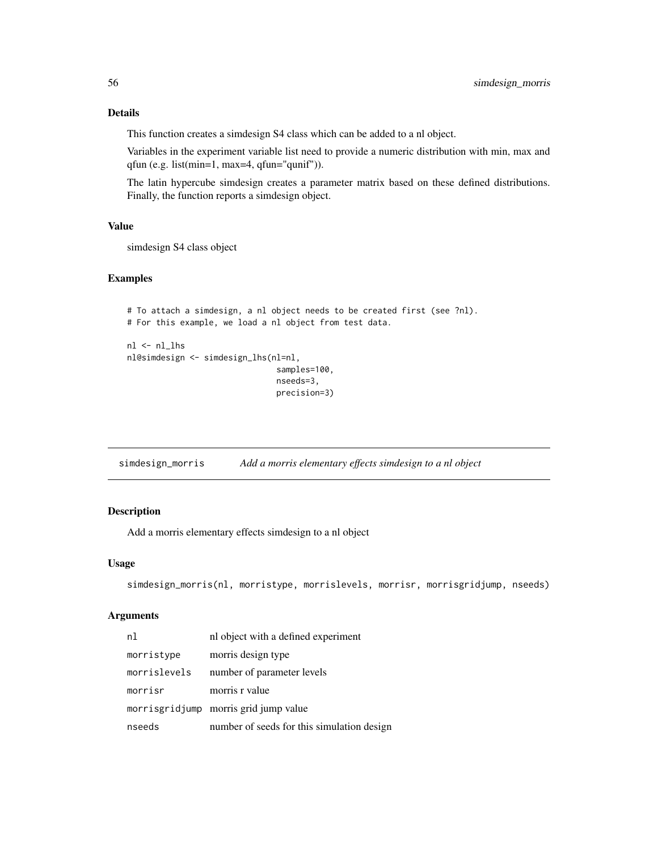<span id="page-55-0"></span>This function creates a simdesign S4 class which can be added to a nl object.

Variables in the experiment variable list need to provide a numeric distribution with min, max and qfun (e.g. list(min=1, max=4, qfun="qunif")).

The latin hypercube simdesign creates a parameter matrix based on these defined distributions. Finally, the function reports a simdesign object.

#### Value

simdesign S4 class object

# Examples

```
# To attach a simdesign, a nl object needs to be created first (see ?nl).
# For this example, we load a nl object from test data.
nl <- nl_lhs
nl@simdesign <- simdesign_lhs(nl=nl,
                               samples=100,
                               nseeds=3,
                               precision=3)
```
<span id="page-55-1"></span>simdesign\_morris *Add a morris elementary effects simdesign to a nl object*

#### Description

Add a morris elementary effects simdesign to a nl object

#### Usage

```
simdesign_morris(nl, morristype, morrislevels, morrisr, morrisgridjump, nseeds)
```

| n1           | nl object with a defined experiment        |
|--------------|--------------------------------------------|
| morristype   | morris design type                         |
| morrislevels | number of parameter levels                 |
| morrisr      | morris r value                             |
|              | morrisgridjump morris grid jump value      |
| nseeds       | number of seeds for this simulation design |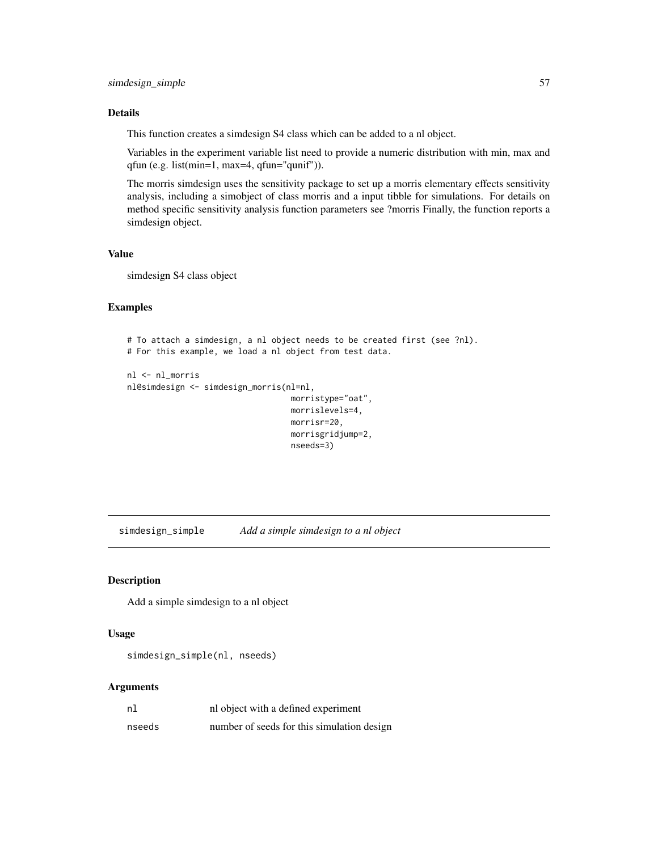<span id="page-56-0"></span>This function creates a simdesign S4 class which can be added to a nl object.

Variables in the experiment variable list need to provide a numeric distribution with min, max and qfun (e.g. list(min=1, max=4, qfun="qunif")).

The morris simdesign uses the sensitivity package to set up a morris elementary effects sensitivity analysis, including a simobject of class morris and a input tibble for simulations. For details on method specific sensitivity analysis function parameters see ?morris Finally, the function reports a simdesign object.

# Value

simdesign S4 class object

# Examples

```
# To attach a simdesign, a nl object needs to be created first (see ?nl).
# For this example, we load a nl object from test data.
```

```
nl <- nl_morris
nl@simdesign <- simdesign_morris(nl=nl,
```

```
morristype="oat",
morrislevels=4,
morrisr=20,
morrisgridjump=2,
nseeds=3)
```
<span id="page-56-1"></span>simdesign\_simple *Add a simple simdesign to a nl object*

#### Description

Add a simple simdesign to a nl object

#### Usage

```
simdesign_simple(nl, nseeds)
```

| nl     | nl object with a defined experiment        |
|--------|--------------------------------------------|
| nseeds | number of seeds for this simulation design |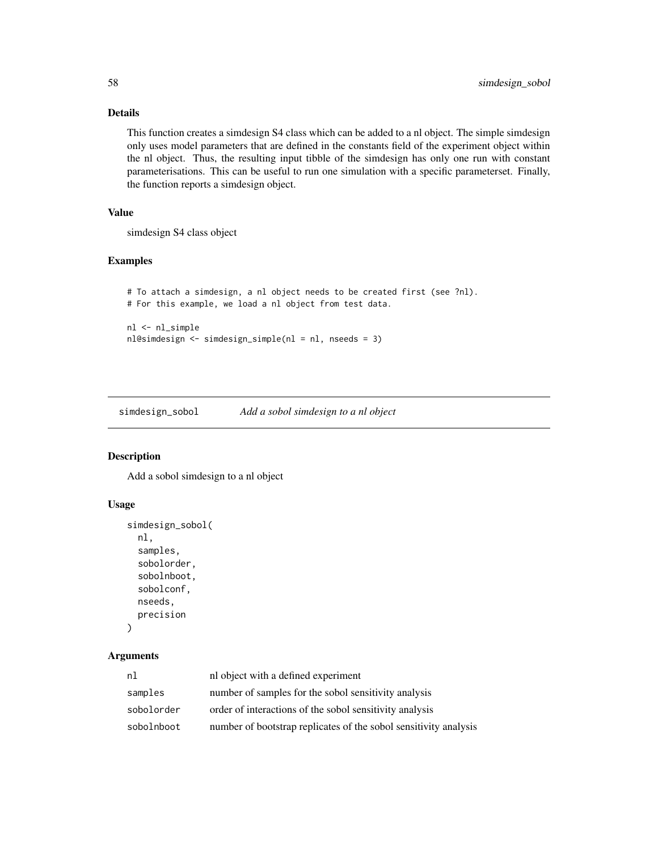This function creates a simdesign S4 class which can be added to a nl object. The simple simdesign only uses model parameters that are defined in the constants field of the experiment object within the nl object. Thus, the resulting input tibble of the simdesign has only one run with constant parameterisations. This can be useful to run one simulation with a specific parameterset. Finally, the function reports a simdesign object.

# Value

simdesign S4 class object

# Examples

```
# To attach a simdesign, a nl object needs to be created first (see ?nl).
# For this example, we load a nl object from test data.
```

```
nl <- nl_simple
nl@simdesign <- simdesign_simple(nl = nl, nseeds = 3)
```
<span id="page-57-1"></span>simdesign\_sobol *Add a sobol simdesign to a nl object*

#### Description

Add a sobol simdesign to a nl object

#### Usage

```
simdesign_sobol(
 nl,
  samples,
  sobolorder,
  sobolnboot,
  sobolconf,
  nseeds,
 precision
)
```

| nl         | nl object with a defined experiment                              |
|------------|------------------------------------------------------------------|
| samples    | number of samples for the sobol sensitivity analysis             |
| sobolorder | order of interactions of the sobol sensitivity analysis          |
| sobolnboot | number of bootstrap replicates of the sobol sensitivity analysis |

<span id="page-57-0"></span>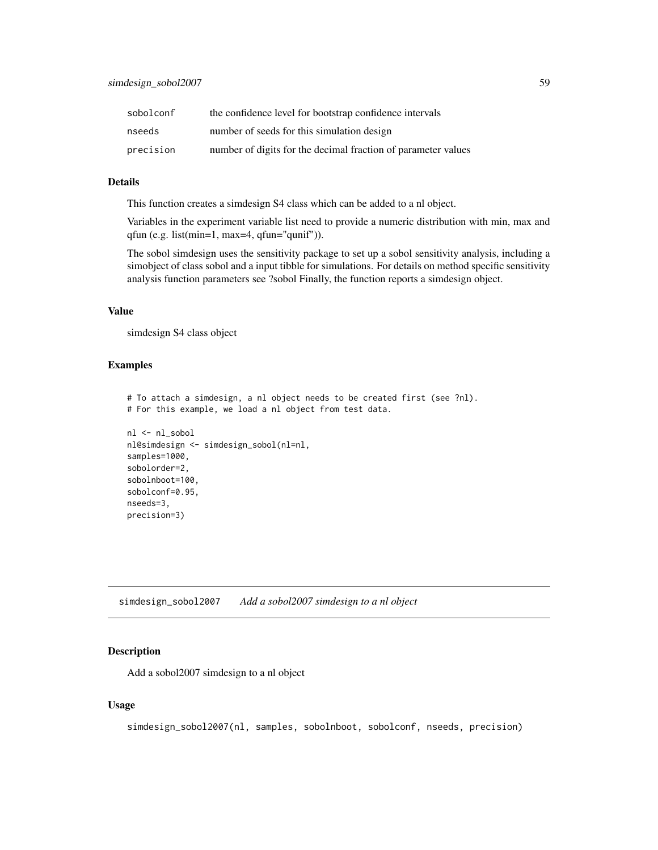<span id="page-58-0"></span>

| sobolconf | the confidence level for bootstrap confidence intervals       |
|-----------|---------------------------------------------------------------|
| nseeds    | number of seeds for this simulation design                    |
| precision | number of digits for the decimal fraction of parameter values |

This function creates a simdesign S4 class which can be added to a nl object.

Variables in the experiment variable list need to provide a numeric distribution with min, max and qfun (e.g. list(min=1, max=4, qfun="qunif")).

The sobol simdesign uses the sensitivity package to set up a sobol sensitivity analysis, including a simobject of class sobol and a input tibble for simulations. For details on method specific sensitivity analysis function parameters see ?sobol Finally, the function reports a simdesign object.

#### Value

simdesign S4 class object

# Examples

```
# To attach a simdesign, a nl object needs to be created first (see ?nl).
# For this example, we load a nl object from test data.
nl <- nl_sobol
nl@simdesign <- simdesign_sobol(nl=nl,
samples=1000,
sobolorder=2,
sobolnboot=100,
sobolconf=0.95,
nseeds=3,
precision=3)
```
<span id="page-58-1"></span>simdesign\_sobol2007 *Add a sobol2007 simdesign to a nl object*

#### Description

Add a sobol2007 simdesign to a nl object

#### Usage

simdesign\_sobol2007(nl, samples, sobolnboot, sobolconf, nseeds, precision)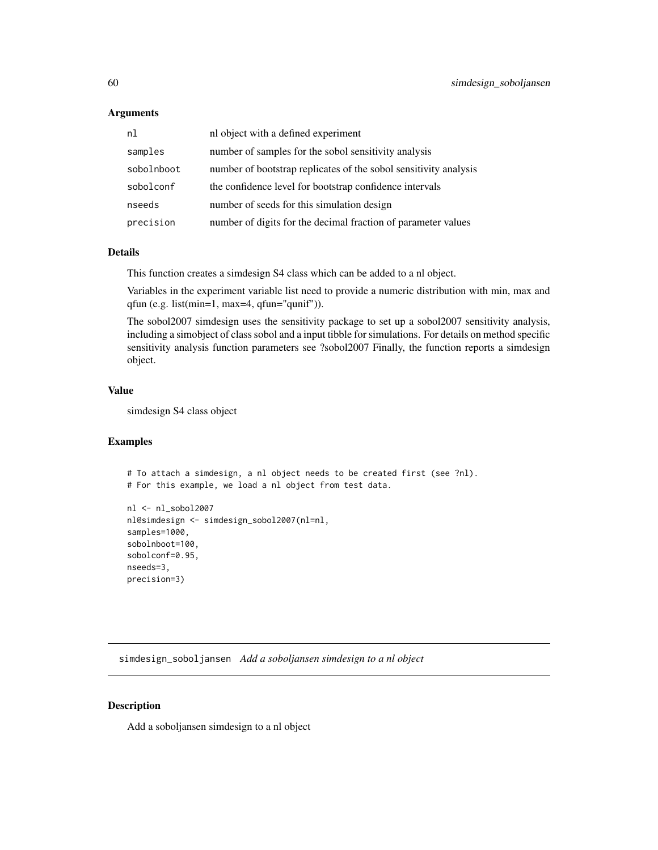#### **Arguments**

| n <sub>1</sub> | nl object with a defined experiment                              |
|----------------|------------------------------------------------------------------|
| samples        | number of samples for the sobol sensitivity analysis             |
| sobolnboot     | number of bootstrap replicates of the sobol sensitivity analysis |
| sobolconf      | the confidence level for bootstrap confidence intervals          |
| nseeds         | number of seeds for this simulation design                       |
| precision      | number of digits for the decimal fraction of parameter values    |

# Details

This function creates a simdesign S4 class which can be added to a nl object.

Variables in the experiment variable list need to provide a numeric distribution with min, max and qfun (e.g. list(min=1, max=4, qfun="qunif")).

The sobol2007 simdesign uses the sensitivity package to set up a sobol2007 sensitivity analysis, including a simobject of class sobol and a input tibble for simulations. For details on method specific sensitivity analysis function parameters see ?sobol2007 Finally, the function reports a simdesign object.

# Value

simdesign S4 class object

# Examples

```
# To attach a simdesign, a nl object needs to be created first (see ?nl).
# For this example, we load a nl object from test data.
```

```
nl <- nl_sobol2007
nl@simdesign <- simdesign_sobol2007(nl=nl,
samples=1000,
sobolnboot=100,
sobolconf=0.95,
nseeds=3,
precision=3)
```
<span id="page-59-1"></span>simdesign\_soboljansen *Add a soboljansen simdesign to a nl object*

#### Description

Add a soboljansen simdesign to a nl object

<span id="page-59-0"></span>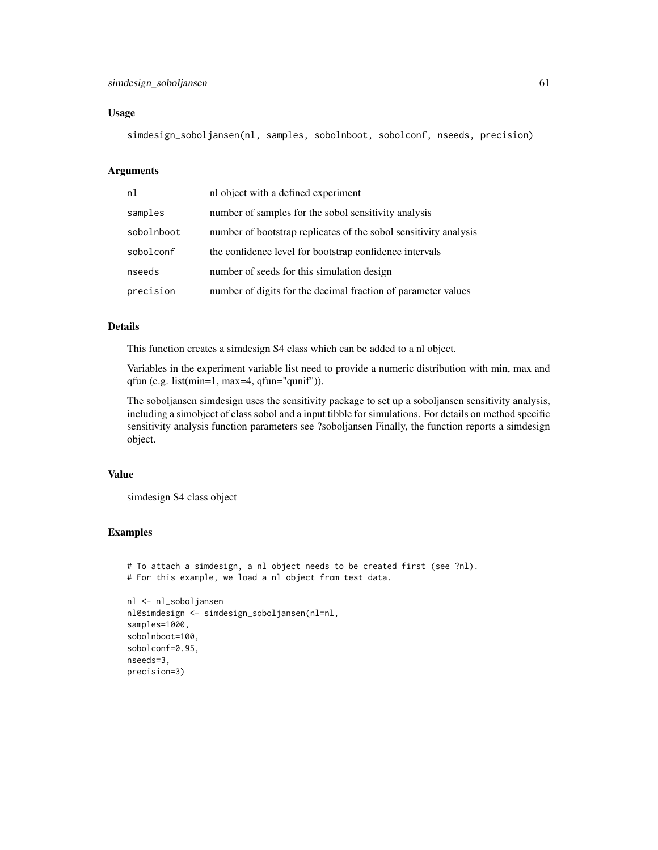#### Usage

simdesign\_soboljansen(nl, samples, sobolnboot, sobolconf, nseeds, precision)

# Arguments

| nl         | nl object with a defined experiment                              |
|------------|------------------------------------------------------------------|
| samples    | number of samples for the sobol sensitivity analysis             |
| sobolnboot | number of bootstrap replicates of the sobol sensitivity analysis |
| sobolconf  | the confidence level for bootstrap confidence intervals          |
| nseeds     | number of seeds for this simulation design                       |
| precision  | number of digits for the decimal fraction of parameter values    |

# Details

This function creates a simdesign S4 class which can be added to a nl object.

Variables in the experiment variable list need to provide a numeric distribution with min, max and qfun (e.g. list(min=1, max=4, qfun="qunif")).

The soboljansen simdesign uses the sensitivity package to set up a soboljansen sensitivity analysis, including a simobject of class sobol and a input tibble for simulations. For details on method specific sensitivity analysis function parameters see ?soboljansen Finally, the function reports a simdesign object.

#### Value

simdesign S4 class object

#### Examples

precision=3)

```
# To attach a simdesign, a nl object needs to be created first (see ?nl).
# For this example, we load a nl object from test data.
nl <- nl_soboljansen
nl@simdesign <- simdesign_soboljansen(nl=nl,
samples=1000,
sobolnboot=100,
sobolconf=0.95,
nseeds=3,
```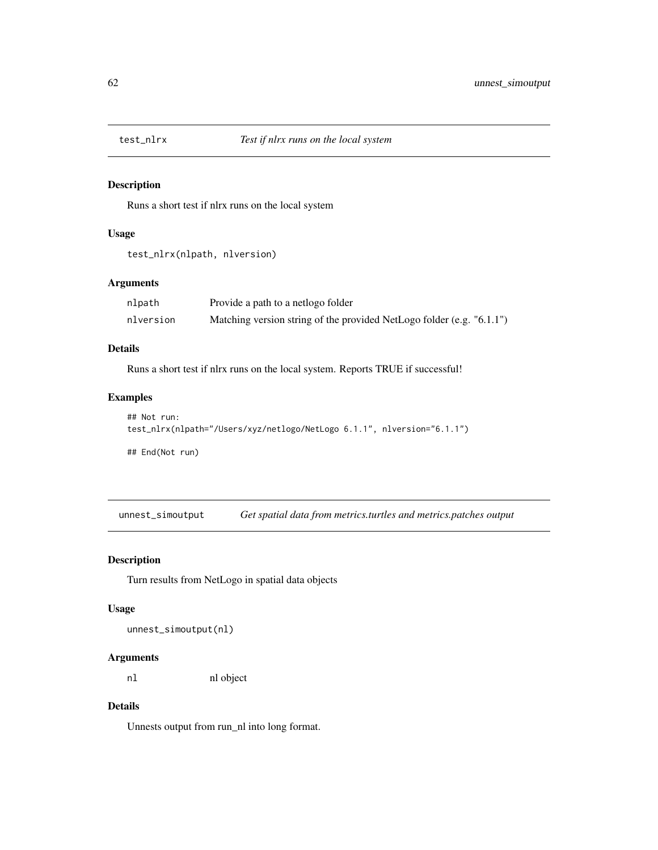<span id="page-61-0"></span>

Runs a short test if nlrx runs on the local system

#### Usage

```
test_nlrx(nlpath, nlversion)
```
# Arguments

| nlpath    | Provide a path to a netlogo folder                                    |
|-----------|-----------------------------------------------------------------------|
| nlversion | Matching version string of the provided NetLogo folder (e.g. "6.1.1") |

# Details

Runs a short test if nlrx runs on the local system. Reports TRUE if successful!

# Examples

```
## Not run:
test_nlrx(nlpath="/Users/xyz/netlogo/NetLogo 6.1.1", nlversion="6.1.1")
```
## End(Not run)

unnest\_simoutput *Get spatial data from metrics.turtles and metrics.patches output*

# Description

Turn results from NetLogo in spatial data objects

#### Usage

unnest\_simoutput(nl)

# Arguments

nl nl object

# Details

Unnests output from run\_nl into long format.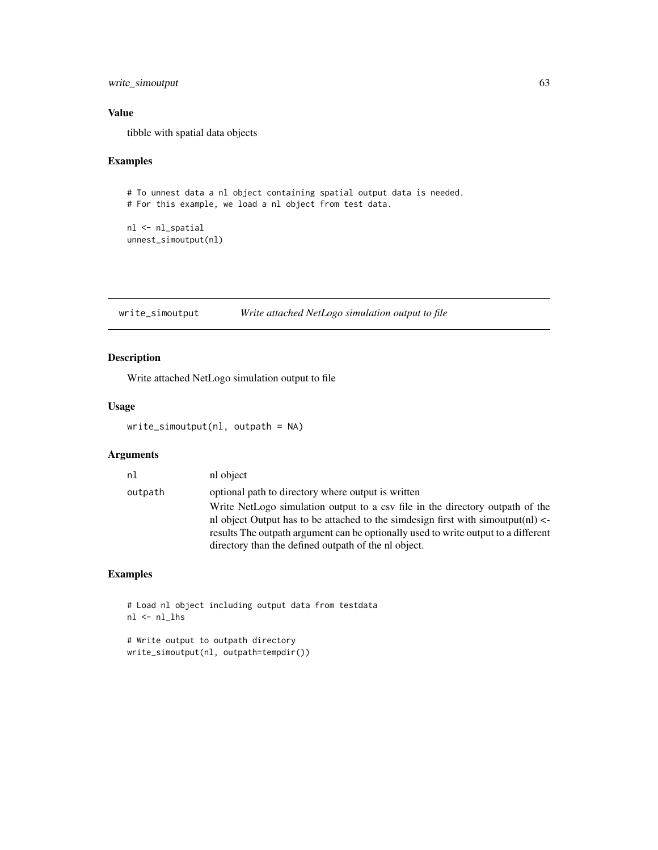# <span id="page-62-0"></span>write\_simoutput 63

# Value

tibble with spatial data objects

# Examples

```
# To unnest data a nl object containing spatial output data is needed.
# For this example, we load a nl object from test data.
```
nl <- nl\_spatial unnest\_simoutput(nl)

<span id="page-62-1"></span>write\_simoutput *Write attached NetLogo simulation output to file*

# Description

Write attached NetLogo simulation output to file

# Usage

```
write_simoutput(nl, outpath = NA)
```
# Arguments

| nl      | nl object                                                                            |
|---------|--------------------------------------------------------------------------------------|
| outpath | optional path to directory where output is written                                   |
|         | Write NetLogo simulation output to a csy file in the directory outpath of the        |
|         | nl object Output has to be attached to the simdesign first with simoutput(nl) $\leq$ |
|         | results The outpath argument can be optionally used to write output to a different   |
|         | directory than the defined outpath of the nl object.                                 |

# Examples

```
# Load nl object including output data from testdata
nl <- nl_lhs
```
# Write output to outpath directory write\_simoutput(nl, outpath=tempdir())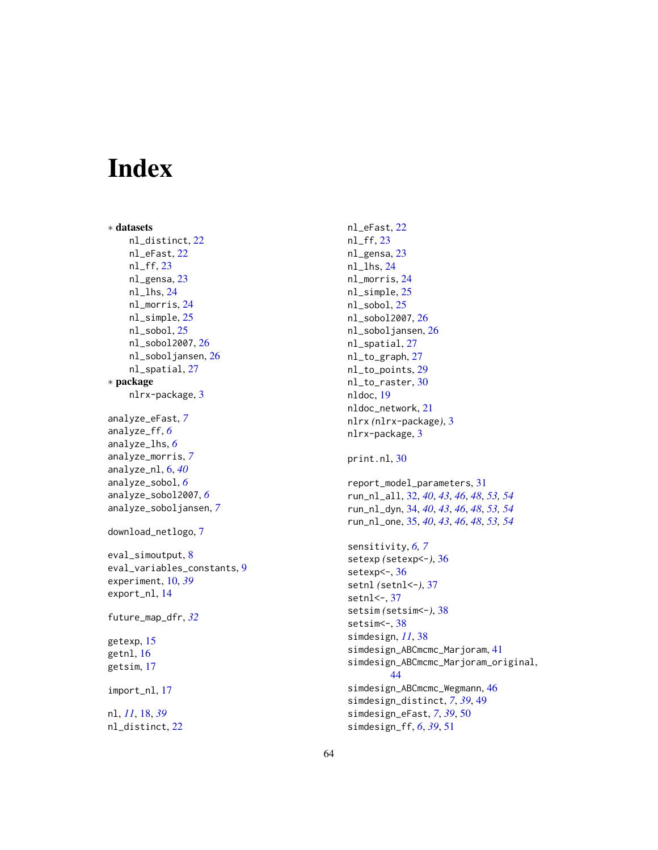# <span id="page-63-0"></span>Index

```
∗ datasets
    nl_distinct, 22
    nl_eFast, 22
    nl_ff, 23
    nl_gensa, 23
    nl_lhs, 24
    nl_morris, 24
    nl_simple, 25
    nl_sobol, 25
    nl_sobol2007, 26
    nl_soboljansen, 26
    nl_spatial, 27
∗ package
    nlrx-package, 3
analyze_eFast, 7
analyze_ff, 6
analyze_lhs, 6
analyze_morris, 7
analyze_nl, 6, 40
analyze_sobol, 6
analyze_sobol2007, 6
analyze_soboljansen, 7
download_netlogo, 7
eval_simoutput, 8
eval_variables_constants, 9
experiment, 10, 39
export_nl, 14
future_map_dfr, 32
getexp, 15
getnl, 16
getsim, 17
import_nl, 17
nl, 11, 18, 39
nl_distinct, 22
```
nl\_eFast, [22](#page-21-0) nl\_ff, [23](#page-22-0) nl\_gensa, [23](#page-22-0) nl\_lhs, [24](#page-23-0) nl\_morris, [24](#page-23-0) nl\_simple, [25](#page-24-0) nl\_sobol, [25](#page-24-0) nl\_sobol2007, [26](#page-25-0) nl\_soboljansen, [26](#page-25-0) nl\_spatial, [27](#page-26-0) nl\_to\_graph, [27](#page-26-0) nl\_to\_points, [29](#page-28-0) nl\_to\_raster, [30](#page-29-0) nldoc, [19](#page-18-0) nldoc\_network, [21](#page-20-0) nlrx *(*nlrx-package*)*, [3](#page-2-0) nlrx-package, [3](#page-2-0) print.nl, [30](#page-29-0) report\_model\_parameters, [31](#page-30-0) run\_nl\_all, [32,](#page-31-0) *[40](#page-39-0)*, *[43](#page-42-0)*, *[46](#page-45-0)*, *[48](#page-47-0)*, *[53,](#page-52-0) [54](#page-53-0)* run\_nl\_dyn, [34,](#page-33-0) *[40](#page-39-0)*, *[43](#page-42-0)*, *[46](#page-45-0)*, *[48](#page-47-0)*, *[53,](#page-52-0) [54](#page-53-0)* run\_nl\_one, [35,](#page-34-0) *[40](#page-39-0)*, *[43](#page-42-0)*, *[46](#page-45-0)*, *[48](#page-47-0)*, *[53,](#page-52-0) [54](#page-53-0)* sensitivity, *[6,](#page-5-0) [7](#page-6-0)* setexp *(*setexp<-*)*, [36](#page-35-0) setexp <- , [36](#page-35-0) setnl *(*setnl<-*)*, [37](#page-36-0) setnl  $\leq$ -,  $37$ setsim *(*setsim<-*)*, [38](#page-37-0) setsim<sup><-</sup>, [38](#page-37-0) simdesign, *[11](#page-10-0)*, [38](#page-37-0) simdesign\_ABCmcmc\_Marjoram, [41](#page-40-0) simdesign\_ABCmcmc\_Marjoram\_original, [44](#page-43-0) simdesign\_ABCmcmc\_Wegmann, [46](#page-45-0) simdesign\_distinct, *[7](#page-6-0)*, *[39](#page-38-0)*, [49](#page-48-0) simdesign\_eFast, *[7](#page-6-0)*, *[39](#page-38-0)*, [50](#page-49-0) simdesign\_ff, *[6](#page-5-0)*, *[39](#page-38-0)*, [51](#page-50-0)